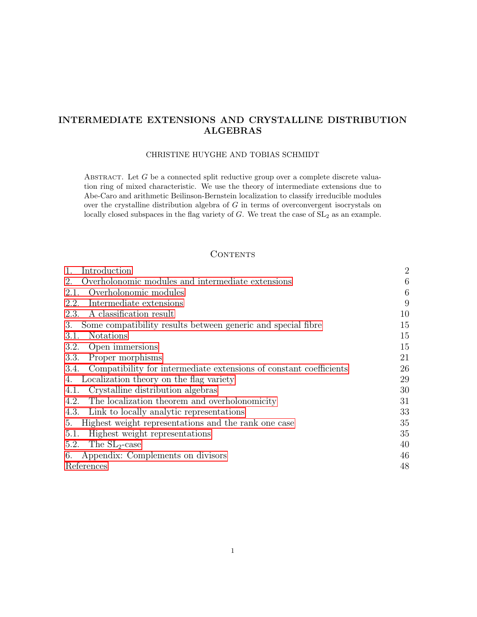# <span id="page-0-0"></span>INTERMEDIATE EXTENSIONS AND CRYSTALLINE DISTRIBUTION ALGEBRAS

#### CHRISTINE HUYGHE AND TOBIAS SCHMIDT

ABSTRACT. Let  $G$  be a connected split reductive group over a complete discrete valuation ring of mixed characteristic. We use the theory of intermediate extensions due to Abe-Caro and arithmetic Beilinson-Bernstein localization to classify irreducible modules over the crystalline distribution algebra of G in terms of overconvergent isocrystals on locally closed subspaces in the flag variety of  $G$ . We treat the case of  $SL<sub>2</sub>$  as an example.

# **CONTENTS**

| Introduction                                                            | $\overline{2}$ |
|-------------------------------------------------------------------------|----------------|
| Overholonomic modules and intermediate extensions<br>2.                 | 6              |
| Overholonomic modules<br>2.1.                                           | 6              |
| Intermediate extensions<br>2.2.                                         | 9              |
| A classification result<br>2.3.                                         | 10             |
| Some compatibility results between generic and special fibre<br>3.      | 15             |
| <b>Notations</b><br>3.1.                                                | 15             |
| 3.2.<br>Open immersions                                                 | 15             |
| Proper morphisms<br>3.3.                                                | 21             |
| 3.4. Compatibility for intermediate extensions of constant coefficients | 26             |
| Localization theory on the flag variety<br>4.                           | 29             |
| Crystalline distribution algebras<br>4.1.                               | 30             |
| The localization theorem and overholonomicity<br>4.2.                   | 31             |
| Link to locally analytic representations<br>4.3.                        | 33             |
| Highest weight representations and the rank one case<br>5.              | 35             |
| Highest weight representations<br>5.1.                                  | 35             |
| The $SL_2$ -case<br>5.2.                                                | 40             |
| Appendix: Complements on divisors<br>6.                                 | 46             |
| References                                                              | 48             |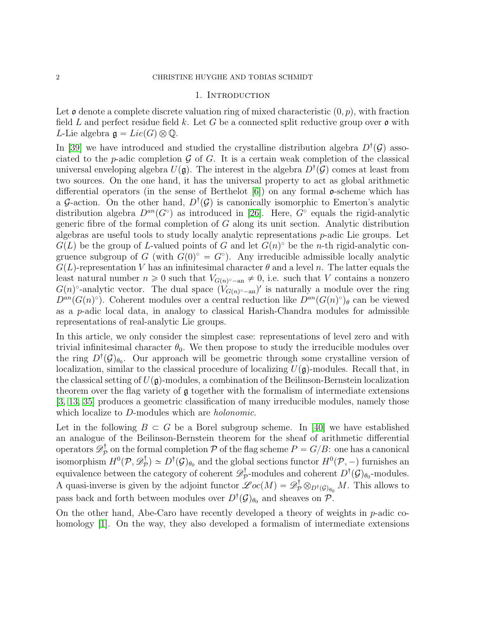### 1. INTRODUCTION

<span id="page-1-0"></span>Let  $\mathfrak o$  denote a complete discrete valuation ring of mixed characteristic  $(0, p)$ , with fraction field L and perfect residue field k. Let G be a connected split reductive group over  $\mathfrak o$  with L-Lie algebra  $\mathfrak{g} = Lie(G) \otimes \mathbb{Q}$ .

In [\[39\]](#page-48-0) we have introduced and studied the crystalline distribution algebra  $D^{\dagger}(\mathcal{G})$  associated to the *p*-adic completion  $\mathcal G$  of  $G$ . It is a certain weak completion of the classical universal enveloping algebra  $U(\mathfrak{g})$ . The interest in the algebra  $D^{\dagger}(\mathcal{G})$  comes at least from two sources. On the one hand, it has the universal property to act as global arithmetic differential operators (in the sense of Berthelot  $|6|$ ) on any formal  $\sigma$ -scheme which has a G-action. On the other hand,  $D^{\dagger}(\mathcal{G})$  is canonically isomorphic to Emerton's analytic distribution algebra  $D^{an}(G^{\circ})$  as introduced in [\[26\]](#page-48-1). Here,  $G^{\circ}$  equals the rigid-analytic generic fibre of the formal completion of  $G$  along its unit section. Analytic distribution algebras are useful tools to study locally analytic representations p-adic Lie groups. Let  $G(L)$  be the group of L-valued points of G and let  $G(n)$ <sup>o</sup> be the n-th rigid-analytic congruence subgroup of G (with  $G(0)^\circ = G^\circ$ ). Any irreducible admissible locally analytic  $G(L)$ -representation V has an infinitesimal character  $\theta$  and a level n. The latter equals the least natural number  $n \geq 0$  such that  $V_{G(n)^\circ - an} \neq 0$ , i.e. such that V contains a nonzero  $G(n)$ <sup>o</sup>-analytic vector. The dual space  $(V_{G(n)^\circ-\text{an}})'$  is naturally a module over the ring  $D^{an}(G(n)^\circ)$ . Coherent modules over a central reduction like  $D^{an}(G(n)^\circ)_{\theta}$  can be viewed as a p-adic local data, in analogy to classical Harish-Chandra modules for admissible representations of real-analytic Lie groups.

In this article, we only consider the simplest case: representations of level zero and with trivial infinitesimal character  $\theta_0$ . We then propose to study the irreducible modules over the ring  $D^{\dagger}(\mathcal{G})_{\theta_0}$ . Our approach will be geometric through some crystalline version of localization, similar to the classical procedure of localizing  $U(\mathfrak{g})$ -modules. Recall that, in the classical setting of  $U(\mathfrak{g})$ -modules, a combination of the Beilinson-Bernstein localization theorem over the flag variety of  $\mathfrak g$  together with the formalism of intermediate extensions [\[3,](#page-47-2) [13,](#page-47-3) [35\]](#page-48-2) produces a geometric classification of many irreducible modules, namely those which localize to D-modules which are *holonomic*.

Let in the following  $B \subset G$  be a Borel subgroup scheme. In [\[40\]](#page-48-3) we have established an analogue of the Beilinson-Bernstein theorem for the sheaf of arithmetic differential operators  $\mathscr{D}^{\dagger}_{\mathcal{F}}$  $P^{\dagger}_{\mathcal{P}}$  on the formal completion  $\mathcal P$  of the flag scheme  $P = G/B$ : one has a canonical isomorphism  $H^0(\mathcal{P},\mathscr{D}^{\dagger}_\mathcal{P}$  $p^{\dagger}_{\mathcal{P}}$   $\cong$   $D^{\dagger}(\mathcal{G})_{\theta_0}$  and the global sections functor  $H^0(\mathcal{P},-)$  furnishes an equivalence between the category of coherent  $\mathscr{D}^\dagger_\mathcal{P}$  $p^{\dagger}$ -modules and coherent  $D^{\dagger}(\mathcal{G})_{\theta_0}$ -modules. A quasi-inverse is given by the adjoint functor  $\mathscr{L}oc(M) = \mathscr{D}_P^{\dagger} \otimes_{D^{\dagger}(\mathcal{G})_{\theta_0}} M$ . This allows to pass back and forth between modules over  $D^{\dagger}(\mathcal{G})_{\theta_0}$  and sheaves on  $\mathcal{P}$ .

On the other hand, Abe-Caro have recently developed a theory of weights in  $p$ -adic co-homology [\[1\]](#page-47-4). On the way, they also developed a formalism of intermediate extensions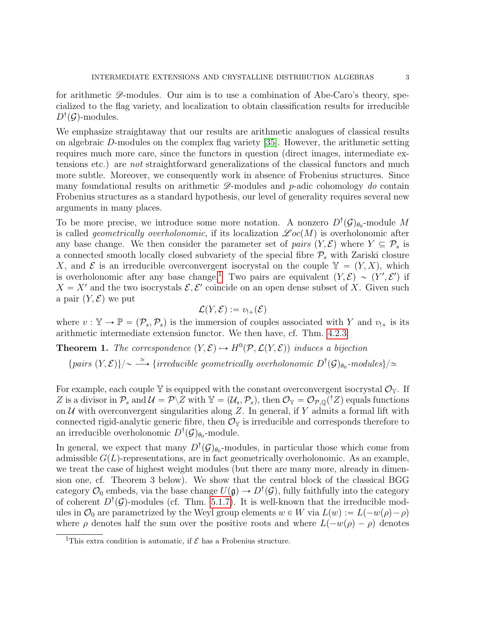for arithmetic  $\mathscr{D}$ -modules. Our aim is to use a combination of Abe-Caro's theory, specialized to the flag variety, and localization to obtain classification results for irreducible  $D^{\dagger}(\mathcal{G})$ -modules.

We emphasize straightaway that our results are arithmetic analogues of classical results on algebraic D-modules on the complex flag variety [\[35\]](#page-48-2). However, the arithmetic setting requires much more care, since the functors in question (direct images, intermediate extensions etc.) are not straightforward generalizations of the classical functors and much more subtle. Moreover, we consequently work in absence of Frobenius structures. Since many foundational results on arithmetic  $\mathscr{D}$ -modules and p-adic cohomology do contain Frobenius structures as a standard hypothesis, our level of generality requires several new arguments in many places.

To be more precise, we introduce some more notation. A nonzero  $D^{\dagger}(\mathcal{G})_{\theta_0}$ -module M is called *geometrically overholonomic*, if its localization  $\mathscr{Loc}(M)$  is overholonomic after any base change. We then consider the parameter set of pairs  $(Y, \mathcal{E})$  where  $Y \subseteq \mathcal{P}_s$  is a connected smooth locally closed subvariety of the special fibre  $P<sub>s</sub>$  with Zariski closure X, and  $\mathcal E$  is an irreducible overconvergent isocrystal on the couple  $\mathbb Y = (Y, X)$ , which is overholonomic after any base change.<sup>[1](#page-2-0)</sup> Two pairs are equivalent  $(Y, \mathcal{E}) \sim (Y', \mathcal{E}')$  if  $X = X'$  and the two isocrystals  $\mathcal{E}, \mathcal{E}'$  coincide on an open dense subset of X. Given such a pair  $(Y, \mathcal{E})$  we put

$$
\mathcal{L}(Y,\mathcal{E}):=v_{!+}(\mathcal{E})
$$

where  $v : \mathbb{Y} \to \mathbb{P} = (\mathcal{P}_s, \mathcal{P}_s)$  is the immersion of couples associated with Y and  $v_{!+}$  is its arithmetic intermediate extension functor. We then have, cf. Thm. [4.2.3:](#page-31-0)

**Theorem 1.** The correspondence  $(Y, \mathcal{E}) \rightarrow H^0(\mathcal{P}, \mathcal{L}(Y, \mathcal{E}))$  induces a bijection

 ${pairs (Y, E)}/\sim \stackrel{\simeq}{\longrightarrow} {irreducible~geometrically~overholonomic~}D^{\dagger}(\mathcal{G})_{\theta_0}\text{-modules}\}/\simeq$ 

For example, each couple  $\mathbb Y$  is equipped with the constant overconvergent isocrystal  $\mathcal O_{\mathbb Y}$ . If Z is a divisor in  $\mathcal{P}_s$  and  $\mathcal{U} = \mathcal{P}\backslash Z$  with  $\mathbb{Y} = (\mathcal{U}_s, \mathcal{P}_s)$ , then  $\mathcal{O}_{\mathbb{Y}} = \mathcal{O}_{\mathcal{P},\mathbb{Q}}(^{\dagger}Z)$  equals functions on  $U$  with overconvergent singularities along Z. In general, if Y admits a formal lift with connected rigid-analytic generic fibre, then  $\mathcal{O}_{\mathbb{Y}}$  is irreducible and corresponds therefore to an irreducible overholonomic  $D^{\dagger}(\mathcal{G})_{\theta_0}$ -module.

In general, we expect that many  $D^{\dagger}(\mathcal{G})_{\theta_0}$ -modules, in particular those which come from admissible  $G(L)$ -representations, are in fact geometrically overholonomic. As an example, we treat the case of highest weight modules (but there are many more, already in dimension one, cf. Theorem 3 below). We show that the central block of the classical BGG category  $\mathcal{O}_0$  embeds, via the base change  $U(\mathfrak{g}) \to D^{\dagger}(\mathcal{G})$ , fully faithfully into the category of coherent  $D^{\dagger}(\mathcal{G})$ -modules (cf. Thm. [5.1.7\)](#page-37-0). It is well-known that the irreducible modules in  $\mathcal{O}_0$  are parametrized by the Weyl group elements  $w \in W$  via  $L(w) := L(-w(\rho) - \rho)$ where  $\rho$  denotes half the sum over the positive roots and where  $L(-w(\rho) - \rho)$  denotes

<span id="page-2-0"></span><sup>&</sup>lt;sup>1</sup>This extra condition is automatic, if  $\mathcal E$  has a Frobenius structure.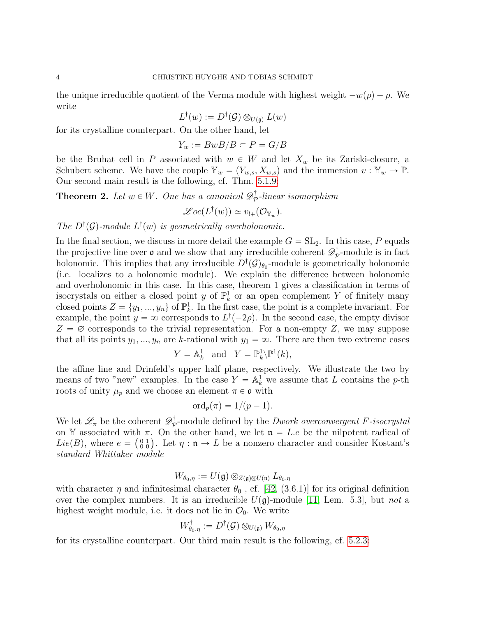the unique irreducible quotient of the Verma module with highest weight  $-w(\rho) - \rho$ . We write

$$
L^{\dagger}(w) := D^{\dagger}(\mathcal{G}) \otimes_{U(\mathfrak{g})} L(w)
$$

for its crystalline counterpart. On the other hand, let

$$
Y_w := BwB/B \subset P = G/B
$$

be the Bruhat cell in P associated with  $w \in W$  and let  $X_w$  be its Zariski-closure, a Schubert scheme. We have the couple  $\mathbb{Y}_w = (Y_{w,s}, X_{w,s})$  and the immersion  $v : \mathbb{Y}_w \to \mathbb{P}$ . Our second main result is the following, cf. Thm. [5.1.9:](#page-38-0)

**Theorem 2.** Let  $w \in W$ . One has a canonical  $\mathscr{D}^{\dagger}_{\mathcal{P}}$  $\mathbb{P}_{\mathcal{P}}$ -linear isomorphism

$$
\mathscr{Loc}(L^{\dagger}(w)) \simeq v_{!+}(\mathcal{O}_{\mathbb{Y}_w}).
$$

The  $D^{\dagger}(\mathcal{G})$ -module  $L^{\dagger}(w)$  is geometrically overholonomic.

In the final section, we discuss in more detail the example  $G = SL_2$ . In this case, P equals the projective line over  $\mathfrak o$  and we show that any irreducible coherent  $\mathscr{D}^{\dagger}_{\mathcal{P}}$  $\mathcal{P}^{\dagger}$ -module is in fact holonomic. This implies that any irreducible  $D^{\dagger}(\mathcal{G})_{\theta_0}$ -module is geometrically holonomic (i.e. localizes to a holonomic module). We explain the difference between holonomic and overholonomic in this case. In this case, theorem 1 gives a classification in terms of isocrystals on either a closed point y of  $\mathbb{P}^1_k$  or an open complement Y of finitely many closed points  $Z = \{y_1, ..., y_n\}$  of  $\mathbb{P}_k^1$ . In the first case, the point is a complete invariant. For example, the point  $y = \infty$  corresponds to  $L^{\dagger}(-2\rho)$ . In the second case, the empty divisor  $Z = \emptyset$  corresponds to the trivial representation. For a non-empty Z, we may suppose that all its points  $y_1, ..., y_n$  are k-rational with  $y_1 = \infty$ . There are then two extreme cases

$$
Y = \mathbb{A}^1_k \text{ and } Y = \mathbb{P}^1_k \backslash \mathbb{P}^1(k),
$$

the affine line and Drinfeld's upper half plane, respectively. We illustrate the two by means of two "new" examples. In the case  $Y = \mathbb{A}_k^1$  we assume that L contains the p-th roots of unity  $\mu_p$  and we choose an element  $\pi \in \mathfrak{o}$  with

$$
\mathrm{ord}_p(\pi)=1/(p-1).
$$

We let  $\mathscr{L}_{\pi}$  be the coherent  $\mathscr{D}_{\mathcal{P}}^{\dagger}$  $\mathcal{P}_{\mathcal{P}}$ -module defined by the *Dwork overconvergent F-isocrystal* on Y associated with  $\pi$ . On the other hand, we let  $\mathfrak{n} = L \cdot e$  be the nilpotent radical of on Y associated with  $\pi$ . On the other hand, we let  $\mathfrak{n} = L \cdot e$  be the nilpotent radical of  $Lie(B)$ , where  $e = \begin{pmatrix} 0 & 1 \\ 0 & 0 \end{pmatrix}$ . Let  $\eta : \mathfrak{n} \to L$  be a nonzero character and consider Kostant's standard Whittaker module

$$
W_{\theta_0,\eta}:=U(\mathfrak{g})\otimes_{Z(\mathfrak{g})\otimes U(\mathfrak{n})}L_{\theta_0,\eta}
$$

with character  $\eta$  and infinitesimal character  $\theta_0$ , cf. [\[42,](#page-48-4) (3.6.1)] for its original definition over the complex numbers. It is an irreducible  $U(\mathfrak{g})$ -module [\[11,](#page-47-5) Lem. 5.3], but not a highest weight module, i.e. it does not lie in  $\mathcal{O}_0$ . We write

$$
W^{\dagger}_{\theta_0,\eta} := D^{\dagger}(\mathcal{G}) \otimes_{U(\mathfrak{g})} W_{\theta_0,\eta}
$$

for its crystalline counterpart. Our third main result is the following, cf. [5.2.3:](#page-43-0)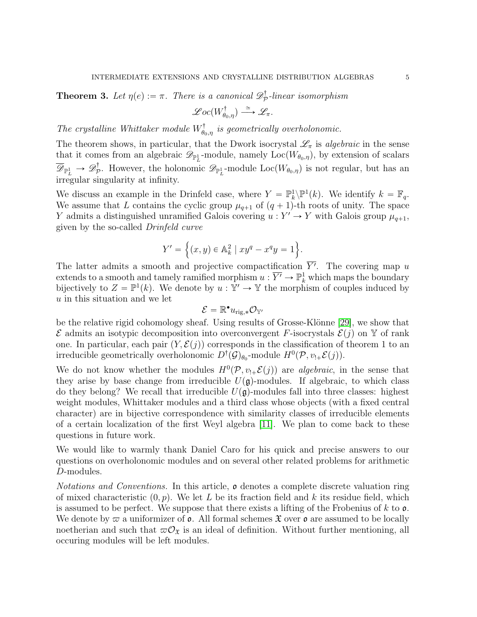**Theorem 3.** Let  $\eta(e) := \pi$ . There is a canonical  $\mathscr{D}^{\dagger}_{\mathcal{P}}$  $\mathbb{P}_{\mathcal{P}}$ -linear isomorphism

$$
\mathscr{Loc}(W_{\theta_0,\eta}^{\dagger}) \stackrel{\simeq}{\longrightarrow} \mathscr{L}_{\pi}.
$$

The crystalline Whittaker module  $W_{\theta_0,\eta}^{\dagger}$  is geometrically overholonomic.

The theorem shows, in particular, that the Dwork isocrystal  $\mathscr{L}_{\pi}$  is algebraic in the sense that it comes from an algebraic  $\mathscr{D}_{\mathbb{P}^1_L}$ -module, namely  $Loc(W_{\theta_0,\eta})$ , by extension of scalars  $\overline{\mathscr{D}}_{\mathbb{P}^1_L} \rightarrow \mathscr{D}^\dagger_{\mathcal{F}}$  $\mathcal{D}_{\mathcal{P}}^{\mathcal{F}}$ . However, the holonomic  $\mathscr{D}_{\mathbb{P}^1_L}$ -module  $Loc(W_{\theta_0,\eta})$  is not regular, but has an irregular singularity at infinity.

We discuss an example in the Drinfeld case, where  $Y = \mathbb{P}_k^1 \backslash \mathbb{P}^1(k)$ . We identify  $k = \mathbb{F}_q$ . We assume that L contains the cyclic group  $\mu_{q+1}$  of  $(q + 1)$ -th roots of unity. The space Y admits a distinguished unramified Galois covering  $u: Y' \to Y$  with Galois group  $\mu_{q+1}$ , given by the so-called Drinfeld curve

$$
Y' = \left\{ (x, y) \in \mathbb{A}_k^2 \mid xy^q - x^q y = 1 \right\}.
$$

The latter admits a smooth and projective compactification  $\overline{Y'}$ . The covering map u extends to a smooth and tamely ramified morphism  $u : \overline{Y'} \to \mathbb{P}^1_k$  which maps the boundary bijectively to  $Z = \mathbb{P}^1(k)$ . We denote by  $u : \mathbb{Y}' \to \mathbb{Y}$  the morphism of couples induced by u in this situation and we let

$$
\mathcal{E} = \mathbb{R}^{\bullet} u_{\mathrm{rig},*} \mathcal{O}_{\mathbb{Y}'}
$$

be the relative rigid cohomology sheaf. Using results of Grosse-Klönne [\[29\]](#page-48-5), we show that  $\mathcal E$  admits an isotypic decomposition into overconvergent F-isocrystals  $\mathcal E(j)$  on Y of rank one. In particular, each pair  $(Y, \mathcal{E}(j))$  corresponds in the classification of theorem 1 to an irreducible geometrically overholonomic  $D^{\dagger}(\mathcal{G})_{\theta_0}$ -module  $H^0(\mathcal{P}, v_{!+} \mathcal{E}(j)).$ 

We do not know whether the modules  $H^0(\mathcal{P}, v_{!+}\mathcal{E}(j))$  are *algebraic*, in the sense that they arise by base change from irreducible  $U(\mathfrak{g})$ -modules. If algebraic, to which class do they belong? We recall that irreducible  $U(\mathfrak{g})$ -modules fall into three classes: highest weight modules, Whittaker modules and a third class whose objects (with a fixed central character) are in bijective correspondence with similarity classes of irreducible elements of a certain localization of the first Weyl algebra [\[11\]](#page-47-5). We plan to come back to these questions in future work.

We would like to warmly thank Daniel Caro for his quick and precise answers to our questions on overholonomic modules and on several other related problems for arithmetic D-modules.

*Notations and Conventions.* In this article,  $\mathfrak{o}$  denotes a complete discrete valuation ring of mixed characteristic  $(0, p)$ . We let L be its fraction field and k its residue field, which is assumed to be perfect. We suppose that there exists a lifting of the Frobenius of  $k$  to  $\mathfrak{o}$ . We denote by  $\varpi$  a uniformizer of  $\varphi$ . All formal schemes  $\mathfrak{X}$  over  $\varphi$  are assumed to be locally noetherian and such that  $\varpi \mathcal{O}_{\mathfrak{X}}$  is an ideal of definition. Without further mentioning, all occuring modules will be left modules.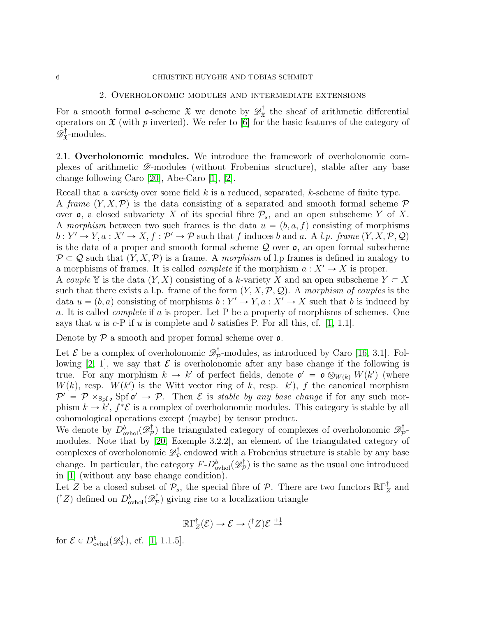## 6 CHRISTINE HUYGHE AND TOBIAS SCHMIDT

#### 2. Overholonomic modules and intermediate extensions

<span id="page-5-0"></span>For a smooth formal **o**-scheme  $\mathfrak{X}$  we denote by  $\mathscr{D}_{\mathfrak{X}}^{\dagger}$  $\mathbf{x}^{\mathsf{T}}$  the sheaf of arithmetic differential operators on  $\mathfrak X$  (with p inverted). We refer to [\[6\]](#page-47-1) for the basic features of the category of  $\mathscr{D}^{\dagger}_{\mathfrak{X}}$  $\mathbf{X}^{\dagger}$ -modules.

<span id="page-5-1"></span>2.1. Overholonomic modules. We introduce the framework of overholonomic complexes of arithmetic D-modules (without Frobenius structure), stable after any base change following Caro [\[20\]](#page-47-6), Abe-Caro [\[1\]](#page-47-4), [\[2\]](#page-47-7).

Recall that a *variety* over some field  $k$  is a reduced, separated,  $k$ -scheme of finite type. A frame  $(Y, X, \mathcal{P})$  is the data consisting of a separated and smooth formal scheme P over  $\mathfrak{o}$ , a closed subvariety X of its special fibre  $\mathcal{P}_s$ , and an open subscheme Y of X. A morphism between two such frames is the data  $u = (b, a, f)$  consisting of morphisms  $b: Y' \to Y, a: X' \to X, f: \mathcal{P}' \to \mathcal{P}$  such that f induces b and a. A l.p. frame  $(Y, X, \mathcal{P}, \mathcal{Q})$ is the data of a proper and smooth formal scheme  $\mathcal Q$  over  $\mathfrak o$ , an open formal subscheme  $\mathcal{P} \subset \mathcal{Q}$  such that  $(Y, X, \mathcal{P})$  is a frame. A morphism of l.p frames is defined in analogy to a morphisms of frames. It is called *complete* if the morphism  $a: X' \to X$  is proper. A couple Y is the data  $(Y, X)$  consisting of a k-variety X and an open subscheme  $Y \subset X$ such that there exists a l.p. frame of the form  $(Y, X, \mathcal{P}, \mathcal{Q})$ . A morphism of couples is the data  $u = (b, a)$  consisting of morphisms  $b : Y' \to Y, a : X' \to X$  such that b is induced by a. It is called complete if a is proper. Let P be a property of morphisms of schemes. One

Denote by  $P$  a smooth and proper formal scheme over  $\rho$ .

says that u is c-P if u is complete and b satisfies P. For all this, cf.  $[1, 1.1]$ .

Let  $\mathcal{E}$  be a complex of overholonomic  $\mathscr{D}^{\dagger}_{\mathcal{F}}$  $\not\Gamma_{\mathcal{P}}$ -modules, as introduced by Caro [\[16,](#page-47-8) 3.1]. Fol-lowing [\[2,](#page-47-7) 1], we say that  $\mathcal E$  is overholonomic after any base change if the following is true. For any morphism  $k \to k'$  of perfect fields, denote  $\mathfrak{o}' = \mathfrak{o} \otimes_{W(k)} W(k')$  (where  $W(k)$ , resp.  $W(k')$  is the Witt vector ring of k, resp. k'), f the canonical morphism  $\mathcal{P}' = \mathcal{P} \times_{\text{Spf } \mathfrak{o}} \text{Spf } \mathfrak{o}' \to \mathcal{P}$ . Then  $\mathcal E$  is stable by any base change if for any such morphism  $k \to k'$ ,  $f^*{\mathcal{E}}$  is a complex of overholonomic modules. This category is stable by all cohomological operations except (maybe) by tensor product.

We denote by  $D^b_{\text{ovhol}}(\mathscr{D}^\dagger_{\mathcal{F}})$  $\mathcal{D}_{\mathcal{P}}^{\dagger}$ ) the triangulated category of complexes of overholonomic  $\mathscr{D}_{\mathcal{P}}^{\dagger}$ 'T<br>P modules. Note that by [\[20,](#page-47-6) Exemple 3.2.2], an element of the triangulated category of complexes of overholonomic  $\mathscr{D}^{\dagger}_{\mathcal{P}}$  $\mathcal{P}_{\mathcal{P}}$  endowed with a Frobenius structure is stable by any base change. In particular, the category  $F-D^b_{\text{ovhol}}(\mathscr{D}^{\dagger}_{\mathcal{F}})$  $(\mathcal{P})$  is the same as the usual one introduced in [\[1\]](#page-47-4) (without any base change condition).

Let Z be a closed subset of  $\mathcal{P}_s$ , the special fibre of  $\mathcal{P}$ . There are two functors  $\mathbb{R}\Gamma_2^{\dagger}$  $Z$  and  $({}^{\dagger}Z)$  defined on  $D^b_{\text{ovhol}}(\mathscr{D}^{\dagger}_{\mathcal{P}})$  $(\mathcal{P})$  giving rise to a localization triangle

$$
\mathbb{R}\Gamma_Z^{\dagger}(\mathcal{E}) \to \mathcal{E} \to ({^{\dagger}Z})\mathcal{E} \stackrel{+1}{\to}
$$

for  $\mathcal{E} \in D^b_{\text{ovhol}}(\mathscr{D}^{\dagger}_{\mathcal{F}})$  $(\frac{\pi}{p})$ , cf. [\[1,](#page-47-4) 1.1.5].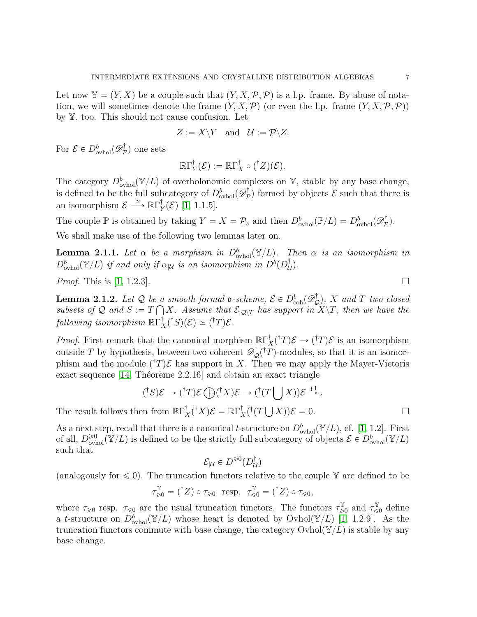Let now  $\mathbb{Y} = (Y, X)$  be a couple such that  $(Y, X, \mathcal{P}, \mathcal{P})$  is a l.p. frame. By abuse of notation, we will sometimes denote the frame  $(Y, X, \mathcal{P})$  (or even the l.p. frame  $(Y, X, \mathcal{P}, \mathcal{P})$ ) by Y, too. This should not cause confusion. Let

$$
Z := X \backslash Y \quad \text{and} \quad \mathcal{U} := \mathcal{P} \backslash Z.
$$

For  $\mathcal{E} \in D^b_{\mathrm{ovhol}}(\mathscr{D}^{\dagger}_{\mathcal{F}})$  $\mathcal{P}^{\mathsf{T}}$ ) one sets

$$
\mathbb{R}\Gamma_Y^{\dagger}(\mathcal{E}) := \mathbb{R}\Gamma_X^{\dagger} \circ ({^{\dagger}Z})(\mathcal{E}).
$$

The category  $D^b_{\text{ovhol}}(\mathbb{Y}/L)$  of overholonomic complexes on Y, stable by any base change, is defined to be the full subcategory of  $D^b_{\text{ovhol}}(\mathscr{D}^{\dagger}_\mathcal{F}$  $(\mathcal{P}_{\mathcal{P}}^{\mathsf{T}})$  formed by objects  $\mathcal{E}$  such that there is an isomorphism  $\mathcal{E} \stackrel{\simeq}{\longrightarrow} \mathbb{R}\Gamma_Y^{\dagger}$  $\int_Y(\mathcal{E})$  [\[1,](#page-47-4) 1.1.5].

The couple  $\mathbb P$  is obtained by taking  $Y = X = \mathcal P_s$  and then  $D^b_{\text{ovhol}}(\mathbb P/L) = D^b_{\text{ovhol}}(\mathscr D_{\mathcal P}^{\dagger})$  $\mathcal{P}^{\dagger}$ ).

We shall make use of the following two lemmas later on.

<span id="page-6-1"></span>**Lemma 2.1.1.** Let  $\alpha$  be a morphism in  $D^b_{\text{ovhol}}(\mathbb{Y}/L)$ . Then  $\alpha$  is an isomorphism in  $D^b_{\text{ovhol}}(\mathbb{Y}/L)$  if and only if  $\alpha_{|\mathcal{U}}$  is an isomorphism in  $D^b(D^{\dagger}_L)$  $_{\mathcal{U}}^{\intercal}).$ 

*Proof.* This is [\[1,](#page-47-4) 1.2.3].

<span id="page-6-0"></span>**Lemma 2.1.2.** Let Q be a smooth formal  $\mathfrak{o}$ -scheme,  $\mathcal{E} \in D^b_{\text{coh}}(\mathscr{D}^{\dagger}_{\mathcal{Q}})$ , X and T two closed subsets of Q and  $S := T \bigcap X$ . Assume that  $\mathcal{E}_{\vert \mathcal{Q} \vert T}$  has support in  $X \setminus T$ , then we have the following isomorphism  $\mathbb{R}\Gamma_X^{\dagger}({}^{\dagger}S)(\mathcal{E}) \simeq ({}^{\dagger}T)\mathcal{E}$ .

*Proof.* First remark that the canonical morphism  $\mathbb{R}\Gamma_X^{\dagger}(\dagger T)\mathcal{E} \to (\dagger T)\mathcal{E}$  is an isomorphism outside T by hypothesis, between two coherent  $\mathscr{D}_{\mathcal{Q}}^{\dagger}(T)$ -modules, so that it is an isomorphism and the module  $({}^{\dagger}T)\mathcal{E}$  has support in X. Then we may apply the Mayer-Vietoris exact sequence  $[14,$  Théorème 2.2.16] and obtain an exact triangle

$$
({}^{\dagger}S)\mathcal{E} \to ({}^{\dagger}T)\mathcal{E} \bigoplus ({}^{\dagger}X)\mathcal{E} \to ({}^{\dagger}(T\bigcup X))\mathcal{E} \stackrel{+1}{\to}.
$$

The result follows then from  $\mathbb{R}\Gamma_X^{\dagger}({}^{\dagger}X)\mathcal{E} = \mathbb{R}\Gamma_X^{\dagger}({}^{\dagger}(T))$  $(X)\mathcal{E} = 0.$ 

As a next step, recall that there is a canonical t-structure on  $D_{\text{ovhol}}^b(\mathbb{Y}/L)$ , cf. [\[1,](#page-47-4) 1.2]. First of all,  $D_{\text{ovhol}}^{\geq 0}(\mathbb{Y}/L)$  is defined to be the strictly full subcategory of objects  $\mathcal{E} \in D_{\text{ovhol}}^b(\mathbb{Y}/L)$ such that

$$
\mathcal{E}_{|\mathcal{U}} \in D^{\geq 0}(D_{\mathcal{U}}^{\dagger})
$$

(analogously for  $\leq 0$ ). The truncation functors relative to the couple Y are defined to be

$$
\tau_{\geq 0}^{\mathbb{Y}} = ({^{\dagger}Z}) \circ \tau_{\geq 0} \text{ resp. } \tau_{\leq 0}^{\mathbb{Y}} = ({^{\dagger}Z}) \circ \tau_{\leq 0},
$$

where  $\tau_{\geqslant 0}$  resp.  $\tau_{\leqslant 0}$  are the usual truncation functors. The functors  $\tau_{\geqslant}^{\mathbb{Y}}$  $\mathcal{L}_{\geq 0}^{\mathbb{Y}}$  and  $\tau_{\leq 0}^{\mathbb{Y}}$  define a t-structure on  $D^b_{\text{ovhol}}(\mathbb{Y}/L)$  whose heart is denoted by Ovhol $(\mathbb{Y}/L)$  [\[1,](#page-47-4) 1.2.9]. As the truncation functors commute with base change, the category  $\text{Ovhol}(\mathbb{Y}/L)$  is stable by any base change.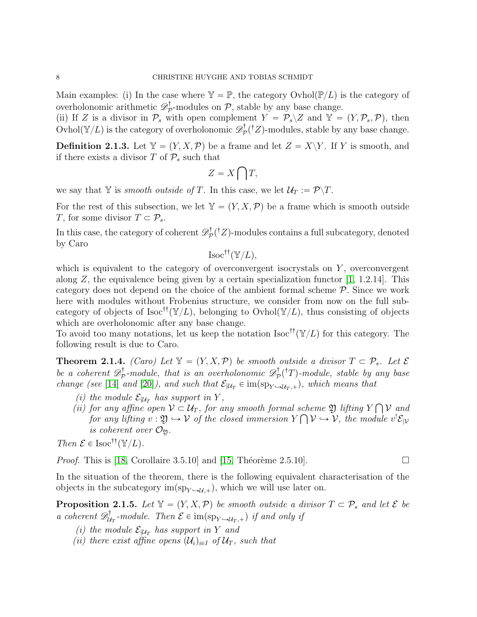Main examples: (i) In the case where  $\mathbb{Y} = \mathbb{P}$ , the category Ovhol $(\mathbb{P}/L)$  is the category of overholonomic arithmetic  $\mathscr{D}^{\dagger}_{\mathcal{P}}$  $\mathcal{P}_{\mathcal{P}}$ -modules on  $\mathcal{P}$ , stable by any base change.

(ii) If Z is a divisor in  $\mathcal{P}_s$  with open complement  $Y = \overline{\mathcal{P}}_s \setminus Z$  and  $\mathbb{Y} = (Y, \mathcal{P}_s, \mathcal{P})$ , then  $\operatorname{Ovhol}(\mathbb{Y}/L)$  is the category of overholonomic  $\mathscr{D}^\dagger_\mathcal{P}$  $p^{\dagger}_{\mathcal{P}}(^{\dagger}Z)$ -modules, stable by any base change.

**Definition 2.1.3.** Let  $Y = (Y, X, \mathcal{P})$  be a frame and let  $Z = X \ Y$ . If Y is smooth, and if there exists a divisor T of  $P_s$  such that č

$$
Z = X \bigcap T,
$$

we say that Y is *smooth outside of T*. In this case, we let  $\mathcal{U}_T := \mathcal{P}\backslash T$ .

For the rest of this subsection, we let  $\mathbb{Y} = (Y, X, \mathcal{P})$  be a frame which is smooth outside T, for some divisor  $T \subset \mathcal{P}_s$ .

In this case, the category of coherent  $\mathscr{D}^{\dagger}_{\mathcal{P}}$  $p^{\dagger}(Z)$ -modules contains a full subcategory, denoted by Caro

 $\text{Isoc}^{\dagger \dagger}(\mathbb{Y}/L),$ 

which is equivalent to the category of overconvergent isocrystals on  $Y$ , overconvergent along Z, the equivalence being given by a certain specialization functor  $[1, 1.2.14]$ . This category does not depend on the choice of the ambient formal scheme P. Since we work here with modules without Frobenius structure, we consider from now on the full subcategory of objects of Isoc<sup>††</sup>( $\mathbb{Y}/L$ ), belonging to Ovhol( $\mathbb{Y}/L$ ), thus consisting of objects which are overholonomic after any base change.

To avoid too many notations, let us keep the notation Isoc<sup>††</sup>( $\mathbb{Y}/L$ ) for this category. The following result is due to Caro.

<span id="page-7-0"></span>**Theorem 2.1.4.** (Caro) Let  $\mathbb{Y} = (Y, X, \mathcal{P})$  be smooth outside a divisor  $T \subset \mathcal{P}_s$ . Let  $\mathcal{E}$ be a coherent  $\mathscr{D}^\dagger_{\mathcal{F}}$  $\mathcal{D}_{\mathcal{P}}^{\dagger}\text{-module},\text{ that is an overholonomic } \mathscr{D}_{\mathcal{P}}^{\dagger}$  $p^{\dagger}_{\mathcal{P}}(^{\dagger}T)$ -module, stable by any base change (see [\[14\]](#page-47-9) and [\[20\]](#page-47-6)), and such that  $\mathcal{E}_{|\mathcal{U}_T} \in \text{im}(\text{sp}_{Y \hookrightarrow \mathcal{U}_T,+})$ , which means that

- (i) the module  $\mathcal{E}_{|\mathcal{U}_T}$  has support in Y,
- (ii) for any affine open  $V \subset \mathcal{U}_T$ , for any smooth formal scheme  $\mathfrak{Y}$  lifting Y Ş  $\mathit{scheme} \mathfrak{Y}$  lifting  $Y\bigcap V$  and for any lifting  $v : \mathfrak{Y} \hookrightarrow \mathcal{V}$  of the closed immersion  $Y \cap \mathcal{V} \hookrightarrow \mathcal{V}$ , the module  $v' \mathcal{E}_{|\mathcal{V}|}$ is coherent over  $\mathcal{O}_{\mathfrak{A}}$ .

Then  $\mathcal{E} \in \text{Isoc}^{\dagger}(\mathbb{Y}/L)$ .

*Proof.* This is [18, Corollaire 3.5.10] and [15, Théorème 2.5.10]. 
$$
\Box
$$

In the situation of the theorem, there is the following equivalent characterisation of the objects in the subcategory im $(sp_{Y\rightarrow U,+})$ , which we will use later on.

<span id="page-7-1"></span>**Proposition 2.1.5.** Let  $\mathbb{Y} = (Y, X, \mathcal{P})$  be smooth outside a divisor  $T \subset \mathcal{P}_s$  and let  $\mathcal{E}$  be a coherent  $\mathscr{D}^{\dagger}_{\mathcal{U}}$  $\mathcal{U}_T$ -module. Then  $\mathcal{E} \in \text{im}(\text{sp}_{Y \hookrightarrow \mathcal{U}_T,+})$  if and only if

- (i) the module  $\mathcal{E}_{|\mathcal{U}_T}$  has support in Y and
- (ii) there exist affine opens  $(\mathcal{U}_i)_{i\in I}$  of  $\mathcal{U}_T$ , such that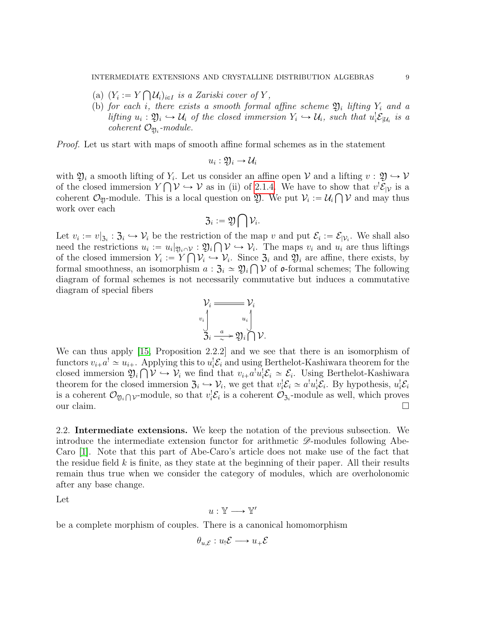(a)  $(Y_i := Y \cap \mathcal{U}_i)_{i \in I}$  is a Zariski cover of Y,

Ş

(b) for each i, there exists a smooth formal affine scheme  $\mathfrak{Y}_i$  lifting  $Y_i$  and a lifting  $u_i : \mathfrak{Y}_i \hookrightarrow \mathcal{U}_i$  of the closed immersion  $Y_i \hookrightarrow \mathcal{U}_i$ , such that  $u_i^!\mathcal{E}_{|\mathcal{U}_i}$  is a  $coherent$   $\mathcal{O}_{\mathfrak{Y}_i}$ -module.

Proof. Let us start with maps of smooth affine formal schemes as in the statement

$$
u_i:\mathfrak{Y}_i\to\mathcal{U}_i
$$

with  $\mathfrak{Y}_i$  a smooth lifting of  $Y_i$ . Let us consider an affine open  $\mathcal V$  and a lifting  $v: \mathfrak{Y} \hookrightarrow \mathcal V$ of the closed immersion  $Y \cap V \hookrightarrow V$  as in (ii) of [2.1.4.](#page-7-0) We have to show that  $v^! \mathcal{E}_{|V}$  is a coherent  $\mathcal{O}_{\mathfrak{Y}}$ -module. This is a local question on  $\mathfrak{Y}$ . We put  $\mathcal{V}_i := \mathcal{U}_i \cap \mathcal{V}$  and may thus work over each č

$$
\mathfrak{Z}_i:=\mathfrak{Y}\bigcap\mathcal{V}_i.
$$

Let  $v_i := v|_{\mathfrak{Z}_i} : \mathfrak{Z}_i \hookrightarrow \mathcal{V}_i$  be the restriction of the map v and put  $\mathcal{E}_i := \mathcal{E}_{|\mathcal{V}_i}$ . We shall also need the restrictions  $u_i := u_i|_{\mathfrak{Y}_i \cap \mathcal{V}} : \mathfrak{Y}_i \cap \mathcal{V} \hookrightarrow \mathcal{V}_i$ . The maps  $v_i$  and  $u_i$  are thus liftings of the closed immersion  $Y_i := Y \cap V_i \hookrightarrow V_i$ . Since  $\mathfrak{Z}_i$  and  $\mathfrak{Y}_i$  are affine, there exists, by formal smoothness, an isomorphism  $a: \mathfrak{Z}_i \simeq \mathfrak{Y}_i \cap \mathcal{V}$  of  $\mathfrak{o}$ -formal schemes; The following diagram of formal schemes is not necessarily commutative but induces a commutative diagram of special fibers

$$
\mathcal{V}_i \stackrel{\text{def}}{=} \mathcal{V}_i
$$
\n
$$
\bigcup_{i=1}^{v_i} \frac{u_i}{\lambda_i} \stackrel{u_i}{\longrightarrow} \mathfrak{Y}_i \bigcap \mathcal{V}.
$$

We can thus apply [\[15,](#page-47-11) Proposition 2.2.2] and we see that there is an isomorphism of functors  $v_{i+}a^! \simeq u_{i+}$ . Applying this to  $u_i^!\mathcal{E}_i$  and using Berthelot-Kashiwara theorem for the closed immersion  $\mathfrak{Y}_i \cap \mathcal{V} \hookrightarrow \mathcal{V}_i$  we find that  $v_{i+1} a^i u_i^j \mathcal{E}_i \simeq \mathcal{E}_i$ . Using Berthelot-Kashiwara theorem for the closed immersion  $\mathfrak{Z}_i \hookrightarrow \mathcal{V}_i$ , we get that  $v_i^!\mathcal{E}_i \simeq a^!u_i^!\mathcal{E}_i$ . By hypothesis,  $u_i^!\mathcal{E}_i$ is a coherent  $\mathcal{O}_{\mathfrak{Y}_i \cap V}$ -module, so that  $v_i^! \mathcal{E}_i$  is a coherent  $\mathcal{O}_{\mathfrak{Z}_i}$ -module as well, which proves our claim.  $\Box$ 

<span id="page-8-0"></span>2.2. Intermediate extensions. We keep the notation of the previous subsection. We introduce the intermediate extension functor for arithmetic  $\mathscr{D}$ -modules following Abe-Caro [\[1\]](#page-47-4). Note that this part of Abe-Caro's article does not make use of the fact that the residue field  $k$  is finite, as they state at the beginning of their paper. All their results remain thus true when we consider the category of modules, which are overholonomic after any base change.

Let

$$
u:\mathbb{Y}\longrightarrow\mathbb{Y}'
$$

be a complete morphism of couples. There is a canonical homomorphism

$$
\theta_{u,\mathcal{E}}: u_!\mathcal{E} \longrightarrow u_+\mathcal{E}
$$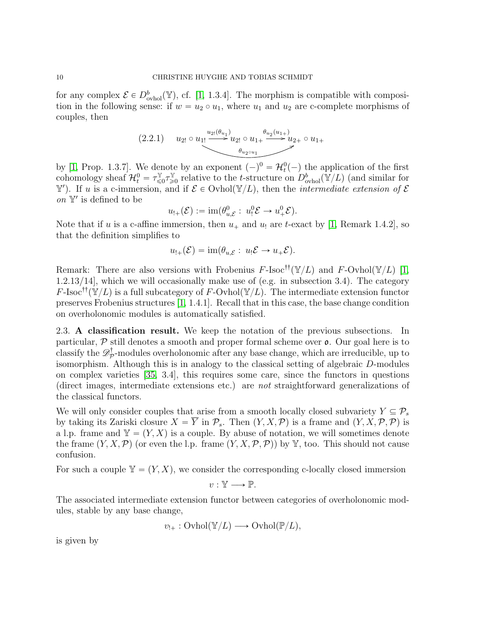for any complex  $\mathcal{E} \in D^b_{\text{ovhol}}(\mathbb{Y})$ , cf. [\[1,](#page-47-4) 1.3.4]. The morphism is compatible with composition in the following sense: if  $w = u_2 \circ u_1$ , where  $u_1$  and  $u_2$  are c-complete morphisms of couples, then

<span id="page-9-1"></span>
$$
(2.2.1) \t u_{2!} \circ u_{1!} \xrightarrow{u_{2!}(\theta_{u_1})} u_{2!} \circ u_{1+} \xrightarrow{\theta_{u_2(u_1+)}} u_{2+} \circ u_{1+}
$$

by [\[1,](#page-47-4) Prop. 1.3.7]. We denote by an exponent  $(-)^0 = \mathcal{H}_t^0(-)$  the application of the first cohomology sheaf  $\mathcal{H}_t^0 = \tau_{\leq t}^{\mathbb{Y}}$  $\mathbb{Y}_{\leqslant 0}^{\mathbb{Y}} \tau_{\geqslant}^{\mathbb{Y}}$  $\mathbb{E}_{\geqslant 0}^{\mathbb{Y}}$  relative to the *t*-structure on  $D^b_{\text{ovhol}}(\mathbb{Y}/L)$  (and similar for Y'). If u is a c-immersion, and if  $\mathcal{E} \in \text{Ovhol}(\mathbb{Y}/L)$ , then the *intermediate extension of*  $\mathcal{E}$ on  $\mathbb{Y}'$  is defined to be

$$
u_{!+}(\mathcal{E}) := \operatorname{im}(\theta_{u,\mathcal{E}}^0: u_!^0 \mathcal{E} \to u_+^0 \mathcal{E}).
$$

Note that if u is a c-affine immersion, then  $u_+$  and  $u_!$  are t-exact by [\[1,](#page-47-4) Remark 1.4.2], so that the definition simplifies to

$$
u_{!+}(\mathcal{E}) = \operatorname{im}(\theta_{u,\mathcal{E}}: u_{!}\mathcal{E} \to u_{+}\mathcal{E}).
$$

Remark: There are also versions with Frobenius F-Isoc<sup>††</sup>( $\mathbb{Y}/L$ ) and F-Ovhol( $\mathbb{Y}/L$ ) [\[1,](#page-47-4) 1.2.13/14], which we will occasionally make use of (e.g. in subsection 3.4). The category  $F\text{-}Isoc^{\dagger\dagger}(\mathbb{Y}/L)$  is a full subcategory of F-Ovhol $(\mathbb{Y}/L)$ . The intermediate extension functor preserves Frobenius structures [\[1,](#page-47-4) 1.4.1]. Recall that in this case, the base change condition on overholonomic modules is automatically satisfied.

<span id="page-9-0"></span>2.3. A classification result. We keep the notation of the previous subsections. In particular,  $P$  still denotes a smooth and proper formal scheme over  $\rho$ . Our goal here is to classify the  $\mathscr{D}^\dagger_{\mathcal{F}}$  $\mathcal{P}_{\mathcal{P}}^{\mathsf{T}}$ -modules overholonomic after any base change, which are irreducible, up to isomorphism. Although this is in analogy to the classical setting of algebraic D-modules on complex varieties [\[35,](#page-48-2) 3.4], this requires some care, since the functors in questions (direct images, intermediate extensions etc.) are not straightforward generalizations of the classical functors.

We will only consider couples that arise from a smooth locally closed subvariety  $Y \subseteq \mathcal{P}_s$ by taking its Zariski closure  $X = \overline{Y}$  in  $\mathcal{P}_s$ . Then  $(Y, X, \mathcal{P})$  is a frame and  $(Y, X, \mathcal{P}, \mathcal{P})$  is a l.p. frame and  $Y = (Y, X)$  is a couple. By abuse of notation, we will sometimes denote the frame  $(Y, X, \mathcal{P})$  (or even the l.p. frame  $(Y, X, \mathcal{P}, \mathcal{P})$ ) by Y, too. This should not cause confusion.

For such a couple  $\mathbb{Y} = (Y, X)$ , we consider the corresponding c-locally closed immersion

$$
v:\mathbb{Y}\longrightarrow \mathbb{P}.
$$

The associated intermediate extension functor between categories of overholonomic modules, stable by any base change,

$$
v_{!+}: \mathrm{Ovbol}(\mathbb{Y}/L) \longrightarrow \mathrm{Ovbol}(\mathbb{P}/L),
$$

is given by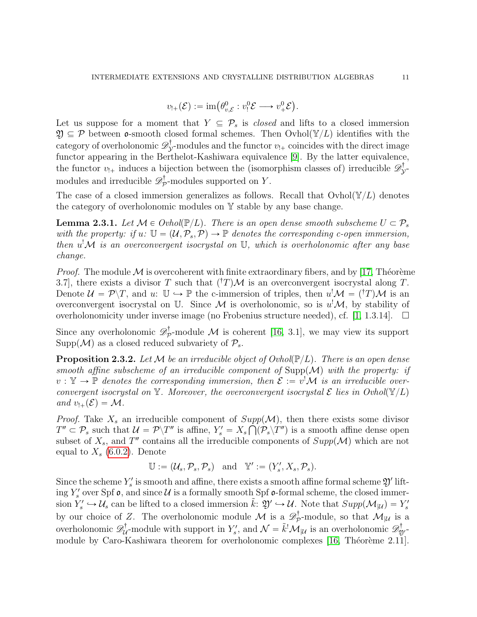$$
v_{!+}(\mathcal{E}) := \operatorname{im}(\theta_{v,\mathcal{E}}^0 : v_!^0 \mathcal{E} \longrightarrow v_+^0 \mathcal{E}).
$$

Let us suppose for a moment that  $Y \subseteq \mathcal{P}_s$  is *closed* and lifts to a closed immersion  $\mathfrak{Y} \subseteq \mathcal{P}$  between **o**-smooth closed formal schemes. Then Ovhol $(\mathbb{Y}/L)$  identifies with the category of overholonomic  $\mathscr{D}^{\dagger}_{\lambda}$  $y^{\dagger}$ -modules and the functor  $v_{!+}$  coincides with the direct image functor appearing in the Berthelot-Kashiwara equivalence [\[9\]](#page-47-12). By the latter equivalence, the functor  $v_{!+}$  induces a bijection between the (isomorphism classes of) irreducible  $\mathscr{D}^{\dagger}_{\lambda}$ j<br>V= modules and irreducible  $\mathscr{D}^{\dagger}_{\mathcal{P}}$  $p^{\dagger}$ -modules supported on Y.

The case of a closed immersion generalizes as follows. Recall that  $\text{Ovhol}(\mathbb{Y}/L)$  denotes the category of overholonomic modules on Y stable by any base change.

**Lemma 2.3.1.** Let  $\mathcal{M} \in \text{Ovhol}(\mathbb{P}/L)$ . There is an open dense smooth subscheme  $U \subset \mathcal{P}_s$ with the property: if  $u: \mathbb{U} = (\mathcal{U}, \mathcal{P}_s, \mathcal{P}) \to \mathbb{P}$  denotes the corresponding c-open immersion, then  $u^! \mathcal{M}$  is an overconvergent isocrystal on  $\mathbb{U}$ , which is overholonomic after any base change.

*Proof.* The module  $\mathcal M$  is overcoherent with finite extraordinary fibers, and by [\[17,](#page-47-13) Théorème 3.7, there exists a divisor T such that  $({}^{\dagger}T)\mathcal{M}$  is an overconvergent isocrystal along T. Denote  $\mathcal{U} = \mathcal{P}\backslash T$ , and  $u: \mathbb{U} \hookrightarrow \mathbb{P}$  the c-immersion of triples, then  $u^! \mathcal{M} = (T^* \mathcal{M})$  is an overconvergent isocrystal on U. Since M is overholonomic, so is  $u^{\dagger}M$ , by stability of overholonomicity under inverse image (no Frobenius structure needed), cf. [\[1,](#page-47-4) 1.3.14].  $\square$ 

Since any overholonomic  $\mathscr{D}^{\dagger}_{\mathcal{P}}$  $\mathcal{P}_{\mathcal{P}}$ -module M is coherent [\[16,](#page-47-8) 3.1], we may view its support Supp $(\mathcal{M})$  as a closed reduced subvariety of  $\mathcal{P}_s$ .

<span id="page-10-0"></span>**Proposition 2.3.2.** Let M be an irreducible object of Ovhol( $\mathbb{P}/L$ ). There is an open dense smooth affine subscheme of an irreducible component of  $\text{Supp}(\mathcal{M})$  with the property: if  $v: \mathbb{Y} \to \mathbb{P}$  denotes the corresponding immersion, then  $\mathcal{E} := v^{\dagger} \mathcal{M}$  is an irreducible overconvergent isocrystal on Y. Moreover, the overconvergent isocrystal  $\mathcal E$  lies in Ovhol $(\mathbb{Y}/L)$ and  $v_{\perp}(\mathcal{E}) = \mathcal{M}$ .

*Proof.* Take  $X_s$  an irreducible component of  $Supp(\mathcal{M})$ , then there exists some divisor  $T'' \subset \mathcal{P}_s$  such that  $\mathcal{U} = \mathcal{P} \backslash T''$  is affine,  $Y'_s = X_s \bigcap (\mathcal{P}_s \backslash T'')$  is a smooth affine dense open subset of  $X_s$ , and T'' contains all the irreducible components of  $Supp(\mathcal{M})$  which are not equal to  $X_s$  [\(6.0.2\)](#page-46-0). Denote

$$
\mathbb{U}:=(\mathcal{U}_s,\mathcal{P}_s,\mathcal{P}_s)\quad\text{and}\quad\mathbb{Y}':=(Y'_s,X_s,\mathcal{P}_s).
$$

Since the scheme  $Y'_s$  is smooth and affine, there exists a smooth affine formal scheme  $\mathfrak{Y}'$  lifting  $Y'_s$  over Spf  $\mathfrak o$ , and since  $\mathcal U$  is a formally smooth Spf  $\mathfrak o$ -formal scheme, the closed immersion  $Y_s' \hookrightarrow \mathcal{U}_s$  can be lifted to a closed immersion  $\tilde{k}: \mathfrak{Y}' \hookrightarrow \mathcal{U}$ . Note that  $Supp(\mathcal{M}_{|\mathcal{U}}) = Y_s'$ by our choice of Z. The overholonomic module M is a  $\mathscr{D}^{\dagger}_{\mathcal{F}}$  $\mathcal{P}_{\mathcal{P}}^{\mathsf{T}}$ -module, so that  $\mathcal{M}_{|\mathcal{U}|}$  is a overholonomic  $\mathscr{D}^\dagger_\mu$  $\mathcal{U}^{\dagger}$ -module with support in  $Y'_{s}$ , and  $\mathcal{N} = \tilde{k}^{!} \mathcal{M}_{|\mathcal{U}}$  is an overholonomic  $\mathscr{D}_{\mathfrak{Y}'}^{\dagger}$ module by Caro-Kashiwara theorem for overholonomic complexes [\[16,](#page-47-8) Théorème 2.11].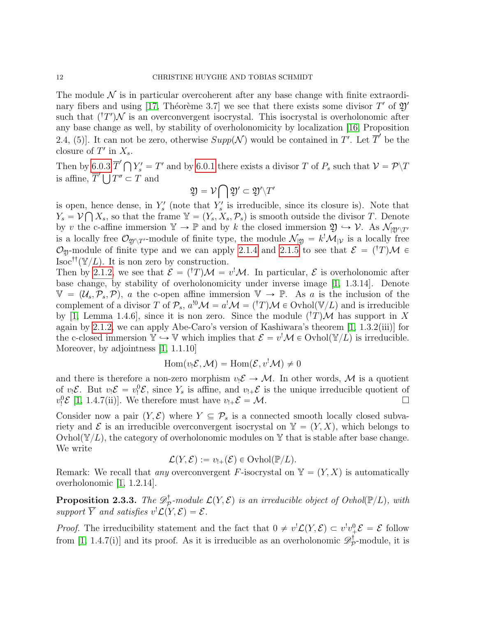The module  $\mathcal N$  is in particular overcoherent after any base change with finite extraordi-nary fibers and using [\[17,](#page-47-13) Théorème 3.7] we see that there exists some divisor  $T'$  of  $\mathfrak{Y}'$ such that  $({}^{\dagger}T')\mathcal{N}$  is an overconvergent isocrystal. This isocrystal is overholonomic after any base change as well, by stability of overholonomicity by localization [\[16,](#page-47-8) Proposition 2.4, (5). It can not be zero, otherwise  $Supp(\mathcal{N})$  would be contained in T'. Let  $\overline{T}'$  be the closure of  $T'$  in  $X_s$ .

Then by [6.0.3](#page-46-1)  $\overline{T}' \bigcap Y'_s = T'$  and by [6.0.1](#page-45-1) there exists a divisor T of  $P_s$  such that  $\mathcal{V} = \mathcal{P} \setminus T$ Then by 6.0.3  $I \mid Y_s = I'$  and by 6.0.1 the<br>is affine,  $\overline{T}' \bigcup T'' \subset T$  and

$$
\mathfrak{Y} = \mathcal{V} \bigcap \mathfrak{Y}' \subset \mathfrak{Y}' \backslash T'
$$

is open, hence dense, in  $Y'_s$  (note that  $Y'_s$  is irreducible, since its closure is). Note that  $Y_s = \mathcal{V} \bigcap X_s$ , so that the frame  $\mathbb{Y} = (Y_s, X_s, \mathcal{P}_s)$  is smooth outside the divisor T. Denote by v the c-affine immersion  $Y \to \mathbb{P}$  and by k the closed immersion  $\mathfrak{Y} \to \mathcal{V}$ . As  $\mathcal{N}_{|\mathfrak{Y}'\setminus T'}$ is a locally free  $\mathcal{O}_{\mathfrak{Y}'\mathfrak{Y}'}$ -module of finite type, the module  $\mathcal{N}_{|\mathfrak{Y}} = k^! \mathcal{M}_{|\mathcal{V}}$  is a locally free O<sub>2</sub>-module of finite type and we can apply [2.1.4](#page-7-0) and [2.1.5](#page-7-1) to see that  $\mathcal{E} = (\dagger T)\mathcal{M} \in$  $\text{Isoc}^{\dagger\dagger}(\mathbb{Y}/L)$ . It is non zero by construction.

Then by [2.1.2,](#page-6-0) we see that  $\mathcal{E} = (\dagger T)\mathcal{M} = v^!\mathcal{M}$ . In particular,  $\mathcal{E}$  is overholonomic after base change, by stability of overholonomicity under inverse image [\[1,](#page-47-4) 1.3.14]. Denote  $\mathbb{V} = (\mathcal{U}_s, \mathcal{P}_s, \mathcal{P}),$  a the c-open affine immersion  $\mathbb{V} \to \mathbb{P}$ . As a is the inclusion of the complement of a divisor T of  $P_s$ ,  $a^{!0} \mathcal{M} = a^! \mathcal{M} = (T^*M) \mathcal{M} \in \text{Ovhol}(\mathbb{V}/L)$  and is irreducible by [\[1,](#page-47-4) Lemma 1.4.6], since it is non zero. Since the module  $({}^{\dagger}T)\mathcal{M}$  has support in X again by [2.1.2,](#page-6-0) we can apply Abe-Caro's version of Kashiwara's theorem [\[1,](#page-47-4) 1.3.2(iii)] for the c-closed immersion  $\mathbb{Y} \hookrightarrow \mathbb{V}$  which implies that  $\mathcal{E} = v^! \mathcal{M} \in \text{Ovhol}(\mathbb{Y}/L)$  is irreducible. Moreover, by adjointness [\[1,](#page-47-4) 1.1.10]

$$
\operatorname{Hom}(v_!\mathcal{E},\mathcal{M}) = \operatorname{Hom}(\mathcal{E},v^!\mathcal{M}) \neq 0
$$

and there is therefore a non-zero morphism  $v_1 \mathcal{E} \to \mathcal{M}$ . In other words,  $\mathcal{M}$  is a quotient of  $v_1 \mathcal{E}$ . But  $v_1 \mathcal{E} = v_1^0 \mathcal{E}$ , since  $Y_s$  is affine, and  $v_1 \mathcal{E}$  is the unique irreducible quotient of  $v_!^0$   $\mathcal{E}$  [\[1,](#page-47-4) 1.4.7(ii)]. We therefore must have  $v_+$   $\mathcal{E} = \mathcal{M}$ .

Consider now a pair  $(Y, \mathcal{E})$  where  $Y \subseteq \mathcal{P}_s$  is a connected smooth locally closed subvariety and  $\mathcal E$  is an irreducible overconvergent isocrystal on  $\mathbb Y = (Y, X)$ , which belongs to Ovhol $(\mathbb{Y}/L)$ , the category of overholonomic modules on Y that is stable after base change. We write

$$
\mathcal{L}(Y,\mathcal{E}) := v_{!+}(\mathcal{E}) \in \mathrm{Ovbol}(\mathbb{P}/L).
$$

Remark: We recall that any overconvergent F-isocrystal on  $\mathbb{Y} = (Y, X)$  is automatically overholonomic [\[1,](#page-47-4) 1.2.14].

<span id="page-11-0"></span>Proposition 2.3.3. The  $\mathscr{D}^{\dagger}_{\mathcal{P}}$  $p_{\mathcal{P}}^{\dagger}\text{-module }\mathcal{L}(Y,\mathcal{E})$  is an irreducible object of  $Ovhol(\mathbb{P}/L)$ , with support  $\overline{Y}$  and satisfies  $v^! \mathcal{L}(Y, \mathcal{E}) = \mathcal{E}$ .

*Proof.* The irreducibility statement and the fact that  $0 \neq v' \mathcal{L}(Y, \mathcal{E}) \subset v'v_{+}^{0}\mathcal{E} = \mathcal{E}$  follow from [\[1,](#page-47-4) 1.4.7(i)] and its proof. As it is irreducible as an overholonomic  $\mathscr{D}^\dagger_{\mathcal{P}}$  $\mathcal{P}^{\mathsf{T}}$ -module, it is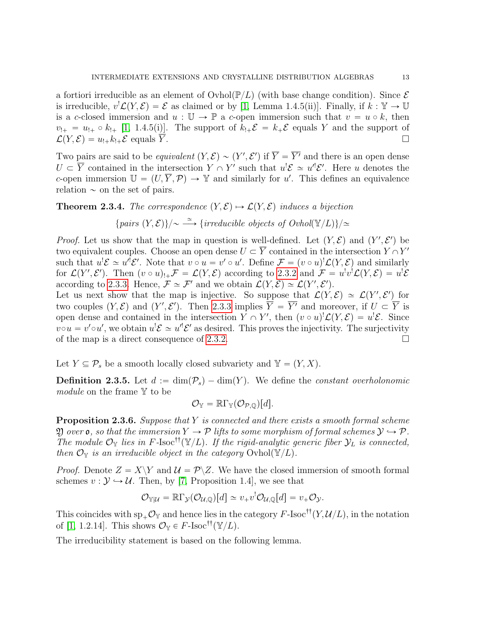a fortiori irreducible as an element of  $\text{Ovhol}(\mathbb{P}/L)$  (with base change condition). Since  $\mathcal E$ is irreducible,  $v^! \mathcal{L}(Y, \mathcal{E}) = \mathcal{E}$  as claimed or by [\[1,](#page-47-4) Lemma 1.4.5(ii)]. Finally, if  $k : \mathbb{Y} \to \mathbb{U}$ is a c-closed immersion and  $u : \mathbb{U} \to \mathbb{P}$  a c-open immersion such that  $v = u \circ k$ , then  $v_{!+} = u_{!+} \circ k_{!+}$  [\[1,](#page-47-4) 1.4.5(i)]. The support of  $k_{!+} \mathcal{E} = k_{+} \mathcal{E}$  equals Y and the support of  $\mathcal{L}(Y, \mathcal{E}) = u_{!+} k_{!+} \mathcal{E}$  equals  $\overline{Y}$ .

Two pairs are said to be *equivalent*  $(Y, \mathcal{E}) \sim (Y', \mathcal{E}')$  if  $\overline{Y} = \overline{Y'}$  and there is an open dense  $U \subset \overline{Y}$  contained in the intersection  $Y \cap Y'$  such that  $u' \mathcal{E} \simeq u'' \mathcal{E}'$ . Here u denotes the c-open immersion  $\mathbb{U} = (U, \overline{Y}, \mathcal{P}) \to \mathbb{Y}$  and similarly for u'. This defines an equivalence relation  $\sim$  on the set of pairs.

<span id="page-12-0"></span>**Theorem 2.3.4.** The correspondence  $(Y, \mathcal{E}) \rightarrow \mathcal{L}(Y, \mathcal{E})$  induces a bijection

{ $pairs (Y, \mathcal{E})\}/\sim \stackrel{\simeq}{\longrightarrow} \{irreducible objects of Ovhol(\mathbb{Y}/L)\}/\simeq$ 

*Proof.* Let us show that the map in question is well-defined. Let  $(Y, \mathcal{E})$  and  $(Y', \mathcal{E}')$  be two equivalent couples. Choose an open dense  $U \subset \overline{Y}$  contained in the intersection  $Y \cap Y'$ such that  $u' \mathcal{E} \simeq u'' \mathcal{E}'$ . Note that  $v \circ u = v' \circ u'$ . Define  $\mathcal{F} = (v \circ u)' \mathcal{L}(Y, \mathcal{E})$  and similarly for  $\mathcal{L}(Y',\mathcal{E}')$ . Then  $(v \circ u)_{!+} \mathcal{F} = \mathcal{L}(Y,\mathcal{E})$  according to [2.3.2](#page-10-0) and  $\mathcal{F} = u^! v^! \mathcal{L}(Y,\mathcal{E}) = u^! \mathcal{E}$ according to [2.3.3.](#page-11-0) Hence,  $\mathcal{F} \simeq \mathcal{F}'$  and we obtain  $\mathcal{L}(Y, \mathcal{E}) \simeq \mathcal{L}(Y', \mathcal{E}')$ .

Let us next show that the map is injective. So suppose that  $\mathcal{L}(Y,\mathcal{E}) \simeq \mathcal{L}(Y',\mathcal{E}')$  for two couples  $(Y, \mathcal{E})$  and  $(Y', \mathcal{E}')$ . Then [2.3.3](#page-11-0) implies  $\overline{Y} = \overline{Y'}$  and moreover, if  $U \subset \overline{Y}$  is open dense and contained in the intersection  $Y \cap Y'$ , then  $(v \circ u)' \mathcal{L}(Y, \mathcal{E}) = u' \mathcal{E}$ . Since  $v \circ u = v' \circ u'$ , we obtain  $u' \mathcal{E} \simeq u'' \mathcal{E}'$  as desired. This proves the injectivity. The surjectivity of the map is a direct consequence of [2.3.2.](#page-10-0)

Let  $Y \subseteq \mathcal{P}_s$  be a smooth locally closed subvariety and  $\mathbb{Y} = (Y, X)$ .

<span id="page-12-1"></span>**Definition 2.3.5.** Let  $d := \dim(\mathcal{P}_s) - \dim(Y)$ . We define the constant overholonomic module on the frame Y to be

$$
\mathcal{O}_{\mathbb{Y}} = \mathbb{R}\Gamma_{\mathbb{Y}}(\mathcal{O}_{\mathcal{P},\mathbb{Q}})[d].
$$

**Proposition 2.3.6.** Suppose that Y is connected and there exists a smooth formal scheme  $\mathfrak Y$  over **o**, so that the immersion  $Y \to \mathcal P$  lifts to some morphism of formal schemes  $\mathcal Y \hookrightarrow \mathcal P$ . The module  $\mathcal{O}_{\mathbb{Y}}$  lies in F-Isoc<sup>††</sup>( $\mathbb{Y}/L$ ). If the rigid-analytic generic fiber  $\mathcal{Y}_L$  is connected, then  $\mathcal{O}_{Y}$  is an irreducible object in the category  $\mathrm{Ovhol}(\mathbb{Y}/L)$ .

*Proof.* Denote  $Z = X\Y$  and  $\mathcal{U} = \mathcal{P}\Z$ . We have the closed immersion of smooth formal schemes  $v : \mathcal{Y} \hookrightarrow \mathcal{U}$ . Then, by [\[7,](#page-47-14) Proposition 1.4], we see that

$$
\mathcal{O}_{\mathbb{Y}|\mathcal{U}} = \mathbb{R}\Gamma_{\mathcal{Y}}(\mathcal{O}_{\mathcal{U},\mathbb{Q}})[d] \simeq v_{+}v^{!}\mathcal{O}_{\mathcal{U},\mathbb{Q}}[d] = v_{+}\mathcal{O}_{\mathcal{Y}}.
$$

This coincides with  $\text{sp}_+\mathcal{O}_Y$  and hence lies in the category F-Isoc<sup>††</sup>(Y,  $\mathcal{U}/L$ ), in the notation of [\[1,](#page-47-4) 1.2.14]. This shows  $\mathcal{O}_{\mathbb{Y}} \in F\text{-}Isoc^{\dagger \dagger}(\mathbb{Y}/L)$ .

The irreducibility statement is based on the following lemma.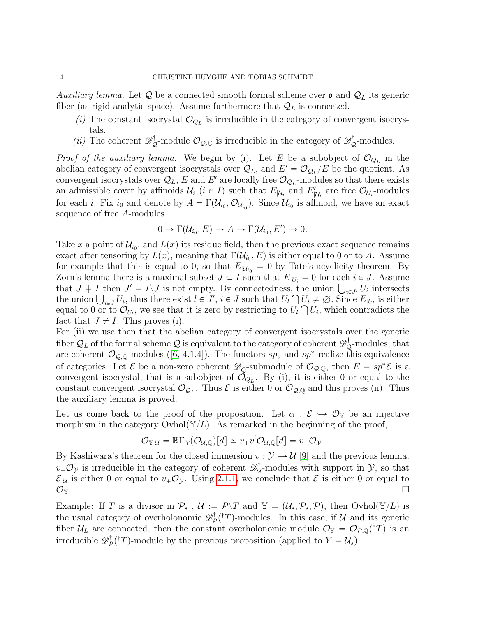Auxiliary lemma. Let Q be a connected smooth formal scheme over  $\mathfrak o$  and  $\mathcal Q_L$  its generic fiber (as rigid analytic space). Assume furthermore that  $\mathcal{Q}_L$  is connected.

- (i) The constant isocrystal  $\mathcal{O}_{Q_L}$  is irreducible in the category of convergent isocrystals.
- (*ii*) The coherent  $\mathscr{D}_{\mathcal{Q}}^{\dagger}$ -module  $\mathcal{O}_{\mathcal{Q},\mathbb{Q}}$  is irreducible in the category of  $\mathscr{D}_{\mathcal{Q}}^{\dagger}$ -modules.

*Proof of the auxiliary lemma.* We begin by (i). Let E be a subobject of  $\mathcal{O}_{Q_L}$  in the abelian category of convergent isocrystals over  $\mathcal{Q}_L$ , and  $E' = \mathcal{O}_{\mathcal{Q}_L}/E$  be the quotient. As convergent isocrystals over  $\mathcal{Q}_L$ , E and E' are locally free  $\mathcal{O}_{\mathcal{Q}_L}$ -modules so that there exists an admissible cover by affinoids  $\mathcal{U}_i$  ( $i \in I$ ) such that  $E_{|\mathcal{U}_i}$  and  $E'_{|\mathcal{U}_i}$  are free  $\mathcal{O}_{\mathcal{U}_i}$ -modules for each *i*. Fix  $i_0$  and denote by  $A = \Gamma(\mathcal{U}_{i_0}, \mathcal{O}_{\mathcal{U}_{i_0}})$ . Since  $\mathcal{U}_{i_0}$  is affinoid, we have an exact sequence of free A-modules

$$
0 \to \Gamma(\mathcal{U}_{i_0}, E) \to A \to \Gamma(\mathcal{U}_{i_0}, E') \to 0.
$$

Take x a point of  $\mathcal{U}_{i_0}$ , and  $L(x)$  its residue field, then the previous exact sequence remains exact after tensoring by  $L(x)$ , meaning that  $\Gamma(\mathcal{U}_{i_0}, E)$  is either equal to 0 or to A. Assume for example that this is equal to 0, so that  $E_{|\mathcal{U}_{i_0}} = 0$  by Tate's acyclicity theorem. By Zorn's lemma there is a maximal subset  $J \subset I$  such that  $E_{|U_i} = 0$  for each  $i \in J$ . Assume Zorn's lemma there is a maximal subset  $J \subset I$  such that  $E_{|U_i} = 0$  for each  $i \in J$ . Assume that  $J \neq I$  then  $J' = I \setminus J$  is not empty. By connectedness, the union  $\bigcup_{i \in J'} U_i$  intersects that  $J \neq I$  then  $J' = I \setminus J$  is not empty. By connectedness, the union  $\bigcup_{i \in J'} U_i$  intersects the union  $\bigcup_{i \in J} U_i$ , thus there exist  $l \in J'$ ,  $i \in J$  such that  $U_l \cap U_i \neq \emptyset$ . Since  $E_{|U_l}$  is either equal to 0 or to  $\mathcal{O}_{U_l}$ , we see that it is zero by restricting to  $U_l \bigcap U_i$ , which contradicts the fact that  $J \neq I$ . This proves (i).

For (ii) we use then that the abelian category of convergent isocrystals over the generic fiber  $\mathcal{Q}_L$  of the formal scheme  $\mathcal Q$  is equivalent to the category of coherent  $\mathscr{D}^\dagger_\mathcal{Q}$ -modules, that arecoherent  $\mathcal{O}_{\mathcal{Q},\mathbb{Q}}$ -modules ([\[6,](#page-47-1) 4.1.4]). The functors  $sp_*$  and  $sp^*$  realize this equivalence of categories. Let  $\mathcal{E}$  be a non-zero coherent  $\mathscr{D}_{\mathcal{Q}}^{\dagger}$ -submodule of  $\mathcal{O}_{\mathcal{Q},\mathbb{Q}}$ , then  $E = sp^*\mathcal{E}$  is a convergent isocrystal, that is a subobject of  $\mathcal{O}_{Q_L}$ . By (i), it is either 0 or equal to the constant convergent isocrystal  $\mathcal{O}_{\mathcal{Q}_L}$ . Thus  $\mathcal E$  is either 0 or  $\mathcal{O}_{\mathcal{Q},\mathbb{Q}}$  and this proves (ii). Thus the auxiliary lemma is proved.

Let us come back to the proof of the proposition. Let  $\alpha : \mathcal{E} \hookrightarrow \mathcal{O}_{\mathbb{Y}}$  be an injective morphism in the category Ovhol $(\mathbb{Y}/L)$ . As remarked in the beginning of the proof,

$$
\mathcal{O}_{\mathbb{Y}|\mathcal{U}} = \mathbb{R}\Gamma_{\mathcal{Y}}(\mathcal{O}_{\mathcal{U},\mathbb{Q}})[d] \simeq v_{+}v^{!}\mathcal{O}_{\mathcal{U},\mathbb{Q}}[d] = v_{+}\mathcal{O}_{\mathcal{Y}}.
$$

By Kashiwara's theorem for the closed immersion  $v : \mathcal{Y} \hookrightarrow \mathcal{U}$  [\[9\]](#page-47-12) and the previous lemma,  $v_+\mathcal{O}_\mathcal{Y}$  is irreducible in the category of coherent  $\mathscr{D}_\mathcal{U}^\dagger$  $\mathcal{U}$ -modules with support in  $\mathcal{Y}$ , so that  $\mathcal{E}_{|\mathcal{U}}$  is either 0 or equal to  $v_+\mathcal{O}_\mathcal{Y}$ . Using [2.1.1,](#page-6-1) we conclude that  $\mathcal E$  is either 0 or equal to  $\mathcal{O}_\mathbb{Y}.$ 

Example: If T is a divisor in  $\mathcal{P}_s$ ,  $\mathcal{U} := \mathcal{P}\backslash T$  and  $\mathbb{Y} = (\mathcal{U}_s, \mathcal{P}_s, \mathcal{P})$ , then Ovhol $(\mathbb{Y}/L)$  is the usual category of overholonomic  $\mathscr{D}^{\dagger}_{\mathcal{P}}$  $p^{\dagger}(T)$ -modules. In this case, if U and its generic fiber  $\mathcal{U}_L$  are connected, then the constant overholonomic module  $\mathcal{O}_{\mathbb{Y}} = \mathcal{O}_{\mathcal{P},\mathbb{Q}}({}^{\dagger}T)$  is an irreducible  $\mathscr{D}^\dagger_{\mathcal{F}}$  $p^{\dagger}_{\mathcal{P}}(\dagger T)$ -module by the previous proposition (applied to  $Y = \mathcal{U}_s$ ).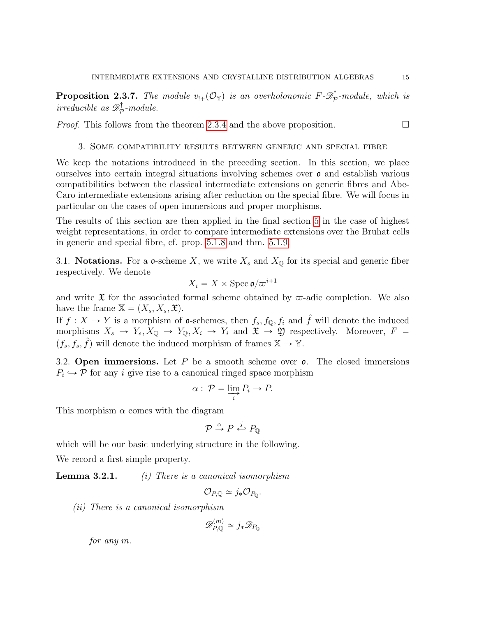<span id="page-14-3"></span>**Proposition 2.3.7.** The module  $v_{!+}(\mathcal{O}_{\mathbb{Y}})$  is an overholonomic  $F \text{-} \mathscr{D}^{\dagger}_{\mathcal{P}}$  $\mathbb{P}^{\mathsf{T}}$ -module, which is *irreducible as*  $\mathscr{D}^{\dagger}_{\mathcal{F}}$  $\mathbb{Z}_p^{\mathsf{T}}$ -module.

*Proof.* This follows from the theorem [2.3.4](#page-12-0) and the above proposition.  $\Box$ 

## 3. Some compatibility results between generic and special fibre

<span id="page-14-0"></span>We keep the notations introduced in the preceding section. In this section, we place ourselves into certain integral situations involving schemes over  $\rho$  and establish various compatibilities between the classical intermediate extensions on generic fibres and Abe-Caro intermediate extensions arising after reduction on the special fibre. We will focus in particular on the cases of open immersions and proper morphisms.

The results of this section are then applied in the final section [5](#page-34-0) in the case of highest weight representations, in order to compare intermediate extensions over the Bruhat cells in generic and special fibre, cf. prop. [5.1.8](#page-38-1) and thm. [5.1.9.](#page-38-0)

<span id="page-14-1"></span>3.1. **Notations.** For a **o**-scheme X, we write  $X_s$  and  $X_{\mathbb{Q}}$  for its special and generic fiber respectively. We denote

$$
X_i = X \times \text{Spec } \mathfrak{o}/\varpi^{i+1}
$$

and write  $\mathfrak X$  for the associated formal scheme obtained by  $\varpi$ -adic completion. We also have the frame  $X = (X_s, X_s, \mathfrak{X}).$ 

If  $f: X \to Y$  is a morphism of **o**-schemes, then  $f_s, f_{\mathbb{Q}}, f_i$  and  $\hat{f}$  will denote the induced morphisms  $X_s \to Y_s, X_{\mathbb{Q}} \to Y_{\mathbb{Q}}, X_i \to Y_i$  and  $\mathfrak{X} \to \mathfrak{Y}$  respectively. Moreover,  $F =$  $(f_s, f_s, \hat{f})$  will denote the induced morphism of frames  $\mathbb{X} \to \mathbb{Y}$ .

<span id="page-14-2"></span>3.2. Open immersions. Let P be a smooth scheme over  $\rho$ . The closed immersions  $P_i \hookrightarrow \mathcal{P}$  for any *i* give rise to a canonical ringed space morphism

$$
\alpha: \mathcal{P} = \varinjlim_{i} P_{i} \to P.
$$

This morphism  $\alpha$  comes with the diagram

$$
\mathcal{P}\stackrel{\alpha}{\rightarrow}P\stackrel{j}{\leftarrow}P_{\mathbb{Q}}
$$

which will be our basic underlying structure in the following.

We record a first simple property.

**Lemma 3.2.1.** (i) There is a canonical isomorphism

$$
\mathcal{O}_{P,\mathbb{Q}}\simeq j_*\mathcal{O}_{P_{\mathbb{Q}}}.
$$

(ii) There is a canonical isomorphism

$$
\mathscr{D}_{P,\mathbb{Q}}^{(m)} \simeq j_* \mathscr{D}_{P_\mathbb{Q}}
$$

for any m.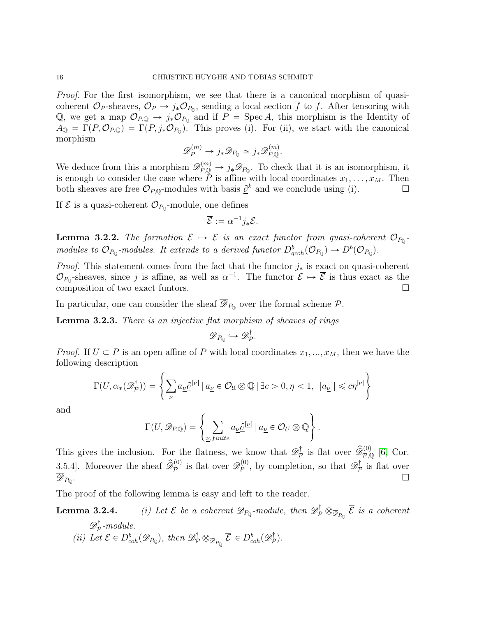Proof. For the first isomorphism, we see that there is a canonical morphism of quasicoherent  $\mathcal{O}_P$ -sheaves,  $\mathcal{O}_P \to j_* \mathcal{O}_{P_Q}$ , sending a local section f to f. After tensoring with Q, we get a map  $\mathcal{O}_{P,Q} \to j_* \mathcal{O}_{P_Q}$  and if  $P = \text{Spec } A$ , this morphism is the Identity of  $A_{\mathbb{Q}} = \Gamma(P, \mathcal{O}_{P, \mathbb{Q}}) = \Gamma(P, j_*\mathcal{O}_{P_{\mathbb{Q}}}).$  This proves (i). For (ii), we start with the canonical morphism

$$
\mathscr{D}_P^{(m)} \to j_* \mathscr{D}_{P_{\mathbb{Q}}} \simeq j_* \mathscr{D}_{P, \mathbb{Q}}^{(m)}.
$$

We deduce from this a morphism  $\mathscr{D}_{P,Q}^{(m)} \to j_* \mathscr{D}_{P_Q}$ . To check that it is an isomorphism, it is enough to consider the case where P is affine with local coordinates  $x_1, \ldots, x_M$ . Then both sheaves are free  $\mathcal{O}_{P,Q}$ -modules with basis  $\underline{\partial}^k$  and we conclude using (i).

If  $\mathcal E$  is a quasi-coherent  $\mathcal O_{P_0}$ -module, one defines

$$
\overline{\mathcal{E}} := \alpha^{-1} j_* \mathcal{E}.
$$

**Lemma 3.2.2.** The formation  $\mathcal{E} \to \mathcal{E}$  is an exact functor from quasi-coherent  $\mathcal{O}_{P_0}$ modules to  $\overline{\mathcal{O}}_{P_{\mathbb{Q}}}$ -modules. It extends to a derived functor  $D^b_{qcoh}(\mathcal{O}_{P_{\mathbb{Q}}}) \to D^b(\overline{\mathcal{O}}_{P_{\mathbb{Q}}})$ .

*Proof.* This statement comes from the fact that the functor  $j_*$  is exact on quasi-coherent  $\mathcal{O}_{P_0}$ -sheaves, since j is affine, as well as  $\alpha^{-1}$ . The functor  $\mathcal{E} \mapsto \overline{\mathcal{E}}$  is thus exact as the composition of two exact funtors.

In particular, one can consider the sheaf  $\mathscr{D}_{P_0}$  over the formal scheme  $\mathcal{P}$ .

Lemma 3.2.3. There is an injective flat morphism of sheaves of rings

$$
\overline{\mathscr{D}}_{P_{\mathbb{Q}}} \hookrightarrow \mathscr{D}_{\mathcal{P}}^{\dagger}.
$$

*Proof.* If  $U \subset P$  is an open affine of P with local coordinates  $x_1, ..., x_M$ , then we have the following description  $\frac{1}{2}$ 

$$
\Gamma(U, \alpha_*(\mathscr{D}_\mathcal{P}^\dagger)) = \left\{ \sum_{\underline{\nu}} a_{\underline{\nu}} \underline{\partial}^{[\underline{\nu}]} \, | \, a_{\underline{\nu}} \in \mathcal{O}_{\mathfrak{U}} \otimes \mathbb{Q} \, | \, \exists c > 0, \eta < 1, \, ||a_{\underline{\nu}}|| \leq c\eta^{|\underline{\nu}|} \right\}
$$

and

$$
\Gamma(U, \mathscr{D}_{P,Q}) = \left\{ \sum_{\underline{\nu},finite} a_{\underline{\nu}} \underline{\partial}^{[\underline{\nu}]} \mid a_{\underline{\nu}} \in \mathcal{O}_U \otimes \mathbb{Q} \right\}.
$$

This gives the inclusion. For the flatness, we know that  $\mathscr{D}^{\dagger}_{\mathcal{F}}$  $\widehat{\mathcal{P}}_{\mathcal{P},\mathbb{Q}}^{\dagger}$  is flat over  $\widehat{\mathscr{D}}_{\mathcal{P},\mathbb{Q}}^{(0)}$  [\[6,](#page-47-1) Cor. 3.5.4]. Moreover the sheaf  $\widehat{\mathscr{D}}_{\mathcal{P}}^{(0)}$  is flat over  $\mathscr{D}_{\mathcal{P}}^{(0)}$  $p_P^{(0)}$ , by completion, so that  $\mathscr{D}_{\mathcal{F}}^{\dagger}$  $\mathcal{P}$  is flat over  $\mathscr{D}_{P_{0}}$ . . В последните последните под се при последните последните последните под се при последните последните последн<br>В последните последните последните последните последните последните последните последните последните последнит

The proof of the following lemma is easy and left to the reader.

**Lemma 3.2.4.** (i) Let  $\mathcal{E}$  be a coherent  $\mathscr{D}_{P_Q}$ -module, then  $\mathscr{D}_P^{\dagger} \otimes_{\overline{\mathscr{D}}_{P_Q}} \overline{\mathcal{E}}$  is a coherent  $\mathscr{D}^{\dagger}_{\mathcal{F}}$  $\mathbb{Z}_{p}^{\mathbb{T}}$ -module.

(ii) Let  $\mathcal{E} \in D^b_{coh}(\mathscr{D}_{P_{\mathbb{Q}}})$ , then  $\mathscr{D}^{\dagger}_{\mathcal{P}} \otimes_{\overline{\mathscr{D}}_{P_{\mathbb{Q}}}} \overline{\mathcal{E}} \in D^b_{coh}(\mathscr{D}^{\dagger}_{\mathcal{P}})$  $\mathcal{P}^{\dagger}$ ).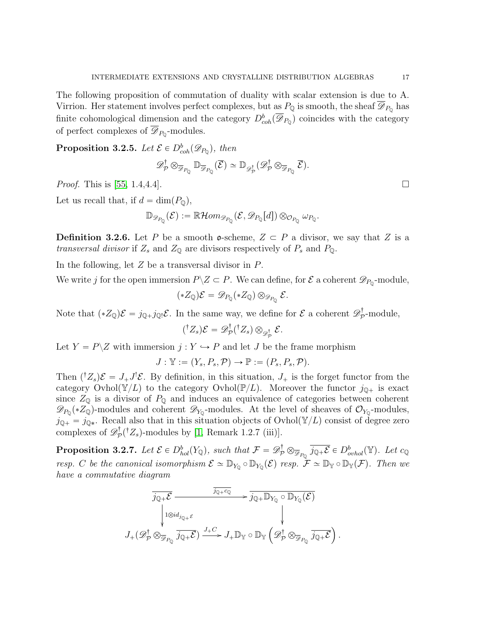The following proposition of commutation of duality with scalar extension is due to A. Virrion. Her statement involves perfect complexes, but as  $P_{\mathbb{Q}}$  is smooth, the sheaf  $\mathscr{D}_{P_{\mathbb{Q}}}$  has finite cohomological dimension and the category  $D^b_{coh}(\overline{\mathscr{D}}_{P_Q})$  coincides with the category of perfect complexes of  $\mathscr{D}_{P_0}$ -modules.

<span id="page-16-1"></span>**Proposition 3.2.5.** Let  $\mathcal{E} \in D^b_{coh}(\mathscr{D}_{P_Q})$ , then

$$
\mathscr{D}^{\dagger}_{\mathcal{P}} \otimes_{\overline{\mathscr{D}}_{P_{\mathbb{Q}}}} \mathbb{D}_{\overline{\mathscr{D}}_{P_{\mathbb{Q}}}}(\overline{\mathcal{E}}) \simeq \mathbb{D}_{\mathscr{D}^{\dagger}_{\mathcal{P}}}(\mathscr{D}^{\dagger}_{\mathcal{P}} \otimes_{\overline{\mathscr{D}}_{P_{\mathbb{Q}}}} \overline{\mathcal{E}}).
$$

*Proof.* This is [\[55,](#page-49-0) 1.4,4.4].

Let us recall that, if  $d = \dim(P_0)$ ,

$$
\mathbb{D}_{\mathscr{D}_{P_{\mathbb{Q}}}}(\mathcal{E}):=\mathbb{R}\mathcal{H}om_{\mathscr{D}_{P_{\mathbb{Q}}}}(\mathcal{E},\mathscr{D}_{P_{\mathbb{Q}}}[d])\otimes_{\mathcal{O}_{P_{\mathbb{Q}}}}\omega_{P_{\mathbb{Q}}}.
$$

<span id="page-16-2"></span>**Definition 3.2.6.** Let P be a smooth **o**-scheme,  $Z \subset P$  a divisor, we say that Z is a transversal divisor if  $Z_s$  and  $Z_{\mathbb{Q}}$  are divisors respectively of  $P_s$  and  $P_{\mathbb{Q}}$ .

In the following, let Z be a transversal divisor in P.

We write j for the open immersion  $P \setminus Z \subset P$ . We can define, for  $\mathcal{E}$  a coherent  $\mathscr{D}_{P_0}$ -module,

$$
(*Z_{\mathbb{Q}})\mathcal{E}=\mathscr{D}_{P_{\mathbb{Q}}}(*Z_{\mathbb{Q}})\otimes_{\mathscr{D}_{P_{\mathbb{Q}}}}\mathcal{E}.
$$

Note that  $(*Z_{\mathbb{Q}})\mathcal{E} = j_{\mathbb{Q}+}j_{\mathbb{Q}!}\mathcal{E}$ . In the same way, we define for  $\mathcal{E}$  a coherent  $\mathscr{D}_{\mathcal{P}}^{\dagger}$  $\bar{p}$ -module,

$$
({}^{\dagger}Z_{s})\mathcal{E}=\mathscr{D}_{\mathcal{P}}^{\dagger}({}^{\dagger}Z_{s})\otimes_{\mathscr{D}_{\mathcal{P}}^{\dagger}}\mathcal{E}.
$$

Let  $Y = P \setminus Z$  with immersion  $j : Y \hookrightarrow P$  and let J be the frame morphism

$$
J: \mathbb{Y} := (Y_s, P_s, \mathcal{P}) \to \mathbb{P} := (P_s, P_s, \mathcal{P}).
$$

Then  $({}^{\dagger}Z_s)\mathcal{E} = J_+J^!\mathcal{E}$ . By definition, in this situation,  $J_+$  is the forget functor from the category Ovhol $(\mathbb{Y}/L)$  to the category Ovhol $(\mathbb{P}/L)$ . Moreover the functor  $j_{\mathbb{Q}_+}$  is exact since  $Z_{\mathbb{Q}}$  is a divisor of  $P_{\mathbb{Q}}$  and induces an equivalence of categories between coherent  $\mathscr{D}_{P_0}(*Z_{\mathbb{Q}})$ -modules and coherent  $\mathscr{D}_{Y_0}$ -modules. At the level of sheaves of  $\mathcal{O}_{Y_0}$ -modules,  $j_{\mathbb{Q}+} = j_{\mathbb{Q}*}$ . Recall also that in this situation objects of Ovhol $(\mathbb{Y}/L)$  consist of degree zero complexes of  $\mathscr{D}^{\dagger}_{\mathcal{P}}$  $p^{\dagger}_{\mathcal{P}}(^{\dagger}Z_s)$ -modules by [\[1,](#page-47-4) Remark 1.2.7 (iii)].

<span id="page-16-0"></span>**Proposition 3.2.7.** Let  $\mathcal{E} \in D_{hol}^b(Y_{\mathbb{Q}})$ , such that  $\mathcal{F} = \mathscr{D}_\mathcal{P}^{\dagger} \otimes_{\overline{\mathscr{D}}_{P_{\mathbb{Q}}}} \overline{j_{\mathbb{Q}+\mathcal{E}}} \in D_{orbol}^b(\mathbb{Y})$ . Let  $c_{\mathbb{Q}}$ resp. C be the canonical isomorphism  $\mathcal{E} \simeq \mathbb{D}_{Y_{\mathbb{O}}} \circ \mathbb{D}_{Y_{\mathbb{O}}}(\mathcal{E})$  resp.  $\mathcal{F} \simeq \mathbb{D}_{\mathbb{Y}} \circ \mathbb{D}_{\mathbb{Y}}(\mathcal{F})$ . Then we have a commutative diagram

$$
\overline{j_{\mathbb{Q}+}\mathcal{E}} \xrightarrow{\overline{j_{\mathbb{Q}+}c_{\mathbb{Q}}}} \overline{j_{\mathbb{Q}+}\mathbb{D}_{Y_{\mathbb{Q}}}\circ \mathbb{D}_{Y_{\mathbb{Q}}}(\mathcal{E})}
$$
\n
$$
J_{+}(\mathscr{D}_{\mathcal{P}}^{\dagger} \otimes_{\overline{\mathcal{D}}_{P_{\mathbb{Q}}}} \overline{j_{\mathbb{Q}+}\mathcal{E}}) \xrightarrow{J_{+}C} J_{+}\mathbb{D}_{Y} \circ \mathbb{D}_{Y} \left(\mathscr{D}_{\mathcal{P}}^{\dagger} \otimes_{\overline{\mathcal{D}}_{P_{\mathbb{Q}}}} \overline{j_{\mathbb{Q}+}\mathcal{E}}\right)
$$

.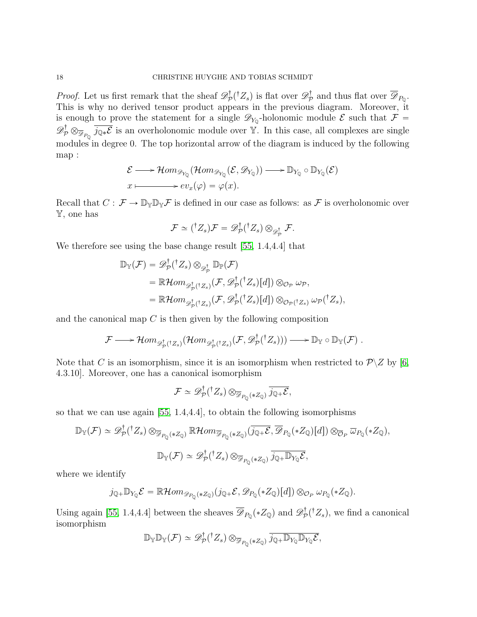*Proof.* Let us first remark that the sheaf  $\mathscr{D}_{\mathcal{F}}^{\dagger}$  $\mathcal{D}^{\dagger}_{\mathcal{P}}(^{\dagger}Z_s)$  is flat over  $\mathcal{D}^{\dagger}_{\mathcal{P}}$  $\mathcal{P}_{\mathcal{P}}^{\mathcal{T}}$  and thus flat over  $\mathscr{D}_{P_{\mathbb{Q}}}$ . This is why no derived tensor product appears in the previous diagram. Moreover, it is enough to prove the statement for a single  $\mathscr{D}_{Y_0}$ -holonomic module  $\mathcal E$  such that  $\mathcal F$  =  $\mathscr{D}_p^{\dagger} \otimes_{\overline{\mathscr{D}}_{P_0}} \overline{j_{\mathbb{Q}*} \mathcal{E}}$  is an overholonomic module over Y. In this case, all complexes are single modules in degree 0. The top horizontal arrow of the diagram is induced by the following map :

$$
\mathcal{E} \longrightarrow \mathcal{H}om_{\mathscr{D}_{Y_{\mathbb{Q}}}}(\mathcal{H}om_{\mathscr{D}_{Y_{\mathbb{Q}}}}(\mathcal{E}, \mathscr{D}_{Y_{\mathbb{Q}}})) \longrightarrow \mathbb{D}_{Y_{\mathbb{Q}}} \circ \mathbb{D}_{Y_{\mathbb{Q}}}(\mathcal{E})
$$
  

$$
x \longmapsto ev_x(\varphi) = \varphi(x).
$$

Recall that  $C: \mathcal{F} \to \mathbb{D}_{\mathbb{Y}} \mathbb{D}_{\mathbb{Y}} \mathcal{F}$  is defined in our case as follows: as  $\mathcal{F}$  is overholonomic over Y, one has

$$
\mathcal{F} \simeq ({}^{\dagger}Z_s)\mathcal{F} = \mathscr{D}_{\mathcal{P}}^{\dagger}({}^{\dagger}Z_s) \otimes_{\mathscr{D}_{\mathcal{P}}^{\dagger}} \mathcal{F}.
$$

We therefore see using the base change result [\[55,](#page-49-0) 1.4,4.4] that

$$
\mathbb{D}_{\mathbb{Y}}(\mathcal{F}) = \mathscr{D}_{\mathcal{P}}^{\dagger}({^{\dagger}Z_{s}}) \otimes_{\mathscr{D}_{\mathcal{P}}^{\dagger}} \mathbb{D}_{\mathbb{P}}(\mathcal{F})
$$
\n
$$
= \mathbb{R}\mathcal{H}om_{\mathscr{D}_{\mathcal{P}}^{\dagger}({^{\dagger}Z_{s}})}(\mathcal{F}, \mathscr{D}_{\mathcal{P}}^{\dagger}({^{\dagger}Z_{s}})[d]) \otimes_{\mathcal{O}_{\mathcal{P}}} \omega_{\mathcal{P}},
$$
\n
$$
= \mathbb{R}\mathcal{H}om_{\mathscr{D}_{\mathcal{P}}^{\dagger}({^{\dagger}Z_{s}})}(\mathcal{F}, \mathscr{D}_{\mathcal{P}}^{\dagger}({^{\dagger}Z_{s}})[d]) \otimes_{\mathcal{O}_{\mathcal{P}}({^{\dagger}Z_{s}})} \omega_{\mathcal{P}}({^{\dagger}Z_{s}}),
$$

and the canonical map  $C$  is then given by the following composition

$$
\mathcal{F}\longrightarrow \mathcal{H}om_{\mathscr{D}^{\dagger}_{\mathcal{P}}(^{\dagger}Z_{s})}(\mathcal{H}om_{\mathscr{D}^{\dagger}_{\mathcal{P}}(^{\dagger}Z_{s})}(\mathcal{F},\mathscr{D}^{\dagger}_{\mathcal{P}}(^{\dagger}Z_{s})))\longrightarrow \mathbb{D}_{\mathbb{Y}}\circ \mathbb{D}_{\mathbb{Y}}(\mathcal{F}) .
$$

Note that C is an isomorphism, since it is an isomorphism when restricted to  $\mathcal{P}\backslash Z$  by [\[6,](#page-47-1) 4.3.10]. Moreover, one has a canonical isomorphism

$$
\mathcal{F} \simeq \mathscr{D}_{\mathcal{P}}^{\dagger}({}^{\dagger}Z_s) \otimes_{\overline{\mathscr{D}}_{P_{\mathbb{Q}}}(*Z_{\mathbb{Q}})} \overline{j_{\mathbb{Q}+} \mathcal{E}},
$$

so that we can use again [\[55,](#page-49-0) 1.4,4.4], to obtain the following isomorphisms

$$
\mathbb{D}_{\mathbb{Y}}(\mathcal{F}) \simeq \mathscr{D}_{\mathcal{P}}^{\dagger}({}^{\dagger}Z_{s}) \otimes_{\overline{\mathscr{D}}_{P_{\mathbb{Q}}(*Z_{\mathbb{Q}})}} \mathbb{R} \mathcal{H} \text{om}_{\overline{\mathscr{D}}_{P_{\mathbb{Q}}(*Z_{\mathbb{Q}})}}(\overline{j_{\mathbb{Q}+\mathcal{E}},\overline{\mathscr{D}}_{P_{\mathbb{Q}}(*Z_{\mathbb{Q}})}}[d]) \otimes_{\overline{\mathcal{O}}_{P}} \overline{\omega}_{P_{\mathbb{Q}}(*Z_{\mathbb{Q}})},
$$
  

$$
\mathbb{D}_{\mathbb{Y}}(\mathcal{F}) \simeq \mathscr{D}_{\mathcal{P}}^{\dagger}({}^{\dagger}Z_{s}) \otimes_{\overline{\mathscr{D}}_{P_{\mathbb{Q}}(*Z_{\mathbb{Q}})}} \overline{j_{\mathbb{Q}+\mathbb{D}}Y_{\mathbb{Q}}\mathcal{E}},
$$

where we identify

$$
j_{\mathbb{Q}+} \mathbb{D}_{Y_{\mathbb{Q}}} \mathcal{E} = \mathbb{R} \mathcal{H}om_{\mathscr{D}_{P_{\mathbb{Q}}}(*Z_{\mathbb{Q}})}(j_{\mathbb{Q}+} \mathcal{E}, \mathscr{D}_{P_{\mathbb{Q}}}(*Z_{\mathbb{Q}})[d]) \otimes_{\mathcal{O}_P} \omega_{P_{\mathbb{Q}}}(*Z_{\mathbb{Q}}).
$$

Using again [\[55,](#page-49-0) 1.4,4.4] between the sheaves  $\overline{\mathscr{D}}_{P_{\mathbb{Q}}}(*Z_{\mathbb{Q}})$  and  $\mathscr{D}_{\mathcal{P}}^{\dagger}$  $p^{\dagger}(Z_s)$ , we find a canonical isomorphism

$$
\mathbb{D}_{\mathbb{Y}}\mathbb{D}_{\mathbb{Y}}(\mathcal{F})\simeq \mathscr{D}^{\dagger}_{\mathcal{P}}({}^{\dagger}Z_s)\otimes_{\overline{\mathscr{D}}_{P_{\mathbb{Q}}(*Z_{\mathbb{Q}})}}\overline{j_{\mathbb{Q}+\mathbb{D}_{Y_{\mathbb{Q}}}\mathbb{D}_{Y_{\mathbb{Q}}}\mathcal{E}}},
$$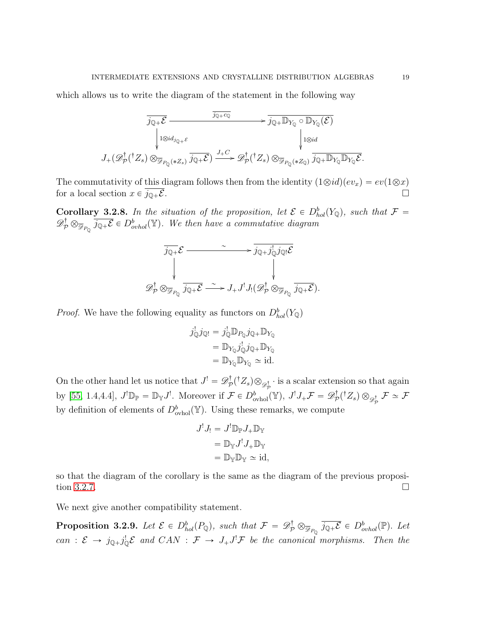which allows us to write the diagram of the statement in the following way

$$
\overline{j_{\mathbb{Q}+\mathcal{E}}}
$$
\n
$$
\overline{j_{\mathbb{Q}+\mathcal{E}}}
$$
\n
$$
\downarrow
$$
\n
$$
J_{\mathbb{Q}}(\mathcal{E})
$$
\n
$$
J_{\mathbb{Q}}(\mathcal{E})
$$
\n
$$
J_{\mathbb{Q}}(\mathcal{E})
$$
\n
$$
J_{\mathbb{Q}}(\mathcal{E})
$$
\n
$$
J_{\mathbb{Q}}(\mathcal{E})
$$
\n
$$
J_{\mathbb{Q}}(\mathcal{E})
$$
\n
$$
J_{\mathbb{Q}}(\mathcal{E})
$$
\n
$$
J_{\mathbb{Q}}(\mathcal{E})
$$
\n
$$
J_{\mathbb{Q}}(\mathcal{E})
$$
\n
$$
J_{\mathbb{Q}}(\mathcal{E})
$$
\n
$$
J_{\mathbb{Q}}(\mathcal{E})
$$
\n
$$
J_{\mathbb{Q}}(\mathcal{E})
$$
\n
$$
J_{\mathbb{Q}}(\mathcal{E})
$$
\n
$$
J_{\mathbb{Q}}(\mathcal{E})
$$
\n
$$
J_{\mathbb{Q}}(\mathcal{E})
$$
\n
$$
J_{\mathbb{Q}}(\mathcal{E})
$$
\n
$$
J_{\mathbb{Q}}(\mathcal{E})
$$
\n
$$
J_{\mathbb{Q}}(\mathcal{E})
$$
\n
$$
J_{\mathbb{Q}}(\mathcal{E})
$$
\n
$$
J_{\mathbb{Q}}(\mathcal{E})
$$
\n
$$
J_{\mathbb{Q}}(\mathcal{E})
$$
\n
$$
J_{\mathbb{Q}}(\mathcal{E})
$$
\n
$$
J_{\mathbb{Q}}(\mathcal{E})
$$
\n
$$
J_{\mathbb{Q}}(\mathcal{E})
$$
\n
$$
J_{\mathbb{Q}}(\mathcal{E})
$$
\n
$$
J_{\mathbb{Q}}(\mathcal{E})
$$
\n
$$
J_{\mathbb{Q}}(\mathcal{E})
$$
\n
$$
J_{\mathbb{Q}}(\mathcal{E})
$$
\n
$$
J_{\mathbb{Q}}(\mathcal{E})
$$
\n<math display="block</math>

The commutativity of this diagram follows then from the identity  $(1\otimes id)(ev_x) = ev(1\otimes x)$ for a local section  $x \in \overline{j_{\mathbb{Q}+\mathcal{E}}}$ .

<span id="page-18-0"></span>**Corollary 3.2.8.** In the situation of the proposition, let  $\mathcal{E} \in D_{hol}^b(Y_{\mathbb{Q}})$ , such that  $\mathcal{F} =$  $\mathscr{D}_\mathcal{P}^\dagger \otimes_{\overline{\mathscr{D}}_{P_Q}} \overline{j_{\mathbb{Q}+\mathcal{E}}} \in D^b_{orbol}(\mathbb{Y})$ . We then have a commutative diagram

$$
\overline{j_{\mathbb{Q}+}}\mathcal{E} \xrightarrow{\sim} \overline{j_{\mathbb{Q}+}} \overline{j_{\mathbb{Q}+}}\mathcal{E}
$$
\n
$$
\downarrow \qquad \qquad \downarrow
$$
\n
$$
\mathscr{D}_{\mathcal{P}}^{\dagger} \otimes_{\overline{\mathscr{D}}_{P_{\mathbb{Q}}}} \overline{j_{\mathbb{Q}+}}\mathcal{E} \xrightarrow{\sim} J_{+}J^{!}J_{!}(\mathscr{D}_{\mathcal{P}}^{\dagger} \otimes_{\overline{\mathscr{D}}_{P_{\mathbb{Q}}}} \overline{j_{\mathbb{Q}+}}\mathcal{E}).
$$

*Proof.* We have the following equality as functors on  $D_{hol}^b(Y_Q)$ 

$$
j_{\mathbb{Q}}^{\mathbf{j}} j_{\mathbb{Q}!} = j_{\mathbb{Q}}^{\mathbf{j}} \mathbb{D}_{P_{\mathbb{Q}}} j_{\mathbb{Q}+} \mathbb{D}_{Y_{\mathbb{Q}}} = \mathbb{D}_{Y_{\mathbb{Q}}} j_{\mathbb{Q}}^{\mathbf{j}} j_{\mathbb{Q}+} \mathbb{D}_{Y_{\mathbb{Q}}} = \mathbb{D}_{Y_{\mathbb{Q}}} \mathbb{D}_{Y_{\mathbb{Q}}} \simeq \mathrm{id}.
$$

On the other hand let us notice that  $J' = \mathscr{D}_{\mathcal{F}}^{\dagger}$  $p^{\dagger}_{\mathcal{P}}(^{\dagger}Z_s) \otimes_{\mathscr{D}_{\mathcal{P}}^{\dagger}}$  is a scalar extension so that again by [\[55,](#page-49-0) 1.4,4.4],  $J^! \mathbb{D}_{\mathbb{P}} = \mathbb{D}_{\mathbb{Y}} J^!$ . Moreover if  $\mathcal{F} \in D^b_{\text{ovhol}}(\mathbb{Y}), J^! J_+ \mathcal{F} = \mathscr{D}_{\mathcal{F}}^{\dagger}$  $\mathcal{P}_{\mathcal{P}}^{\dagger}({}^{\dagger}Z_s)\otimes_{\mathscr{D}_{\mathcal{P}}^{\dagger}}\mathcal{F}\simeq \mathcal{F}$ by definition of elements of  $D^b_{\text{ovhol}}(\mathbb{Y})$ . Using these remarks, we compute

$$
J^{!} J_{!} = J^{!} \mathbb{D}_{\mathbb{P}} J_{+} \mathbb{D}_{\mathbb{Y}}
$$
  
=  $\mathbb{D}_{\mathbb{Y}} J^{!} J_{+} \mathbb{D}_{\mathbb{Y}}$   
=  $\mathbb{D}_{\mathbb{Y}} \mathbb{D}_{\mathbb{Y}} \simeq id$ ,

so that the diagram of the corollary is the same as the diagram of the previous proposi-tion [3.2.7.](#page-16-0)  $\Box$ 

We next give another compatibility statement.

<span id="page-18-1"></span>**Proposition 3.2.9.** Let  $\mathcal{E} \in D^b_{hol}(P_{\mathbb{Q}})$ , such that  $\mathcal{F} = \mathscr{D}^{\dagger}_{\mathcal{P}} \otimes_{\overline{\mathscr{P}}_{P_{\mathbb{Q}}}} \overline{j_{\mathbb{Q}+\mathcal{E}}} \in D^b_{ovhol}(\mathbb{P})$ . Let can :  $\mathcal{E} \to j_{\mathbb{Q}+} j_{\mathbb{Q}}^! \mathcal{E}$  and  $CAN : \mathcal{F} \to J_+ J^! \mathcal{F}$  be the canonical morphisms. Then the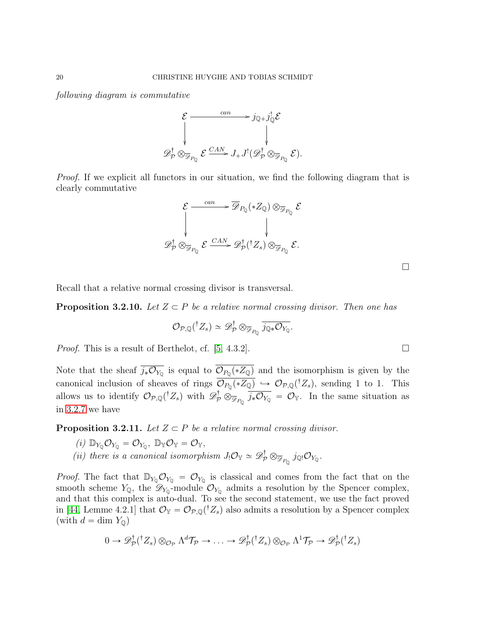following diagram is commutative



Proof. If we explicit all functors in our situation, we find the following diagram that is clearly commutative

$$
\mathcal{E} \xrightarrow{\text{can}} \overline{\mathscr{D}}_{P_{\mathbb{Q}}}(*Z_{\mathbb{Q}}) \otimes_{\overline{\mathscr{D}}_{P_{\mathbb{Q}}}} \mathcal{E}
$$
\n
$$
\downarrow \qquad \qquad \downarrow
$$
\n
$$
\mathscr{D}^{\dagger}_{\mathcal{P}} \otimes_{\overline{\mathscr{D}}_{P_{\mathbb{Q}}}} \mathcal{E} \xrightarrow{\text{CAN}} \mathscr{D}^{\dagger}_{\mathcal{P}}({}^{\dagger}Z_{s}) \otimes_{\overline{\mathscr{D}}_{P_{\mathbb{Q}}}} \mathcal{E}.
$$

Recall that a relative normal crossing divisor is transversal.

<span id="page-19-0"></span>**Proposition 3.2.10.** Let  $Z \subseteq P$  be a relative normal crossing divisor. Then one has

$$
\mathcal{O}_{\mathcal{P},\mathbb{Q}}({}^{\dagger}Z_s)\simeq\mathscr{D}_{\mathcal{P}}^{\dagger}\otimes_{\overline{\mathscr{D}}_{P_{\mathbb{Q}}}}\overline{j_{\mathbb{Q}*}\mathcal{O}_{Y_{\mathbb{Q}}}}.
$$

*Proof.* This is a result of Berthelot, cf. [\[5,](#page-47-15) 4.3.2].

Note that the sheaf  $j_*\mathcal{O}_{Y_{\mathbb{Q}}}$  is equal to  $\mathcal{O}_{P_{\mathbb{Q}}}(*Z_{\mathbb{Q}})$  and the isomorphism is given by the canonical inclusion of sheaves of rings  $\mathcal{O}_{P_0}(*Z_{{\mathbb Q}}) \hookrightarrow \mathcal{O}_{\mathcal{P}, {\mathbb Q}}({}^{\dagger}Z_s)$ , sending 1 to 1. This allows us to identify  $\mathcal{O}_{\mathcal{P},\mathbb{Q}}({}^{\dagger}Z_s)$  with  $\mathscr{D}_{\mathcal{P}}^{\dagger} \otimes_{\overline{\mathscr{P}}_{P_0}} \overline{j_* \mathcal{O}_{Y_0}} = \mathcal{O}_{Y}$ . In the same situation as in [3.2.7](#page-16-0) we have

<span id="page-19-1"></span>**Proposition 3.2.11.** Let  $Z \subset P$  be a relative normal crossing divisor.

- (i)  $\mathbb{D}_{Y_{\mathbb{O}}} \mathcal{O}_{Y_{\mathbb{O}}} = \mathcal{O}_{Y_{\mathbb{O}}}$ ,  $\mathbb{D}_{\mathbb{Y}} \mathcal{O}_{\mathbb{Y}} = \mathcal{O}_{\mathbb{Y}}$ ,
- (ii) there is a canonical isomorphism  $J_! \mathcal{O}_\mathbb{Y} \simeq \mathscr{D}_\mathcal{P}^{\dagger} \otimes_{\overline{\mathscr{D}}_{P_0}} j_{\mathbb{Q}} \mathcal{O}_{Y_{\mathbb{Q}}}$ .

*Proof.* The fact that  $\mathbb{D}_{Y_0}\mathcal{O}_{Y_0} = \mathcal{O}_{Y_0}$  is classical and comes from the fact that on the smooth scheme  $Y_{\mathbb{Q}}$ , the  $\mathscr{D}_{Y_0}$ -module  $\mathcal{O}_{Y_0}$  admits a resolution by the Spencer complex, and that this complex is auto-dual. To see the second statement, we use the fact proved in [\[44,](#page-49-1) Lemme 4.2.1] that  $\mathcal{O}_{\mathbb{Y}} = \mathcal{O}_{\mathcal{P},\mathbb{Q}}({}^{\dagger}Z_s)$  also admits a resolution by a Spencer complex (with  $d = \dim Y_{\mathbb{Q}}$ )

$$
0 \to \mathscr{D}_\mathcal{P}^\dagger({}^\dagger Z_s) \otimes_{\mathcal{O}_\mathcal{P}} \Lambda^d \mathcal{T}_\mathcal{P} \to \ldots \to \mathscr{D}_\mathcal{P}^\dagger({}^\dagger Z_s) \otimes_{\mathcal{O}_\mathcal{P}} \Lambda^1 \mathcal{T}_\mathcal{P} \to \mathscr{D}_\mathcal{P}^\dagger({}^\dagger Z_s)
$$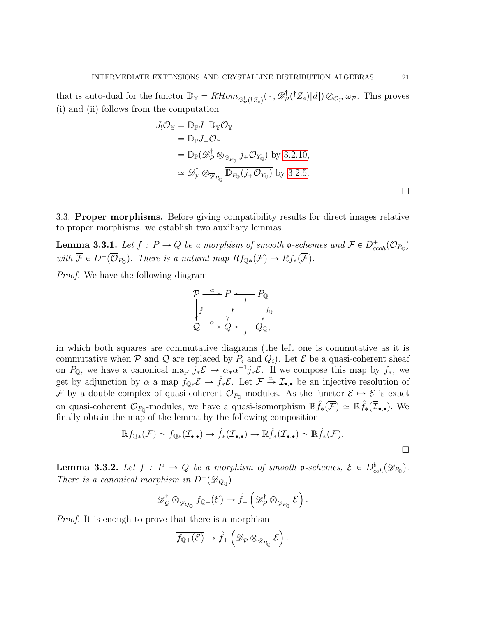that is auto-dual for the functor  $\mathbb{D}_{\mathbb{Y}} = R\mathcal{H}om_{\mathscr{D}^{\dagger}_{\mathcal{P}}(^{\dagger}Z_{s})}(\,\cdot\,,\mathscr{D}^{\dagger}_{\mathcal{P}})$  $p^{\dagger}(\dagger Z_s)[d]) \otimes_{\mathcal{O}_{\mathcal{P}}} \omega_{\mathcal{P}}$ . This proves (i) and (ii) follows from the computation

$$
J_!\mathcal{O}_{\mathbb{Y}} = \mathbb{D}_{\mathbb{P}} J_+ \mathbb{D}_{\mathbb{Y}} \mathcal{O}_{\mathbb{Y}}
$$
  
\n
$$
= \mathbb{D}_{\mathbb{P}} J_+ \mathcal{O}_{\mathbb{Y}}
$$
  
\n
$$
= \mathbb{D}_{\mathbb{P}} (\mathscr{D}_{\mathcal{P}}^{\dagger} \otimes_{\overline{\mathscr{D}}_{P_{\mathbb{Q}}}} \overline{j_+ \mathcal{O}_{Y_{\mathbb{Q}}}}) \text{ by } 3.2.10,
$$
  
\n
$$
\simeq \mathscr{D}_{\mathcal{P}}^{\dagger} \otimes_{\overline{\mathscr{D}}_{P_{\mathbb{Q}}}} \overline{\mathbb{D}_{P_{\mathbb{Q}}}(j_+ \mathcal{O}_{Y_{\mathbb{Q}}})} \text{ by } 3.2.5.
$$

<span id="page-20-0"></span>3.3. Proper morphisms. Before giving compatibility results for direct images relative to proper morphisms, we establish two auxiliary lemmas.

<span id="page-20-1"></span>**Lemma 3.3.1.** Let  $f : P \to Q$  be a morphism of smooth **o**-schemes and  $\mathcal{F} \in D_{qcoh}^+(\mathcal{O}_{P_Q})$ with  $\overline{\mathcal{F}} \in D^+(\overline{\mathcal{O}}_{P_0})$ . There is a natural map  $\overline{Rf_{\mathbb{Q} *}(\mathcal{F})} \to R\hat{f}_*(\overline{\mathcal{F}})$ .

Proof. We have the following diagram

$$
\mathcal{P} \xrightarrow{\alpha} P \xleftarrow{j} P_{\mathbb{Q}}
$$
\n
$$
\oint_{\mathcal{Q}} f \qquad \qquad f_{\mathbb{Q}}
$$
\n
$$
\mathcal{Q} \xrightarrow{\alpha} Q \xleftarrow{j} Q_{\mathbb{Q}},
$$

in which both squares are commutative diagrams (the left one is commutative as it is commutative when  $P$  and  $Q$  are replaced by  $P_i$  and  $Q_i$ ). Let  $\mathcal E$  be a quasi-coherent sheaf on  $P_{\mathbb{Q}}$ , we have a canonical map  $j_*\mathcal{E} \to \alpha_*\alpha^{-1}j_*\mathcal{E}$ . If we compose this map by  $f_*$ , we get by adjunction by  $\alpha$  a map  $\overline{f_{\mathbb{Q}*}\mathcal{E}} \to \hat{f}*\overline{\mathcal{E}}$ . Let  $\mathcal{F} \stackrel{\simeq}{\to} \mathcal{I}_{\bullet,\bullet}$  be an injective resolution of F by a double complex of quasi-coherent  $\mathcal{O}_{P_0}$ -modules. As the functor  $\mathcal{E} \mapsto \overline{\mathcal{E}}$  is exact on quasi-coherent  $\mathcal{O}_{P_{\mathbb{Q}}}$ -modules, we have a quasi-isomorphism  $\mathbb{R} \hat{f}_*(\overline{\mathcal{F}}) \simeq \mathbb{R} \hat{f}_*(\overline{\mathcal{I}}_{\bullet,\bullet})$ . We finally obtain the map of the lemma by the following composition

$$
\overline{\mathbb{R}f_{\mathbb{Q}*}(\mathcal{F})} \simeq \overline{f_{\mathbb{Q}*}(\mathcal{I}_{\bullet,\bullet})} \to \hat{f}_*(\overline{\mathcal{I}}_{\bullet,\bullet}) \to \mathbb{R}\hat{f}_*(\overline{\mathcal{I}}_{\bullet,\bullet}) \simeq \mathbb{R}\hat{f}_*(\overline{\mathcal{F}}).
$$

ji<br>.

<span id="page-20-2"></span>**Lemma 3.3.2.** Let  $f : P \to Q$  be a morphism of smooth **o**-schemes,  $\mathcal{E} \in D^b_{coh}(\mathscr{D}_{P_Q})$ . There is a canonical morphism in  $D^+(\overline{\mathscr{D}}_{Q_0})$ on a construction of the construction of the construction of the construction of the construction of the construction of the construction of the construction of the construction of the construction of the construction of

$$
\mathscr{D}^{\dagger}_{\mathcal{Q}} \otimes_{\overline{\mathscr{D}}_{Q_{\mathbb{Q}}}} \overline{f_{\mathbb{Q}+}(\mathcal{E})} \to \hat{f}_{+}\left(\mathscr{D}^{\dagger}_{\mathcal{P}} \otimes_{\overline{\mathscr{D}}_{P_{\mathbb{Q}}}} \overline{\mathcal{E}}\right).
$$

*Proof.* It is enough to prove that there is a morphism

$$
\overline{f_{\mathbb{Q}+}(\mathcal{E})}\rightarrow \hat{f}_{+}\left(\mathscr{D}_{\mathcal{P}}^{\dagger}\otimes_{\overline{\mathscr{D}}_{P_{\mathbb{Q}}}}\overline{\mathcal{E}}\right).
$$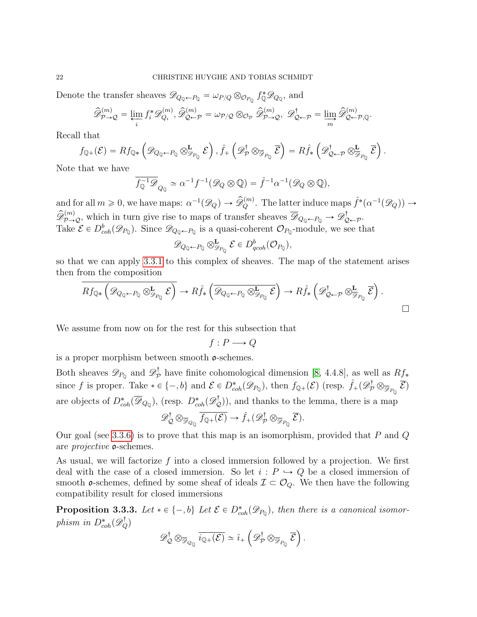Denote the transfer sheaves  $\mathscr{D}_{Q_0 \leftarrow P_0} = \omega_{P/Q} \otimes_{\mathcal{O}_{P_0}} f_{\mathbb{Q}}^* \mathscr{D}_{Q_0}$ , and

$$
\widehat{\mathscr{D}}_{\mathcal{P}\to\mathcal{Q}}^{(m)}=\varprojlim_i f_i^*\mathscr{D}_{Q_i}^{(m)}, \widehat{\mathscr{D}}_{\mathcal{Q}\leftarrow\mathcal{P}}^{(m)}=\omega_{\mathcal{P}/\mathcal{Q}}\otimes_{\mathcal{O}_{\mathcal{P}}}\widehat{\mathscr{D}}_{\mathcal{P}\to\mathcal{Q}}^{(m)},\ \mathscr{D}_{\mathcal{Q}\leftarrow\mathcal{P}}^{\dagger}=\varinjlim_m\widehat{\mathscr{D}}_{\mathcal{Q}\leftarrow\mathcal{P},\mathbb{Q}}^{(m)}.
$$

Recall that

$$
f_{\mathbb{Q}+}(\mathcal{E}) = Rf_{\mathbb{Q}*} \left( \mathscr{D}_{\mathcal{Q}_{\mathbb{Q}} \leftarrow P_{\mathbb{Q}}} \otimes^{\mathbf{L}}_{\mathscr{P}_{P_{\mathbb{Q}}}} \mathcal{E} \right), \hat{f}_{+} \left( \mathscr{D}_{\mathcal{P}}^{\dagger} \otimes_{\overline{\mathscr{P}}_{P_{\mathbb{Q}}}} \overline{\mathcal{E}} \right) = R\hat{f}_{*} \left( \mathscr{D}_{\mathcal{Q} \leftarrow \mathcal{P}} \otimes^{\mathbf{L}}_{\overline{\mathscr{P}}_{P_{\mathbb{Q}}}} \overline{\mathcal{E}} \right).
$$

Note that we have

$$
\overline{f_{\mathbb{Q}}^{-1}\mathscr{D}}_{Q_{\mathbb{Q}}} \simeq \alpha^{-1} f^{-1}(\mathscr{D}_{Q} \otimes \mathbb{Q}) = \hat{f}^{-1} \alpha^{-1}(\mathscr{D}_{Q} \otimes \mathbb{Q}),
$$

and for all  $m \geq 0$ , we have maps:  $\alpha^{-1}(\mathscr{D}_Q) \to \widehat{\mathscr{D}}_Q^{(m)}$ . The latter induce maps  $\widehat{f}^*(\alpha^{-1}(\mathscr{D}_Q)) \to$  $\widehat{\mathscr{D}}_{\mathcal{P}\to\mathcal{Q}}^{(m)}$ , which in turn give rise to maps of transfer sheaves  $\overline{\mathscr{D}}_{Q_0\leftarrow P_0}\to \mathscr{D}^{\dagger}_{\mathcal{Q}}$ ¦T<br>Q←P∙ Take  $\mathcal{E} \in D^b_{coh}(\mathscr{D}_{P_Q})$ . Since  $\mathscr{D}_{Q_Q \leftarrow P_Q}$  is a quasi-coherent  $\mathcal{O}_{P_Q}$ -module, we see that

$$
\mathscr{D}_{Q_{\mathbb{Q}} \leftarrow P_{\mathbb{Q}}} \otimes_{\mathscr{D}_{P_{\mathbb{Q}}}}^{\mathbf{L}} \mathcal{E} \in D_{qcoh}^b(\mathcal{O}_{P_{\mathbb{Q}}}),
$$

so that we can apply [3.3.1](#page-20-1) to this complex of sheaves. The map of the statement arises then from the composition  $\ddot{}$ ¯  $\mathbf{r}$ ji<br>L  $\mathbf{r}$ ¯

$$
Rf_{\mathbb{Q}*}\left(\mathscr{D}_{Q_{\mathbb{Q}}\leftarrow P_{\mathbb{Q}}}\otimes_{\mathscr{D}_{P_{\mathbb{Q}}}}^{\mathbf{L}}\mathcal{E}\right)\to Rf_{*}\left(\overline{\mathscr{D}_{Q_{\mathbb{Q}}\leftarrow P_{\mathbb{Q}}}\otimes_{\mathscr{D}_{P_{\mathbb{Q}}}}^{\mathbf{L}}\mathcal{E}}\right)\to Rf_{*}\left(\mathscr{D}_{\mathbb{Q}\leftarrow\mathcal{P}}^{\dagger}\otimes_{\mathscr{D}_{P_{\mathbb{Q}}}}^{\mathbf{L}}\mathcal{E}\right).
$$

We assume from now on for the rest for this subsection that

$$
f: P \longrightarrow Q
$$

is a proper morphism between smooth  $\mathfrak{o}$ -schemes.

Both sheaves  $\mathscr{D}_{P_{\mathbb{Q}}}$  and  $\mathscr{D}_{\mathcal{P}}^{\dagger}$  have finite cohomological dimension [\[8,](#page-47-16) 4.4.8], as well as  $Rf_*$ since f is proper. Take  $*\in \{-, b\}$  and  $\mathcal{E} \in D^*_{coh}(\mathscr{D}_{P_{\mathbb{Q}}})$ , then  $f_{\mathbb{Q}_+}(\mathcal{E})$  (resp.  $\hat{f}_+(\mathscr{D}_{\mathcal{P}}^{\dagger} \otimes_{\overline{\mathcal{P}}_{P_{\mathbb{Q}}}} \overline{\mathcal{E}})$ are objects of  $D^*_{coh}(\overline{\mathscr{D}}_{Q_0})$ , (resp.  $D^*_{coh}(\mathscr{D}_{\mathcal{Q}}^{\dagger})$ ), and thanks to the lemma, there is a map

$$
\mathscr{D}^{\dagger}_{\mathcal{Q}} \otimes_{\overline{\mathscr{D}}_{Q_{\mathbb{Q}}}} \overline{f_{\mathbb{Q}+}(\mathcal{E})} \to \hat{f}_{+}(\mathscr{D}^{\dagger}_{\mathcal{P}} \otimes_{\overline{\mathscr{D}}_{P_{\mathbb{Q}}}} \overline{\mathcal{E}}).
$$

Our goal (see [3.3.6\)](#page-23-0) is to prove that this map is an isomorphism, provided that P and  $Q$ are projective o-schemes.

As usual, we will factorize  $f$  into a closed immersion followed by a projection. We first deal with the case of a closed immersion. So let  $i: P \hookrightarrow Q$  be a closed immersion of smooth  $o$ -schemes, defined by some sheaf of ideals  $\mathcal{I} \subset \mathcal{O}_Q$ . We then have the following compatibility result for closed immersions

<span id="page-21-0"></span>**Proposition 3.3.3.** Let  $*\in \{-, b\}$  Let  $\mathcal{E} \in D^*_{coh}(\mathscr{D}_{P_Q})$ , then there is a canonical isomorphism in  $D_{coh}^*(\mathscr{D}_Q^{\dagger})$  $\mathbf{r}$ ¯

$$
\mathscr{D}^{\dagger}_{\mathcal{Q}} \otimes_{\overline{\mathscr{D}}_{Q_{\mathbb{Q}}}} \overline{i_{\mathbb{Q}+}(\mathcal{E})} \simeq \hat{i}_{+}\left(\mathscr{D}^{\dagger}_{\mathcal{P}} \otimes_{\overline{\mathscr{D}}_{P_{\mathbb{Q}}}} \overline{\mathcal{E}}\right).
$$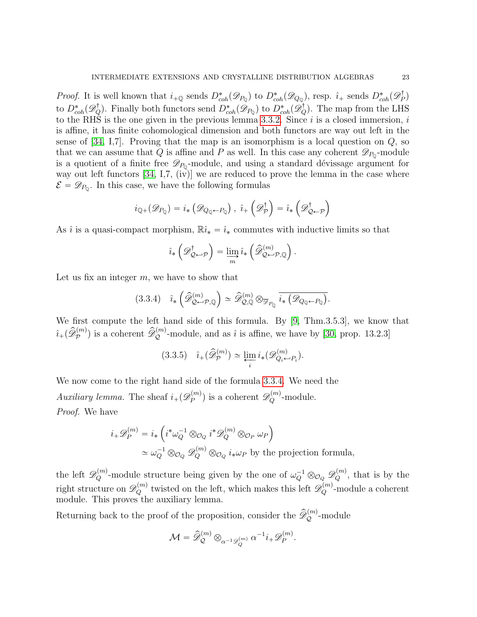*Proof.* It is well known that  $i_{\pm Q}$  sends  $D_{coh}^*(\mathscr{D}_{P_Q})$  to  $D_{coh}^*(\mathscr{D}_{Q_Q})$ , resp.  $\hat{i}_{\pm}$  sends  $D_{coh}^*(\mathscr{D}_P^{\dagger})$  $\binom{!}{P}$ to  $D^*_{coh}(\mathscr{D}_Q^{\dagger})$ . Finally both functors send  $D^*_{coh}(\mathscr{D}_{P_Q})$  to  $D^*_{coh}(\mathscr{D}_Q^{\dagger})$ . The map from the LHS to the RHS is the one given in the previous lemma [3.3.2.](#page-20-2) Since  $i$  is a closed immersion,  $i$ is affine, it has finite cohomological dimension and both functors are way out left in the sense of [\[34,](#page-48-6) I,7]. Proving that the map is an isomorphism is a local question on  $Q$ , so that we can assume that Q is affine and P as well. In this case any coherent  $\mathscr{D}_{P_0}$ -module is a quotient of a finite free  $\mathscr{D}_{P_0}$ -module, and using a standard dévissage argument for way out left functors [\[34,](#page-48-6) I,7, (iv)] we are reduced to prove the lemma in the case where  $\mathcal{E} = \mathscr{D}_{P_0}$ . In this case, we have the following formulas

$$
i_{\mathbb{Q}+}(\mathscr{D}_{P_{\mathbb{Q}}})=i_{*}\left(\mathscr{D}_{Q_{\mathbb{Q}}\leftarrow P_{\mathbb{Q}}}\right),\; \hat{\imath}_{+}\left(\mathscr{D}_{\mathcal{P}}^{\dagger}\right)=\hat{\imath}_{*}\left(\mathscr{D}_{\mathcal{Q}\leftarrow\mathcal{P}}^{\dagger}\right)
$$

As  $\hat{i}$  is a quasi-compact morphism,  $\mathbb{R}\hat{i}_{*} = \hat{i}_{*}$  commutes with inductive limits so that

<span id="page-22-0"></span>
$$
\hat{i}_{*}\left(\mathscr{D}^{\dagger}_{\mathcal{Q}\leftarrow\mathcal{P}}\right)=\varinjlim_{m}\hat{i}_{*}\left(\widehat{\mathscr{D}}^{(m)}_{\mathcal{Q}\leftarrow\mathcal{P},\mathbb{Q}}\right).
$$

Let us fix an integer  $m$ , we have to show that

$$
(3.3.4) \quad \hat{\imath}_{*} \left( \widehat{\mathcal{D}}_{\mathcal{Q}\leftarrow \mathcal{P},\mathbb{Q}}^{(m)} \right) \simeq \widehat{\mathcal{D}}_{\mathcal{Q},\mathbb{Q}}^{(m)} \otimes_{\overline{\mathcal{D}}_{P_{\mathbb{Q}}}} \overline{i_{*} \left( \mathcal{D}_{Q_{\mathbb{Q}}\leftarrow P_{\mathbb{Q}}}\right)}.
$$

We first compute the left hand side of this formula. By [\[9,](#page-47-12) Thm.3.5.3], we know that  $\hat{i}_{+}(\hat{\mathscr{D}}_{\mathcal{P}}^{(m)})$  is a coherent  $\hat{\mathscr{D}}_{\mathcal{Q}}^{(m)}$ -module, and as  $\hat{i}$  is affine, we have by [\[30,](#page-48-7) prop. 13.2.3]

<span id="page-22-1"></span>
$$
(3.3.5) \quad \hat{\imath}_{+}(\widehat{\mathscr{D}}_{\mathcal{P}}^{(m)}) \simeq \varprojlim_{i} i_{*}(\mathscr{D}_{Q_{i} \leftarrow P_{i}}^{(m)}).
$$

We now come to the right hand side of the formula [3.3.4.](#page-22-0) We need the Auxiliary lemma. The sheaf  $i_{+}(\mathscr{D}_{P}^{(m)})$  $\mathcal{D}_P^{(m)}$ ) is a coherent  $\mathscr{D}_Q^{(m)}$ -module. Proof. We have

$$
i_{+}\mathscr{D}_{P}^{(m)} = i_{*} \left( i^{*}\omega_{Q}^{-1} \otimes_{\mathcal{O}_{Q}} i^{*}\mathscr{D}_{Q}^{(m)} \otimes_{\mathcal{O}_{P}} \omega_{P} \right)
$$
  

$$
\simeq \omega_{Q}^{-1} \otimes_{\mathcal{O}_{Q}} \mathscr{D}_{Q}^{(m)} \otimes_{\mathcal{O}_{Q}} i_{*}\omega_{P} \text{ by the projection formula,}
$$

the left  $\mathscr{D}_Q^{(m)}$ -module structure being given by the one of  $\omega_Q^{-1} \otimes_{\mathcal{O}_Q} \mathscr{D}_Q^{(m)}$ , that is by the right structure on  $\mathscr{D}_Q^{(m)}$  twisted on the left, which makes this left  $\mathscr{D}_Q^{(m)}$ -module a coherent module. This proves the auxiliary lemma.

Returning back to the proof of the proposition, consider the  $\widehat{\mathscr{D}}_{\mathcal{Q}}^{(m)}$ -module

$$
\mathcal{M}=\widehat{\mathscr{D}}^{(m)}_{\mathcal{Q}}\otimes_{\alpha^{-1}\mathscr{D}^{(m)}_{Q}}\alpha^{-1}i_{+}\mathscr{D}^{(m)}_{P}.
$$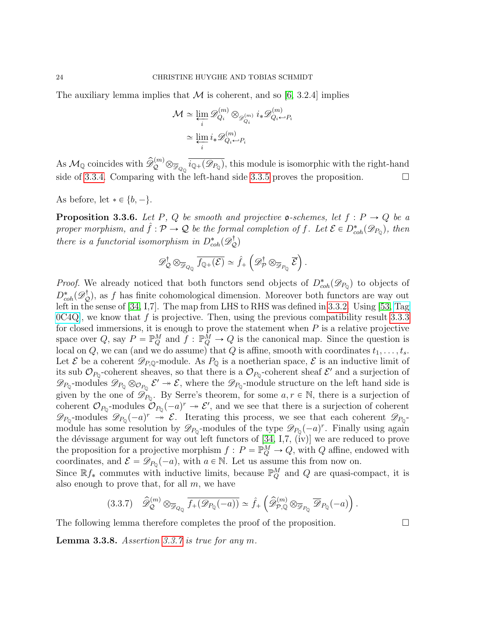The auxiliary lemma implies that  $\mathcal M$  is coherent, and so [\[6,](#page-47-1) 3.2.4] implies

$$
\mathcal{M} \simeq \varprojlim_{i} \mathscr{D}_{Q_{i}}^{(m)} \otimes_{\mathscr{D}_{Q_{i}}^{(m)}} i_{*} \mathscr{D}_{Q_{i} \leftrightarrow P_{i}}^{(m)}
$$

$$
\simeq \varprojlim_{i} i_{*} \mathscr{D}_{Q_{i} \leftrightarrow P_{i}}^{(m)}
$$

As  $\mathcal{M}_{\mathbb{Q}}$  coincides with  $\widehat{\mathscr{D}}_{\mathcal{Q}}^{(m)} \otimes_{\widehat{\mathscr{D}}_{Q_0}} \widehat{i_{\mathbb{Q}+}(\mathscr{D}_{P_{\mathbb{Q}}})}$ , this module is isomorphic with the right-hand side of [3.3.4.](#page-22-0) Comparing with the left-hand side [3.3.5](#page-22-1) proves the proposition.  $\Box$ 

As before, let  $* \in \{b, -\}.$ 

<span id="page-23-0"></span>**Proposition 3.3.6.** Let P, Q be smooth and projective **o**-schemes, let  $f : P \to Q$  be a proper morphism, and  $\hat{f}: \mathcal{P} \to \mathcal{Q}$  be the formal completion of f. Let  $\mathcal{E} \in D_{coh}^*(\mathscr{D}_{P_Q})$ , then there is a functorial isomorphism in  $D_{coh}^*(\mathscr{D}_{\mathcal{Q}}^{\dagger})$ 

$$
\mathscr{D}_{\mathcal{Q}}^{\dagger} \otimes_{\overline{\mathscr{D}}_{Q_{\mathbb{Q}}}} \overline{f_{\mathbb{Q}+}(\mathcal{E})} \simeq \hat{f}_{+}\left(\mathscr{D}_{\mathcal{P}}^{\dagger} \otimes_{\overline{\mathscr{D}}_{P_{\mathbb{Q}}}} \overline{\mathcal{E}}\right).
$$

*Proof.* We already noticed that both functors send objects of  $D_{coh}^*(\mathscr{D}_{P_Q})$  to objects of  $D_{coh}^*(\mathscr{D}_{\mathcal{Q}}^{\dagger})$ , as f has finite cohomological dimension. Moreover both functors are way out left in the sense of [\[34,](#page-48-6) I,7]. The map from LHS to RHS was defined in [3.3.2.](#page-20-2) Using [\[53,](#page-49-2) [Tag](https://stacks.math.columbia.edu/tag/0C4Q)  $[0C4Q]$  $[0C4Q]$ , we know that f is projective. Then, using the previous compatibility result [3.3.3](#page-21-0) for closed immersions, it is enough to prove the statement when  $P$  is a relative projective space over Q, say  $P = \mathbb{P}_{Q}^{M}$  and  $f : \mathbb{P}_{Q}^{\bar{M}} \to Q$  is the canonical map. Since the question is local on Q, we can (and we do assume) that Q is affine, smooth with coordinates  $t_1, \ldots, t_s$ . Let  $\mathcal E$  be a coherent  $\mathscr D_{P,Q}$ -module. As  $P_{\mathbb Q}$  is a noetherian space,  $\mathcal E$  is an inductive limit of its sub  $\mathcal{O}_{P_0}$ -coherent sheaves, so that there is a  $\mathcal{O}_{P_0}$ -coherent sheaf  $\mathcal{E}'$  and a surjection of  $\mathscr{D}_{P_{\mathbb{Q}}}$ -modules  $\mathscr{D}_{P_{\mathbb{Q}}} \otimes_{\mathcal{O}_{P_{\mathbb{Q}}}} \mathcal{E}' \twoheadrightarrow \mathcal{E}$ , where the  $\mathscr{D}_{P_{\mathbb{Q}}}$ -module structure on the left hand side is given by the one of  $\mathscr{D}_{P_0}$ . By Serre's theorem, for some  $a, r \in \mathbb{N}$ , there is a surjection of coherent  $\mathcal{O}_{P_0}$ -modules  $\mathcal{O}_{P_0}(-a)^r \to \mathcal{E}'$ , and we see that there is a surjection of coherent  $\mathscr{D}_{P_0}$ -modules  $\mathscr{D}_{P_0}(-a)^r \rightarrow \mathscr{E}$ . Iterating this process, we see that each coherent  $\mathscr{D}_{P_0}$ module has some resolution by  $\mathscr{D}_{P_0}$ -modules of the type  $\mathscr{D}_{P_0}(-a)^r$ . Finally using again the dévissage argument for way out left functors of  $[34, 1,7, (iv)]$  we are reduced to prove the proposition for a projective morphism  $f: P = \mathbb{P}_Q^M \to Q$ , with Q affine, endowed with coordinates, and  $\mathcal{E} = \mathscr{D}_{P_0}(-a)$ , with  $a \in \mathbb{N}$ . Let us assume this from now on.

Since  $\mathbb{R} f_*$  commutes with inductive limits, because  $\mathbb{P}^M_Q$  and Q are quasi-compact, it is also enough to prove that, for all  $m$ , we have on a construction of the construction of the construction of the construction of the construction of the construction of the construction of the construction of the construction of the construction of the construction of

<span id="page-23-1"></span>
$$
(3.3.7) \quad \widehat{\mathscr{D}}_{\mathcal{Q}}^{(m)} \otimes_{\overline{\mathscr{D}}_{Q_{\mathbb{Q}}}} \overline{f_{+}(\mathscr{D}_{P_{\mathbb{Q}}}(-a))} \simeq \widehat{f}_{+}\left(\widehat{\mathscr{D}}_{\mathcal{P},\mathbb{Q}}^{(m)} \otimes_{\overline{\mathscr{D}}_{P_{\mathbb{Q}}}} \overline{\mathscr{D}}_{P_{\mathbb{Q}}}(-a)\right).
$$

The following lemma therefore completes the proof of the proposition.  $\Box$ 

Lemma 3.3.8. Assertion [3.3.7](#page-23-1) is true for any m.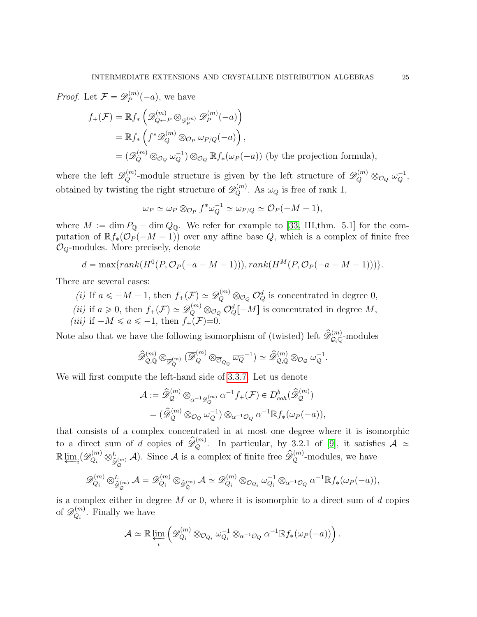*Proof.* Let  $\mathcal{F} = \mathscr{D}_P^{(m)}$  $p^{(m)}(-a)$ , we have ´

$$
f_{+}(\mathcal{F}) = \mathbb{R} f_{*} \left( \mathcal{D}_{Q \leftarrow P}^{(m)} \otimes_{\mathcal{D}_{P}^{(m)}} \mathcal{D}_{P}^{(m)}(-a) \right)
$$
  
\n
$$
= \mathbb{R} f_{*} \left( f^{*} \mathcal{D}_{Q}^{(m)} \otimes_{\mathcal{O}_{P}} \omega_{P/Q}(-a) \right),
$$
  
\n
$$
= (\mathcal{D}_{Q}^{(m)} \otimes_{\mathcal{O}_{Q}} \omega_{Q}^{-1}) \otimes_{\mathcal{O}_{Q}} \mathbb{R} f_{*}(\omega_{P}(-a)) \text{ (by the projection formula)},
$$

where the left  $\mathscr{D}_Q^{(m)}$ -module structure is given by the left structure of  $\mathscr{D}_Q^{(m)} \otimes_{\mathcal{O}_Q} \omega_Q^{-1}$ , obtained by twisting the right structure of  $\mathscr{D}_Q^{(m)}$ . As  $\omega_Q$  is free of rank 1,

$$
\omega_P \simeq \omega_P \otimes_{\mathcal{O}_P} f^* \omega_Q^{-1} \simeq \omega_{P/Q} \simeq \mathcal{O}_P(-M-1),
$$

where  $M := \dim P_{\mathbb{Q}} - \dim Q_{\mathbb{Q}}$ . We refer for example to [\[33,](#page-48-8) III,thm. 5.1] for the computation of  $\mathbb{R} f_*(\mathcal{O}_P(-M-1))$  over any affine base Q, which is a complex of finite free  $\mathcal{O}_Q$ -modules. More precisely, denote

$$
d = \max\{rank(H^{0}(P, \mathcal{O}_{P}(-a - M - 1))), rank(H^{M}(P, \mathcal{O}_{P}(-a - M - 1)))\}.
$$

There are several cases:

- (i) If  $a \leq -M-1$ , then  $f_+(\mathcal{F}) \simeq \mathcal{D}_Q^{(m)} \otimes_{\mathcal{O}_Q} \mathcal{O}_Q^d$  is concentrated in degree 0,
- (*ii*) if  $a \ge 0$ , then  $f_+(\mathcal{F}) \simeq \mathcal{D}_Q^{(m)} \otimes_{\mathcal{O}_Q} \mathcal{O}_Q^d[-M]$  is concentrated in degree M,

(iii) if  $-M \le a \le -1$ , then  $f_+(\mathcal{F})=0$ .

Note also that we have the following isomorphism of (twisted) left  $\widehat{\mathscr{D}}_{Q,\mathbb{Q}}^{(m)}$ -modules

$$
\widehat{\mathscr{D}}^{(m)}_{\mathcal{Q},\mathbb{Q}} \otimes_{\overline{\mathscr{D}}^{(m)}_{Q}} (\overline{\mathscr{D}}^{(m)}_{Q} \otimes_{\overline{\mathcal{O}}_{Q_{\mathbb{Q}}}} \overline{\omega_{Q}}^{-1}) \simeq \widehat{\mathscr{D}}^{(m)}_{\mathcal{Q},\mathbb{Q}} \otimes_{\mathcal{O}_{\mathbb{Q}}} \omega_{\mathcal{Q}}^{-1}.
$$

We will first compute the left-hand side of [3.3.7.](#page-23-1) Let us denote

$$
\begin{split} \mathcal{A} &:= \widehat{\mathscr{D}}^{(m)}_{\mathcal{Q}} \otimes_{\alpha^{-1}\mathscr{D}^{(m)}_{\mathcal{Q}}} \alpha^{-1} f_{+}(\mathcal{F}) \in D^{b}_{coh}(\widehat{\mathscr{D}}^{(m)}_{\mathcal{Q}}) \\ &= (\widehat{\mathscr{D}}^{(m)}_{\mathcal{Q}} \otimes_{\mathcal{O}_{\mathcal{Q}}} \omega_{\mathcal{Q}}^{-1}) \otimes_{\alpha^{-1}\mathcal{O}_{\mathcal{Q}}} \alpha^{-1} \mathbb{R} f_{*}(\omega_{P}(-a)), \end{split}
$$

that consists of a complex concentrated in at most one degree where it is isomorphic to a direct sum of d copies of  $\hat{\mathscr{D}}_{\mathcal{Q}}^{(m)}$ . In particular, by 3.2.1 of [\[9\]](#page-47-12), it satisfies  $\mathcal{A} \simeq$  $\mathbb{R} \varprojlim_i (\mathscr{D}_{Q_i}^{(m)} \otimes_{\widehat{\mathscr{D}}_{\mathcal{Q}}^{(m)}}^L \mathcal{A})$ . Since  $\mathcal A$  is a complex of finite free  $\widehat{\mathscr{D}}_{\mathcal{Q}}^{(m)}$ -modules, we have

$$
\mathscr{D}_{Q_i}^{(m)} \otimes_{\widehat{\mathscr{D}}_{Q}^{(m)}}^L \mathcal{A} = \mathscr{D}_{Q_i}^{(m)} \otimes_{\widehat{\mathscr{D}}_Q^{(m)}} \mathcal{A} \simeq \mathscr{D}_{Q_i}^{(m)} \otimes_{\mathcal{O}_{Q_i}} \omega_{Q_i}^{-1} \otimes_{\alpha^{-1}\mathcal{O}_Q} \alpha^{-1} \mathbb{R} f_* (\omega_P(-a)),
$$

is a complex either in degree  $M$  or 0, where it is isomorphic to a direct sum of  $d$  copies of  $\mathscr{D}^{(m)}_{O_i}$  $Q_i^{(m)}$ . Finally we have

$$
\mathcal{A} \simeq \mathbb{R} \lim_{i} \left( \mathscr{D}_{Q_i}^{(m)} \otimes_{\mathcal{O}_{Q_i}} \omega_{Q_i}^{-1} \otimes_{\alpha^{-1} \mathcal{O}_Q} \alpha^{-1} \mathbb{R} f_* (\omega_P(-a)) \right).
$$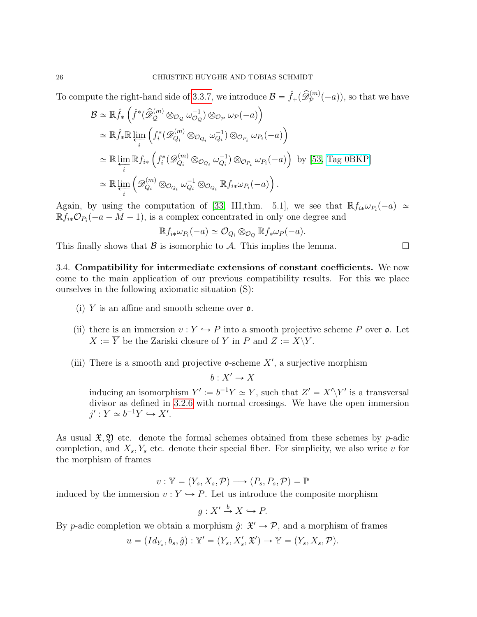To compute the right-hand side of [3.3.7,](#page-23-1) we introduce  $\mathcal{B} = \hat{f}_+(\hat{\mathscr{D}}_p^{(m)}(-a))$ , so that we have

$$
\mathcal{B} \simeq \mathbb{R}\hat{f}_* \left( \hat{f}^* (\hat{\mathscr{D}}_Q^{(m)} \otimes_{\mathcal{O}_Q} \omega_{\mathcal{O}_Q}^{-1}) \otimes_{\mathcal{O}_P} \omega_{\mathcal{P}} (-a) \right)
$$
  
\n
$$
\simeq \mathbb{R}\hat{f}_* \mathbb{R} \varprojlim_i \left( f_i^* (\mathscr{D}_{Q_i}^{(m)} \otimes_{\mathcal{O}_{Q_i}} \omega_{Q_i}^{-1}) \otimes_{\mathcal{O}_{P_i}} \omega_{P_i} (-a) \right)
$$
  
\n
$$
\simeq \mathbb{R} \varprojlim_i \mathbb{R} f_{i*} \left( f_i^* (\mathscr{D}_{Q_i}^{(m)} \otimes_{\mathcal{O}_{Q_i}} \omega_{Q_i}^{-1}) \otimes_{\mathcal{O}_{P_i}} \omega_{P_i} (-a) \right) \text{ by [53, Tag OBKP]}
$$
  
\n
$$
\simeq \mathbb{R} \varprojlim_i \left( \mathscr{D}_{Q_i}^{(m)} \otimes_{\mathcal{O}_{Q_i}} \omega_{Q_i}^{-1} \otimes_{\mathcal{O}_{Q_i}} \mathbb{R} f_{i*} \omega_{P_i} (-a) \right).
$$

Again, by using the computation of [\[33,](#page-48-8) III,thm. 5.1], we see that  $\mathbb{R} f_{i*} \omega_{P_i}(-a) \simeq$  $\mathbb{R} \tilde{f}_{i*} \mathcal{O}_{P_i}(-a-M-1)$ , is a complex concentrated in only one degree and

$$
\mathbb{R} f_{i*} \omega_{P_i}(-a) \simeq \mathcal{O}_{Q_i} \otimes_{\mathcal{O}_Q} \mathbb{R} f_* \omega_P(-a).
$$

This finally shows that B is isomorphic to A. This implies the lemma.

<span id="page-25-0"></span>3.4. Compatibility for intermediate extensions of constant coefficients. We now come to the main application of our previous compatibility results. For this we place ourselves in the following axiomatic situation (S):

- (i) Y is an affine and smooth scheme over  $\mathfrak{o}$ .
- (ii) there is an immersion  $v: Y \hookrightarrow P$  into a smooth projective scheme P over **o**. Let  $X := \overline{Y}$  be the Zariski closure of Y in P and  $Z := X\Y$ .
- (iii) There is a smooth and projective  $\mathfrak{o}$ -scheme X', a surjective morphism

 $b: X' \to X$ 

inducing an isomorphism  $Y' := b^{-1}Y \simeq Y$ , such that  $Z' = X' \ Y'$  is a transversal divisor as defined in [3.2.6](#page-16-2) with normal crossings. We have the open immersion  $j': Y \simeq b^{-1}Y \hookrightarrow X'.$ 

As usual  $\mathfrak{X}, \mathfrak{Y}$  etc. denote the formal schemes obtained from these schemes by p-adic completion, and  $X_s, Y_s$  etc. denote their special fiber. For simplicity, we also write v for the morphism of frames

$$
v: \mathbb{Y} = (Y_s, X_s, \mathcal{P}) \longrightarrow (P_s, P_s, \mathcal{P}) = \mathbb{P}
$$

induced by the immersion  $v: Y \hookrightarrow P$ . Let us introduce the composite morphism

$$
g: X' \xrightarrow{b} X \hookrightarrow P.
$$

By p-adic completion we obtain a morphism  $\hat{g} \colon \mathfrak{X}' \to \mathcal{P}$ , and a morphism of frames

$$
u = (Id_{Y_s}, b_s, \hat{g}) : \mathbb{Y}' = (Y_s, X'_s, \mathfrak{X}') \to \mathbb{Y} = (Y_s, X_s, \mathcal{P}).
$$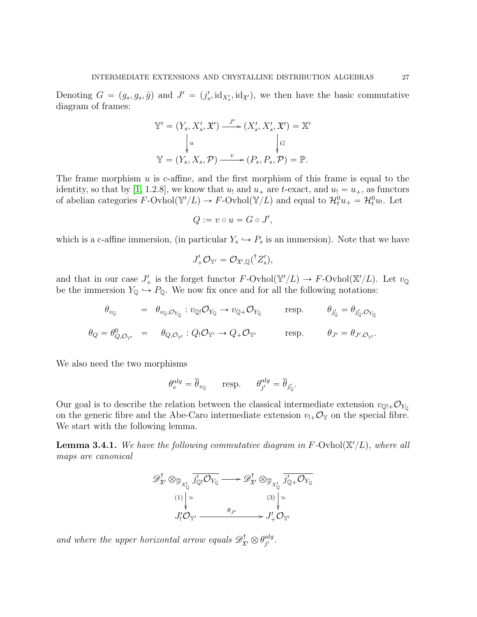Denoting  $G = (g_s, g_s, \hat{g})$  and  $J' = (j'_s, id_{X'_s}, id_{\mathfrak{X}'})$ , we then have the basic commutative diagram of frames:

$$
\mathbb{Y}' = (Y_s, X'_s, \mathfrak{X}') \xrightarrow{J'} (X'_s, X'_s, \mathfrak{X}') = \mathbb{X}'
$$

$$
\downarrow u \qquad \qquad \downarrow G
$$

$$
\mathbb{Y} = (Y_s, X_s, \mathcal{P}) \xrightarrow{v} (P_s, P_s, \mathcal{P}) = \mathbb{P}.
$$

The frame morphism  $u$  is c-affine, and the first morphism of this frame is equal to the identity, so that by [\[1,](#page-47-4) 1.2.8], we know that  $u_1$  and  $u_+$  are t-exact, and  $u_1 = u_+$ , as functors of abelian categories  $F\text{-}\text{Orhol}(\mathbb{Y}/L) \to F\text{-}\text{Orhol}(\mathbb{Y}/L)$  and equal to  $\mathcal{H}_t^0 u_+ = \mathcal{H}_t^0 u_+$ . Let

$$
Q := v \circ u = G \circ J',
$$

which is a c-affine immersion, (in particular  $Y_s \hookrightarrow P_s$  is an immersion). Note that we have

$$
J'_+\mathcal{O}_{\mathbb{Y}'}=\mathcal{O}_{\mathfrak{X}',\mathbb{Q}}(^{\dagger}Z'_s),
$$

and that in our case  $J'_{+}$  is the forget functor  $F\text{-}\text{Orhol}(\mathbb{Y}/L) \to F\text{-}\text{Orhol}(\mathbb{X}/L)$ . Let  $v_{\mathbb{Q}}$ be the immersion  $Y_{\mathbb{Q}} \hookrightarrow P_{\mathbb{Q}}$ . We now fix once and for all the following notations:

$$
\theta_{v_Q} = \theta_{v_Q, \mathcal{O}_{Y_Q}} : v_Q \mathcal{O}_{Y_Q} \to v_{Q_+} \mathcal{O}_{Y_Q} \quad \text{resp.} \quad \theta_{j'_Q} = \theta_{j'_Q, \mathcal{O}_{Y_Q}}
$$
  

$$
\theta_Q = \theta_{Q, \mathcal{O}_{Y'}}^0 = \theta_{Q, \mathcal{O}_{Y'}} : Q \mathcal{O}_{Y'} \to Q_+ \mathcal{O}_{Y'}
$$
  
resp. 
$$
\theta_{J'} = \theta_{J', \mathcal{O}_{Y'}}.
$$

We also need the two morphisms

$$
\theta_v^{alg} = \overline{\theta}_{v_{\mathbb{Q}}} \qquad \text{resp.} \qquad \theta_{j'}^{alg} = \overline{\theta}_{j'_{\mathbb{Q}}}.
$$

Our goal is to describe the relation between the classical intermediate extension  $v_{\mathbb{Q}^1}$ . on the generic fibre and the Abe-Caro intermediate extension  $v_{!+}\mathcal{O}_Y$  on the special fibre. We start with the following lemma.

<span id="page-26-0"></span>**Lemma 3.4.1.** We have the following commutative diagram in F-Ovhol $(\mathbb{X}/L)$ , where all maps are canonical

$$
\mathscr{D}_{\mathfrak{X}'}^{\dagger} \otimes_{\overline{\mathscr{D}}_{X'_{\mathbb{Q}}}} \overline{j'_{\mathbb{Q}!} \mathcal{O}_{Y_{\mathbb{Q}}}} \longrightarrow \mathscr{D}_{\mathfrak{X}'}^{\dagger} \otimes_{\overline{\mathscr{D}}_{X'_{\mathbb{Q}}}} \overline{j'_{\mathbb{Q}+} \mathcal{O}_{Y_{\mathbb{Q}}}}
$$
\n
$$
\xrightarrow{(1)} \begin{vmatrix} \sim & & (3) \\ & & \downarrow \\ & & J'_{1} \mathcal{O}_{Y'} \end{vmatrix} \simeq \xrightarrow{B_{J'}} J'_{+} \mathcal{O}_{Y'}
$$

and where the upper horizontal arrow equals  $\mathscr{D}^{\dagger}_{\mathfrak{X}'}\otimes\theta_{j'}^{alg}$  $_{j^{\prime }}^{alg}.$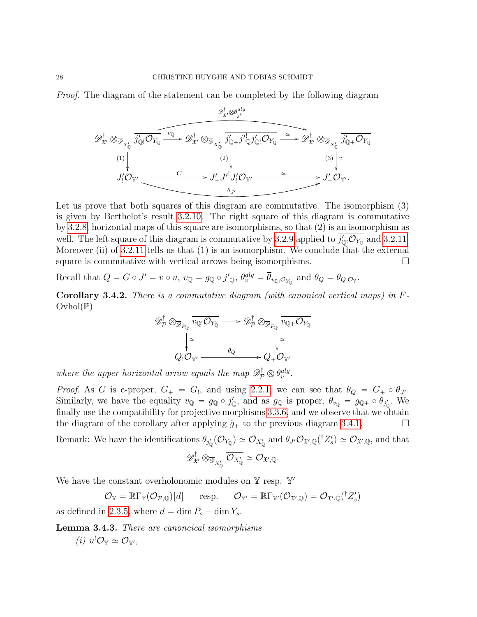Proof. The diagram of the statement can be completed by the following diagram



Let us prove that both squares of this diagram are commutative. The isomorphism  $(3)$ is given by Berthelot's result [3.2.10.](#page-19-0) The right square of this diagram is commutative by [3.2.8,](#page-18-0) horizontal maps of this square are isomorphisms, so that (2) is an isomorphism as well. The left square of this diagram is commutative by [3.2.9](#page-18-1) applied to  $j'_{\mathbb{Q}!}\mathcal{O}_{Y_{\mathbb{Q}}}$  and [3.2.11.](#page-19-1) Moreover (ii) of  $3.2.11$  tells us that  $(1)$  is an isomorphism. We conclude that the external square is commutative with vertical arrows being isomorphisms.  $\Box$ 

Recall that  $Q = G \circ J' = v \circ u$ ,  $v_{\mathbb{Q}} = g_{\mathbb{Q}} \circ j'_{\mathbb{Q}}$ ,  $\theta_v^{alg} = \overline{\theta}_{v_{\mathbb{Q}}}, \mathcal{O}_{Y_{\mathbb{Q}}}$  and  $\theta_Q = \theta_{Q, \mathcal{O}_Y}$ .

<span id="page-27-1"></span>**Corollary 3.4.2.** There is a commutative diagram (with canonical vertical maps) in  $F$ - $Ovhol(\mathbb{P})$ 

$$
\mathscr{D}_{\mathcal{P}}^{\dagger} \otimes_{\overline{\mathscr{D}}_{P_{\mathbb{Q}}}} \overline{v_{\mathbb{Q}!} \mathcal{O}_{Y_{\mathbb{Q}}}} \longrightarrow \mathscr{D}_{\mathcal{P}}^{\dagger} \otimes_{\overline{\mathscr{D}}_{P_{\mathbb{Q}}}} \overline{v_{\mathbb{Q}+} \mathcal{O}_{Y_{\mathbb{Q}}}}
$$
\n
$$
\downarrow^{\simeq} \qquad \qquad \downarrow^{\simeq} \qquad \qquad \downarrow^{\simeq} \qquad \qquad \downarrow^{\simeq} \qquad \qquad \downarrow^{\simeq} \qquad \qquad \downarrow^{\simeq} \qquad \qquad \downarrow^{\simeq} \qquad \qquad \downarrow^{\simeq} \qquad \qquad \downarrow^{\simeq} \qquad \qquad \downarrow^{\simeq} \qquad \qquad \downarrow^{\simeq} \qquad \qquad \downarrow^{\simeq} \qquad \qquad \downarrow^{\simeq} \qquad \qquad \downarrow^{\simeq} \qquad \qquad \downarrow^{\simeq} \qquad \qquad \downarrow^{\simeq} \qquad \qquad \downarrow^{\simeq} \qquad \qquad \downarrow^{\simeq} \qquad \qquad \downarrow^{\simeq} \qquad \qquad \downarrow^{\simeq} \qquad \qquad \downarrow^{\simeq} \qquad \qquad \downarrow^{\simeq} \qquad \qquad \downarrow^{\simeq} \qquad \qquad \downarrow^{\simeq} \qquad \qquad \downarrow^{\simeq} \qquad \qquad \downarrow^{\simeq} \qquad \qquad \downarrow^{\simeq} \qquad \qquad \downarrow^{\simeq} \qquad \qquad \downarrow^{\simeq} \qquad \qquad \downarrow^{\simeq} \qquad \qquad \downarrow^{\simeq} \qquad \qquad \downarrow^{\simeq} \qquad \qquad \downarrow^{\simeq} \qquad \qquad \downarrow^{\simeq} \qquad \qquad \downarrow^{\simeq} \qquad \qquad \downarrow^{\simeq} \qquad \qquad \downarrow^{\simeq} \qquad \qquad \downarrow^{\simeq} \qquad \qquad \downarrow^{\simeq} \qquad \qquad \downarrow^{\simeq} \qquad \qquad \downarrow^{\simeq} \qquad
$$

where the upper horizontal arrow equals the map  $\mathscr{D}^{\dagger}_{\mathcal{P}} \otimes \theta_v^{alg}$ .

*Proof.* As G is c-proper,  $G_+ = G_!$ , and using [2.2.1,](#page-9-1) we can see that  $\theta_Q = G_+ \circ \theta_{J'}$ . Similarly, we have the equality  $v_{\mathbb{Q}} = g_{\mathbb{Q}} \circ j'_{\mathbb{Q}}$ , and as  $g_{\mathbb{Q}}$  is proper,  $\theta_{v_{\mathbb{Q}}} = g_{\mathbb{Q}^+} \circ \theta_{j'_{\mathbb{Q}}}$ . We finally use the compatibility for projective morphisms [3.3.6,](#page-23-0) and we observe that we obtain the diagram of the corollary after applying  $\hat{g}_+$  to the previous diagram [3.4.1.](#page-26-0)

Remark: We have the identifications  $\theta_{j_0'}(\mathcal{O}_{Y_{\mathbb{Q}}}) \simeq \mathcal{O}_{X'_{\mathbb{Q}}}$  and  $\theta_{J'}\mathcal{O}_{\mathfrak{X}',\mathbb{Q}}({}^{\dagger}Z'_{s}) \simeq \mathcal{O}_{\mathfrak{X}',\mathbb{Q}}$ , and that

$$
\mathscr{D}^{\dagger}_{\mathfrak{X}'}\otimes_{\overline{\mathscr{D}}_{X'_{\mathbb{Q}}}}\overline{\mathcal{O}_{X'_{\mathbb{Q}}}}\simeq \mathcal{O}_{\mathfrak{X}',\mathbb{Q}}.
$$

We have the constant overholonomic modules on  $\mathbb{Y}$  resp.  $\mathbb{Y}'$ 

 $\mathcal{O}_{\mathbb{Y}} = \mathbb{R}\Gamma_{\mathbb{Y}}(\mathcal{O}_{\mathcal{P},\mathbb{Q}})[d] \quad \text{ resp. } \quad \mathcal{O}_{\mathbb{Y}'} = \mathbb{R}\Gamma_{\mathbb{Y}'}(\mathcal{O}_{\mathfrak{X}',\mathbb{Q}}) = \mathcal{O}_{\mathfrak{X}',\mathbb{Q}}({}^\dagger Z'_s)$ 

as defined in [2.3.5,](#page-12-1) where  $d = \dim P_s - \dim Y_s$ .

<span id="page-27-0"></span>Lemma 3.4.3. There are canoncical isomorphisms

(*i*)  $u^! \mathcal{O}_\mathbb{Y} \simeq \mathcal{O}_{\mathbb{Y}'},$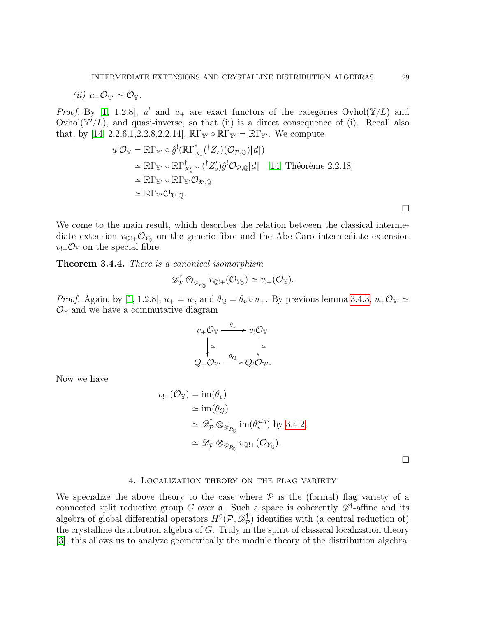$$
(ii) u_+\mathcal{O}_{\mathbb{Y}'}\simeq \mathcal{O}_{\mathbb{Y}}.
$$

*Proof.* By [\[1,](#page-47-4) 1.2.8],  $u^!$  and  $u_+$  are exact functors of the categories Ovhol( $\mathbb{Y}/L$ ) and Ovhol $(\mathbb{Y}/L)$ , and quasi-inverse, so that (ii) is a direct consequence of (i). Recall also that, by [\[14,](#page-47-9) 2.2.6.1, 2.2.8, 2.2.14],  $\mathbb{R}\Gamma_{\mathbb{Y}'} \circ \mathbb{R}\Gamma_{\mathbb{Y}'} = \mathbb{R}\Gamma_{\mathbb{Y}'}$ . We compute

$$
u^{!}\mathcal{O}_{\mathbb{Y}} = \mathbb{R}\Gamma_{\mathbb{Y}'} \circ \hat{g}^{!}(\mathbb{R}\Gamma_{X_{s}}^{\dagger}(\mathcal{I}_{s})(\mathcal{O}_{\mathcal{P},\mathbb{Q}})[d])
$$
  
\n
$$
\simeq \mathbb{R}\Gamma_{\mathbb{Y}'} \circ \mathbb{R}\Gamma_{X'_{s}}^{\dagger} \circ (\mathcal{I}_{Z'_{s}}')\hat{g}^{!}\mathcal{O}_{\mathcal{P},\mathbb{Q}}[d] \quad [14, \text{ Théorème 2.2.18}]
$$
  
\n
$$
\simeq \mathbb{R}\Gamma_{\mathbb{Y}'} \circ \mathbb{R}\Gamma_{\mathbb{Y}'}\mathcal{O}_{\mathfrak{X}',\mathbb{Q}}
$$
  
\n
$$
\simeq \mathbb{R}\Gamma_{\mathbb{Y}'}\mathcal{O}_{\mathfrak{X}',\mathbb{Q}}.
$$

We come to the main result, which describes the relation between the classical intermediate extension  $v_{\mathbb{Q}^1}$ + $\mathcal{O}_{Y_{\mathbb{Q}}}$  on the generic fibre and the Abe-Caro intermediate extension  $v_{!+}\mathcal{O}_{\mathbb{Y}}$  on the special fibre.

<span id="page-28-1"></span>Theorem 3.4.4. There is a canonical isomorphism

$$
\mathscr{D}_{\mathcal{P}}^{\dagger} \otimes_{\overline{\mathscr{D}}_{P_{\mathbb{Q}}}} \overline{v_{\mathbb{Q}!+}(\mathcal{O}_{Y_{\mathbb{Q}}})} \simeq v_{!+}(\mathcal{O}_{Y}).
$$

*Proof.* Again, by [\[1,](#page-47-4) 1.2.8],  $u_+ = u_1$ , and  $\theta_Q = \theta_v \circ u_+$ . By previous lemma [3.4.3,](#page-27-0)  $u_+ \mathcal{O}_{\mathbb{Y}'} \simeq$  $\mathcal{O}_{\mathbb{Y}}$  and we have a commutative diagram

$$
v_{+}\mathcal{O}_{\mathbb{Y}} \xrightarrow{\theta_{v}} v_{!}\mathcal{O}_{\mathbb{Y}}\downarrow \simeq \qquad \qquad \downarrow \simeq \nQ_{+}\mathcal{O}_{\mathbb{Y}'} \xrightarrow{\theta_{Q}} Q_{!}\mathcal{O}_{\mathbb{Y}'}.
$$

Now we have

$$
v_{!+}(\mathcal{O}_{\mathbb{Y}}) = \text{im}(\theta_v)
$$
  
\n
$$
\approx \text{im}(\theta_Q)
$$
  
\n
$$
\approx \mathscr{D}_\mathcal{P}^\dagger \otimes_{\overline{\mathscr{D}}_{P_Q}} \text{im}(\theta_v^{alg}) \text{ by } 3.4.2,
$$
  
\n
$$
\approx \mathscr{D}_\mathcal{P}^\dagger \otimes_{\overline{\mathscr{D}}_{P_Q}} \overline{v_{\mathbb{Q}!+}(\mathcal{O}_{Y_Q})}.
$$

 $\Box$ 

#### 4. Localization theory on the flag variety

<span id="page-28-0"></span>We specialize the above theory to the case where  $P$  is the (formal) flag variety of a connected split reductive group G over  $\mathfrak{o}$ . Such a space is coherently  $\mathscr{D}^{\dagger}$ -affine and its algebra of global differential operators  $H^0(\mathcal{P}, \mathscr{D}^{\dagger}_{\mathcal{P}})$  $(\mathcal{P}_{\mathcal{P}}^{\mathsf{T}})$  identifies with (a central reduction of) the crystalline distribution algebra of  $G$ . Truly in the spirit of classical localization theory [\[3\]](#page-47-2), this allows us to analyze geometrically the module theory of the distribution algebra.

 $\Box$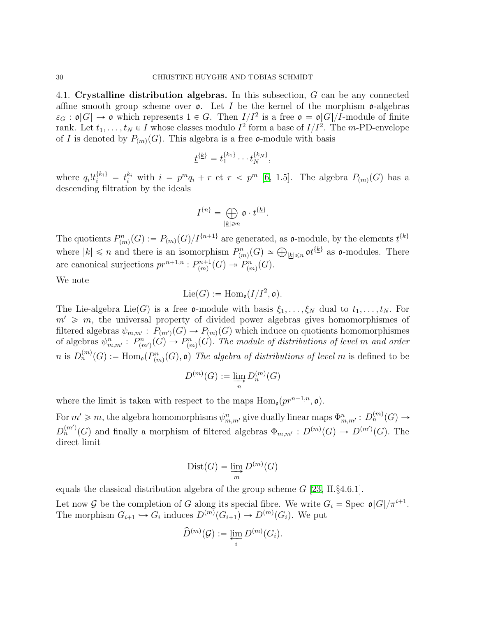<span id="page-29-0"></span>4.1. Crystalline distribution algebras. In this subsection, G can be any connected affine smooth group scheme over  $\mathfrak{o}$ . Let I be the kernel of the morphism  $\mathfrak{o}$ -algebras  $\varepsilon_G : \mathfrak{o}[G] \to \mathfrak{o}$  which represents  $1 \in G$ . Then  $I/I^2$  is a free  $\mathfrak{o} = \mathfrak{o}[G]/I$ -module of finite rank. Let  $t_1, \ldots, t_N \in I$  whose classes modulo  $I^2$  form a base of  $I/I^2$ . The *m*-PD-envelope of I is denoted by  $P_{(m)}(G)$ . This algebra is a free  $\mathfrak{o}$ -module with basis

$$
\underline{t}^{\{\underline{k}\}} = t_1^{\{k_1\}} \cdots t_N^{\{k_N\}},
$$

where  $q_i!t_i^{\{k_i\}} = t_i^{k_i}$  with  $i = p^mq_i + r$  et  $r < p^m$  [\[6,](#page-47-1) 1.5]. The algebra  $P_{(m)}(G)$  has a descending filtration by the ideals

$$
I^{\{n\}} = \bigoplus_{|\underline{k}| \geqslant n} \mathfrak{o} \cdot \underline{t}^{\{\underline{k}\}}.
$$

The quotients  $P_{(m)}^n(G) := P_{(m)}(G)/I^{\{n+1\}}$  are generated, as  $\mathfrak{o}\text{-module}$ , by the elements  $\underline{t}^{\{k\}}$ The quotients  $P_{(m)}(G) := P_{(m)}(G)/T^{(m)}$  are generated, as **o**-module, by the elements  $\underline{V}^{(m)}$ <br>where  $|\underline{k}| \leq n$  and there is an isomorphism  $P_{(m)}^n(G) \simeq \bigoplus_{|\underline{k}| \leq n} \mathfrak{o} \underline{t}^{\{\underline{k}\}}$  as **o**-modules. There are canonical surjections  $pr^{n+1,n} : P^{n+1}_{(m)}$  $p_{(m)}^{n+1}(G) \twoheadrightarrow P_{(m)}^{n}(G).$ 

We note

$$
\mathrm{Lie}(G):=\mathrm{Hom}_{\mathfrak{o}}(I/I^2,\mathfrak{o}).
$$

The Lie-algebra Lie(G) is a free **o**-module with basis  $\xi_1, \ldots, \xi_N$  dual to  $t_1, \ldots, t_N$ . For  $m' \geq m$ , the universal property of divided power algebras gives homomorphismes of filtered algebras  $\psi_{m,m'} : P_{(m')}(G) \to P_{(m)}(G)$  which induce on quotients homomorphismes of algebras  $\psi_{m,m'}^n: P_{(m')}^n(G) \to P_{(m)}^n(G)$ . The module of distributions of level m and order n is  $D_n^{(m)}(G) := \text{Hom}_{\mathfrak{o}}(P_{(m)}^n(G), \mathfrak{o})$  The algebra of distributions of level m is defined to be

$$
D^{(m)}(G) := \varinjlim_{n} D_{n}^{(m)}(G)
$$

where the limit is taken with respect to the maps  $\text{Hom}_{\mathfrak{g}}(pr^{n+1,n}, \mathfrak{o}).$ 

For  $m' \geq m$ , the algebra homomorphisms  $\psi_{m,m'}^n$  give dually linear maps  $\Phi_{m,m'}^n : D_n^{(m)}(G) \to D_m^{(m)}(G)$  $D_n^{(m)}(G)$  and finally a morphism of filtered algebras  $\Phi_{m,m'} : D^{(m)}(G) \to D^{(m')}(G)$ . The direct limit

$$
Dist(G) = \varinjlim_{m} D^{(m)}(G)
$$

equals the classical distribution algebra of the group scheme  $G$  [\[23,](#page-48-9) II.§4.6.1].

Let now G be the completion of G along its special fibre. We write  $G_i = \text{Spec } \mathfrak{o}[G]/\pi^{i+1}$ . The morphism  $G_{i+1} \hookrightarrow G_i$  induces  $D^{(m)}(G_{i+1}) \to D^{(m)}(G_i)$ . We put

$$
\widehat{D}^{(m)}(\mathcal{G}) := \varprojlim_{i} D^{(m)}(G_i).
$$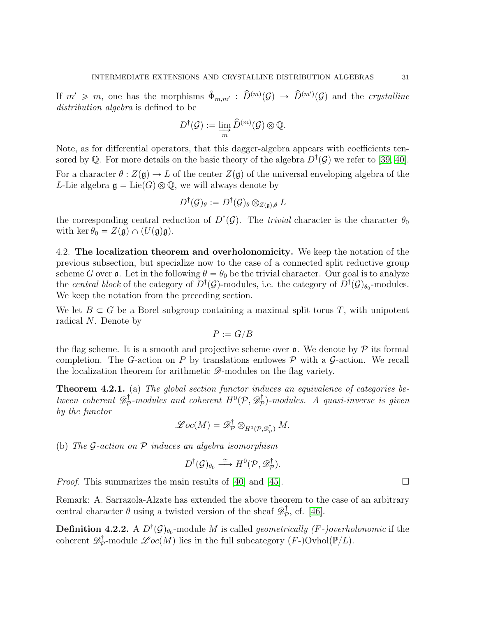If  $m' \geq m$ , one has the morphisms  $\hat{\Phi}_{m,m'} : \hat{D}^{(m)}(\mathcal{G}) \to \hat{D}^{(m')}(\mathcal{G})$  and the *crystalline* distribution algebra is defined to be

$$
D^{\dagger}(\mathcal{G}) := \varinjlim_{m} \widehat{D}^{(m)}(\mathcal{G}) \otimes \mathbb{Q}.
$$

Note, as for differential operators, that this dagger-algebra appears with coefficients tensored by Q. For more details on the basic theory of the algebra  $D^{\dagger}(\mathcal{G})$  we refer to [\[39,](#page-48-0) [40\]](#page-48-3).

For a character  $\theta$  :  $Z(\mathfrak{g}) \to L$  of the center  $Z(\mathfrak{g})$  of the universal enveloping algebra of the L-Lie algebra  $\mathfrak{g} = \text{Lie}(G) \otimes \mathbb{Q}$ , we will always denote by

$$
D^{\dagger}(\mathcal{G})_{\theta}:=D^{\dagger}(\mathcal{G})_{\theta}\otimes_{Z(\mathfrak{g}),\theta}L
$$

the corresponding central reduction of  $D^{\dagger}(\mathcal{G})$ . The *trivial* character is the character  $\theta_0$ with ker  $\theta_0 = Z(\mathfrak{g}) \cap (U(\mathfrak{g})\mathfrak{g}).$ 

<span id="page-30-0"></span>4.2. The localization theorem and overholonomicity. We keep the notation of the previous subsection, but specialize now to the case of a connected split reductive group scheme G over  $\mathfrak o$ . Let in the following  $\theta = \theta_0$  be the trivial character. Our goal is to analyze the *central block* of the category of  $D^{\dagger}(\mathcal{G})$ -modules, i.e. the category of  $D^{\dagger}(\mathcal{G})_{\theta_0}$ -modules. We keep the notation from the preceding section.

We let  $B \subset G$  be a Borel subgroup containing a maximal split torus T, with unipotent radical N. Denote by

 $P := G/B$ 

the flag scheme. It is a smooth and projective scheme over  $\rho$ . We denote by  $\mathcal P$  its formal completion. The G-action on P by translations endowes  $P$  with a G-action. We recall the localization theorem for arithmetic  $\mathscr{D}$ -modules on the flag variety.

<span id="page-30-1"></span>**Theorem 4.2.1.** (a) The global section functor induces an equivalence of categories between coherent  $\mathscr{D}^\dagger_{\mathcal{F}}$  $p^{\dagger}_{\mathcal{P}}$ -modules and coherent  $H^{0}(\mathcal{P},\mathscr{D}^{\dagger}_{\mathcal{P}})$  $\mathcal{P}_{\mathcal{P}}$ )-modules. A quasi-inverse is given by the functor

$$
\mathscr{L}oc(M)=\mathscr{D}^{\dagger}_{\mathcal{P}}\otimes_{H^0(\mathcal{P},\mathscr{D}^{\dagger}_{\mathcal{P}})}M.
$$

(b) The  $\mathcal G$ -action on  $\mathcal P$  induces an algebra isomorphism

$$
D^{\dagger}(\mathcal{G})_{\theta_0} \stackrel{\simeq}{\longrightarrow} H^0(\mathcal{P}, \mathscr{D}_{\mathcal{P}}^{\dagger}).
$$

*Proof.* This summarizes the main results of [\[40\]](#page-48-3) and [\[45\]](#page-49-3).

Remark: A. Sarrazola-Alzate has extended the above theorem to the case of an arbitrary central character  $\theta$  using a twisted version of the sheaf  $\mathscr{D}^{\dagger}_{\mathcal{P}}$  $_{\mathcal{P}}^{\mathcal{I}},$  cf. [\[46\]](#page-49-4).

**Definition 4.2.2.** A  $D^{\dagger}(\mathcal{G})_{\theta_0}$ -module M is called *geometrically (F-)overholonomic* if the coherent  $\mathscr{D}^\dagger_{\mathcal{F}}$  $p^{\dagger}_{\mathcal{P}}$ -module  $\mathscr{Loc}(M)$  lies in the full subcategory  $(F-)$ Ovhol $(\mathbb{P}/L)$ .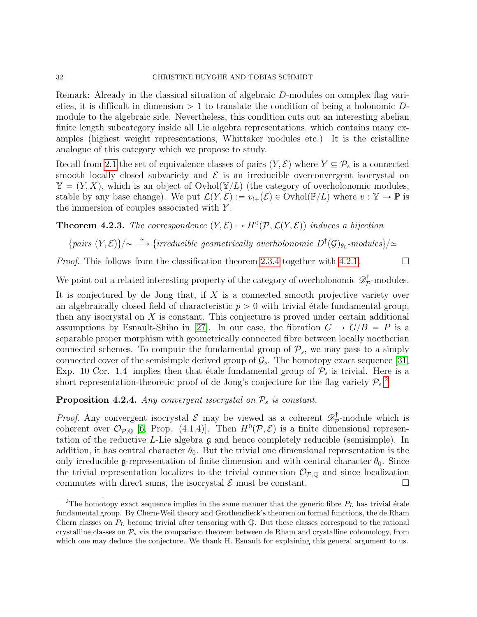Remark: Already in the classical situation of algebraic D-modules on complex flag varieties, it is difficult in dimension  $> 1$  to translate the condition of being a holonomic Dmodule to the algebraic side. Nevertheless, this condition cuts out an interesting abelian finite length subcategory inside all Lie algebra representations, which contains many examples (highest weight representations, Whittaker modules etc.) It is the cristalline analogue of this category which we propose to study.

Recall from [2.1](#page-5-1) the set of equivalence classes of pairs  $(Y, \mathcal{E})$  where  $Y \subseteq \mathcal{P}_s$  is a connected smooth locally closed subvariety and  $\mathcal E$  is an irreducible overconvergent isocrystal on  $\mathbb{Y} = (Y, X)$ , which is an object of Ovhol $(\mathbb{Y}/L)$  (the category of overholonomic modules, stable by any base change). We put  $\mathcal{L}(Y, \mathcal{E}) := v_{!+}(\mathcal{E}) \in \text{Ovhol}(\mathbb{P}/L)$  where  $v : \mathbb{Y} \to \mathbb{P}$  is the immersion of couples associated with Y .

<span id="page-31-0"></span>**Theorem 4.2.3.** The correspondence  $(Y, \mathcal{E}) \rightarrow H^0(\mathcal{P}, \mathcal{L}(Y, \mathcal{E}))$  induces a bijection

 ${pairs (Y, E)}/\sim \stackrel{\simeq}{\longrightarrow} {irreducible~geometrically~overholonomic~}D^{\dagger}(\mathcal{G})_{\theta_0}\text{-modules}\}/\simeq$ 

*Proof.* This follows from the classification theorem [2.3.4](#page-12-0) together with [4.2.1.](#page-30-1)  $\Box$ 

We point out a related interesting property of the category of overholonomic  $\mathscr{D}^\dagger_\mathcal{P}$  $\bar{p}$ -modules.

It is conjectured by de Jong that, if  $X$  is a connected smooth projective variety over an algebraically closed field of characteristic  $p > 0$  with trivial etale fundamental group, then any isocrystal on X is constant. This conjecture is proved under certain additional assumptions by Esnault-Shiho in [\[27\]](#page-48-10). In our case, the fibration  $G \to G/B = P$  is a separable proper morphism with geometrically connected fibre between locally noetherian connected schemes. To compute the fundamental group of  $\mathcal{P}_s$ , we may pass to a simply connected cover of the semisimple derived group of  $\mathcal{G}_s$ . The homotopy exact sequence [\[31,](#page-48-11) Exp. 10 Cor. 1.4] implies then that étale fundamental group of  $\mathcal{P}_s$  is trivial. Here is a short representation-theoretic proof of de Jong's conjecture for the flag variety  $P_s$ .

<span id="page-31-2"></span>**Proposition 4.2.4.** Any convergent isocrystal on  $\mathcal{P}_s$  is constant.

*Proof.* Any convergent isocrystal  $\mathcal{E}$  may be viewed as a coherent  $\mathscr{D}^{\dagger}_{\mathcal{F}}$  $\bar{p}$ -module which is coherent over  $\mathcal{O}_{\mathcal{P},\mathbb{Q}}$  [\[6,](#page-47-1) Prop. (4.1.4)]. Then  $H^0(\mathcal{P},\mathcal{E})$  is a finite dimensional representation of the reductive L-Lie algebra g and hence completely reducible (semisimple). In addition, it has central character  $\theta_0$ . But the trivial one dimensional representation is the only irreducible g-representation of finite dimension and with central character  $\theta_0$ . Since the trivial representation localizes to the trivial connection  $\mathcal{O}_{\mathcal{P},\mathbb{Q}}$  and since localization commutes with direct sums, the isocrystal  $\mathcal E$  must be constant.

<span id="page-31-1"></span><sup>&</sup>lt;sup>2</sup>The homotopy exact sequence implies in the same manner that the generic fibre  $P_L$  has trivial étale fundamental group. By Chern-Weil theory and Grothendieck's theorem on formal functions, the de Rham Chern classes on  $P_L$  become trivial after tensoring with  $\mathbb Q$ . But these classes correspond to the rational crystalline classes on  $\mathcal{P}_s$  via the comparison theorem between de Rham and crystalline cohomology, from which one may deduce the conjecture. We thank H. Esnault for explaining this general argument to us.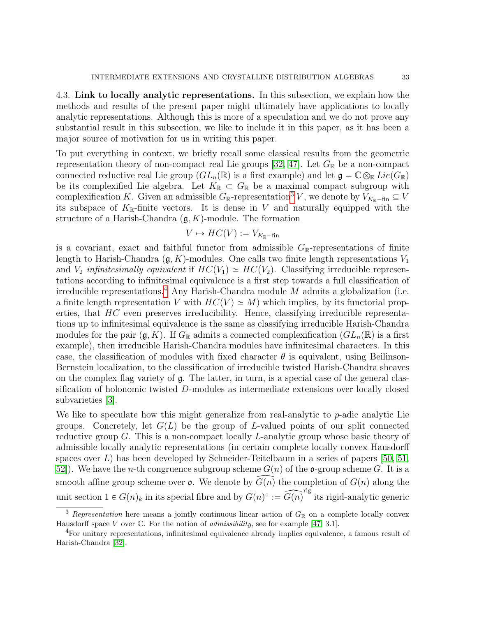<span id="page-32-0"></span>4.3. Link to locally analytic representations. In this subsection, we explain how the methods and results of the present paper might ultimately have applications to locally analytic representations. Although this is more of a speculation and we do not prove any substantial result in this subsection, we like to include it in this paper, as it has been a major source of motivation for us in writing this paper.

To put everything in context, we briefly recall some classical results from the geometric representation theory of non-compact real Lie groups [\[32,](#page-48-12) [47\]](#page-49-5). Let  $G_{\mathbb{R}}$  be a non-compact connected reductive real Lie group  $(GL_n(\mathbb{R})$  is a first example) and let  $\mathfrak{g} = \mathbb{C} \otimes_{\mathbb{R}} Lie(G_{\mathbb{R}})$ be its complexified Lie algebra. Let  $K_{\mathbb{R}} \subset G_{\mathbb{R}}$  be a maximal compact subgroup with complexification K. Given an admissible  $G_{\mathbb{R}}$ -representation<sup>[3](#page-32-1)</sup> V, we denote by  $V_{K_{\mathbb{R}}-\text{fin}} \subseteq V$ its subspace of  $K_{\mathbb{R}}$ -finite vectors. It is dense in V and naturally equipped with the structure of a Harish-Chandra  $(\mathfrak{g}, K)$ -module. The formation

$$
V \mapsto HC(V) := V_{K_{\mathbb{R}} - \text{fin}}
$$

is a covariant, exact and faithful functor from admissible  $G_{\mathbb{R}}$ -representations of finite length to Harish-Chandra  $(\mathfrak{g}, K)$ -modules. One calls two finite length representations  $V_1$ and  $V_2$  infinitesimally equivalent if  $HC(V_1) \simeq HC(V_2)$ . Classifying irreducible representations according to infinitesimal equivalence is a first step towards a full classification of irreducible representations.<sup>[4](#page-32-2)</sup> Any Harish-Chandra module  $M$  admits a globalization (i.e. a finite length representation V with  $HC(V) \simeq M$ ) which implies, by its functorial properties, that  $HC$  even preserves irreducibility. Hence, classifying irreducible representations up to infinitesimal equivalence is the same as classifying irreducible Harish-Chandra modules for the pair  $(\mathfrak{g}, K)$ . If  $G_{\mathbb{R}}$  admits a connected complexification  $(GL_n(\mathbb{R})$  is a first example), then irreducible Harish-Chandra modules have infinitesimal characters. In this case, the classification of modules with fixed character  $\theta$  is equivalent, using Beilinson-Bernstein localization, to the classification of irreducible twisted Harish-Chandra sheaves on the complex flag variety of  $\mathfrak{g}$ . The latter, in turn, is a special case of the general classification of holonomic twisted D-modules as intermediate extensions over locally closed subvarieties [\[3\]](#page-47-2).

We like to speculate how this might generalize from real-analytic to p-adic analytic Lie groups. Concretely, let  $G(L)$  be the group of L-valued points of our split connected reductive group G. This is a non-compact locally L-analytic group whose basic theory of admissible locally analytic representations (in certain complete locally convex Hausdorff spaces over  $L$ ) has been developed by Schneider-Teitelbaum in a series of papers [\[50,](#page-49-6) [51,](#page-49-7) 52. We have the *n*-th congruence subgroup scheme  $G(n)$  of the **o**-group scheme G. It is a smooth affine group scheme over  $\mathfrak{o}$ . We denote by  $\widehat{G(n)}$  the completion of  $G(n)$  along the unit section  $1 \in G(n)_k$  in its special fibre and by  $G(n)^\circ := \widehat{G(n)}^{\text{rig}}$  its rigid-analytic generic

<span id="page-32-1"></span><sup>&</sup>lt;sup>3</sup> Representation here means a jointly continuous linear action of  $G_{\mathbb{R}}$  on a complete locally convex Hausdorff space V over  $\mathbb C$ . For the notion of *admissibility*, see for example [\[47,](#page-49-5) 3.1].

<span id="page-32-2"></span><sup>4</sup>For unitary representations, infinitesimal equivalence already implies equivalence, a famous result of Harish-Chandra [\[32\]](#page-48-12).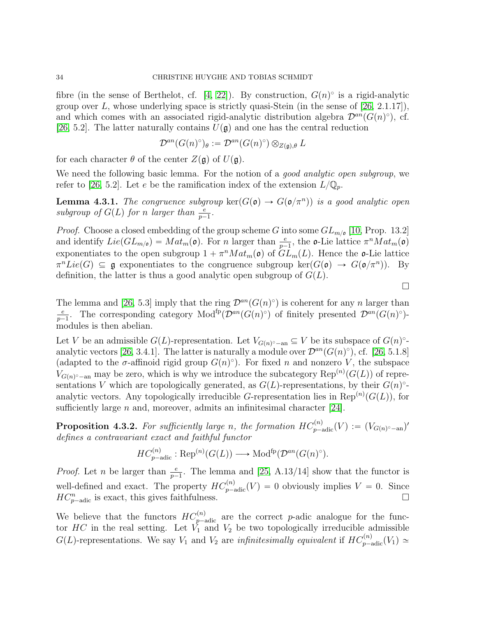fibre (in the sense of Berthelot, cf. [\[4,](#page-47-17) [22\]](#page-47-18)). By construction,  $G(n)$ <sup>o</sup> is a rigid-analytic group over L, whose underlying space is strictly quasi-Stein (in the sense of  $[26, 2.1.17]$ ), and which comes with an associated rigid-analytic distribution algebra  $\mathcal{D}^{an}(G(n)^\circ)$ , cf. [\[26,](#page-48-1) 5.2]. The latter naturally contains  $U(\mathfrak{g})$  and one has the central reduction

$$
\mathcal{D}^{an}(G(n)^\circ)_\theta := \mathcal{D}^{an}(G(n)^\circ) \otimes_{Z(\mathfrak{g}),\theta} L
$$

for each character  $\theta$  of the center  $Z(\mathfrak{g})$  of  $U(\mathfrak{g})$ .

We need the following basic lemma. For the notion of a *good analytic open subgroup*, we refer to [\[26,](#page-48-1) 5.2]. Let e be the ramification index of the extension  $L/\mathbb{Q}_p$ .

**Lemma 4.3.1.** The congruence subgroup  $\text{ker}(G(\mathfrak{o}) \to G(\mathfrak{o}/\pi^n))$  is a good analytic open subgroup of  $G(L)$  for n larger than  $\frac{e}{p-1}$ .

*Proof.* Choose a closed embedding of the group scheme G into some  $GL_{m/\mathfrak{o}}$  [\[10,](#page-47-19) Prop. 13.2] and identify  $Lie(GL_{m/\mathfrak{o}}) = Mat_m(\mathfrak{o})$ . For n larger than  $\frac{e}{p-1}$ , the  $\mathfrak{o}$ -Lie lattice  $\pi^n Mat_m(\mathfrak{o})$ exponentiates to the open subgroup  $1 + \pi^n Mat_m(\mathfrak{o})$  of  $GL_m(L)$ . Hence the  $\mathfrak{o}\text{-Lie}$  lattice  $\pi^n Lie(G) \subseteq \mathfrak{g}$  exponentiates to the congruence subgroup ker $(G(\mathfrak{o}) \to G(\mathfrak{o}/\pi^n))$ . By definition, the latter is thus a good analytic open subgroup of  $G(L)$ .

The lemma and [\[26,](#page-48-1) 5.3] imply that the ring  $\mathcal{D}^{an}(G(n)^\circ)$  is coherent for any n larger than e  $\frac{e}{p-1}$ . The corresponding category  $Mod^{\text{fp}}(\mathcal{D}^{an}(G(n)^{\circ})$  of finitely presented  $\mathcal{D}^{an}(G(n)^{\circ})$ modules is then abelian.

Let V be an admissible  $G(L)$ -representation. Let  $V_{G(n)^\circ - \text{an}} \subseteq V$  be its subspace of  $G(n)^\circ$ -analytic vectors [\[26,](#page-48-1) 3.4.1]. The latter is naturally a module over  $\mathcal{D}^{an}(G(n)^\circ)$ , cf. [26, 5.1.8] (adapted to the  $\sigma$ -affinoid rigid group  $G(n)$ °). For fixed n and nonzero V, the subspace  $V_{G(n)^\circ-\text{an}}$  may be zero, which is why we introduce the subcategory  $\text{Rep}^{(n)}(G(L))$  of representations V which are topologically generated, as  $G(L)$ -representations, by their  $G(n)$ <sup>o</sup>analytic vectors. Any topologically irreducible G-representation lies in  $\text{Rep}^{(n)}(G(L))$ , for sufficiently large  $n$  and, moreover, admits an infinitesimal character [\[24\]](#page-48-13).

**Proposition 4.3.2.** For sufficiently large n, the formation  $HC_{p-\text{adic}}^{(n)}(V) := (V_{G(n)^\circ-\text{an}})'$ defines a contravariant exact and faithful functor

$$
HC_{p-\text{adic}}^{(n)}: \text{Rep}^{(n)}(G(L)) \longrightarrow \text{Mod}^{\text{fp}}(\mathcal{D}^{an}(G(n)^{\circ}).
$$

*Proof.* Let *n* be larger than  $\frac{e}{p-1}$ . The lemma and [\[25,](#page-48-14) A.13/14] show that the functor is well-defined and exact. The property  $HC_{p-\text{adic}}^{(n)}(V) = 0$  obviously implies  $V = 0$ . Since  $HC_{p-\text{adic}}^{n}$  is exact, this gives faithfulness.

We believe that the functors  $HC_{p-\text{adic}}^{(n)}$  are the correct p-adic analogue for the functor  $HC$  in the real setting. Let  $\tilde{V}_1$  and  $V_2$  be two topologically irreducible admissible  $G(L)$ -representations. We say  $V_1$  and  $V_2$  are *infinitesimally equivalent* if  $HC_{p-\text{adic}}^{(n)}(V_1) \simeq$ 

 $\Box$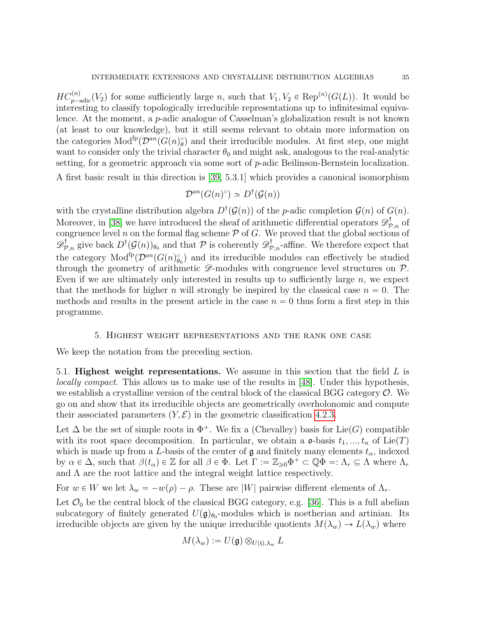$HC_{p-\text{adic}}^{(n)}(V_2)$  for some sufficiently large n, such that  $V_1, V_2 \in \text{Rep}^{(n)}(G(L))$ . It would be interesting to classify topologically irreducible representations up to infinitesimal equivalence. At the moment, a p-adic analogue of Casselman's globalization result is not known (at least to our knowledge), but it still seems relevant to obtain more information on the categories  $\text{Mod}^{\text{fp}}(\mathcal{D}^{an}(G(n)_{\theta}^{\circ})$  and their irreducible modules. At first step, one might want to consider only the trivial character  $\theta_0$  and might ask, analogous to the real-analytic setting, for a geometric approach via some sort of p-adic Beilinson-Bernstein localization.

A first basic result in this direction is [\[39,](#page-48-0) 5.3.1] which provides a canonical isomorphism

$$
\mathcal{D}^{an}(G(n)^{\circ}) \simeq D^{\dagger}(\mathcal{G}(n))
$$

with the crystalline distribution algebra  $D^{\dagger}(\mathcal{G}(n))$  of the p-adic completion  $\mathcal{G}(n)$  of  $G(n)$ . Moreover, in [\[38\]](#page-48-15) we have introduced the sheaf of arithmetic differential operators  $\mathscr{D}^{\dagger}_{\mathcal{P},n}$  of congruence level n on the formal flag scheme  $P$  of  $G$ . We proved that the global sections of  $\mathscr{D}^{\dagger}_{\mathcal{P},n}$  give back  $D^{\dagger}(\mathcal{G}(n))_{\theta_0}$  and that  $\mathcal P$  is coherently  $\mathscr{D}^{\dagger}_{\mathcal{P},n}$ -affine. We therefore expect that the category  $Mod^{fp}(\mathcal{D}^{an}(G(n)_{\theta_0}^{\circ})$  and its irreducible modules can effectively be studied through the geometry of arithmetic  $\mathscr{D}$ -modules with congruence level structures on  $\mathcal{P}$ . Even if we are ultimately only interested in results up to sufficiently large  $n$ , we expect that the methods for higher n will strongly be inspired by the classical case  $n = 0$ . The methods and results in the present article in the case  $n = 0$  thus form a first step in this programme.

#### 5. Highest weight representations and the rank one case

<span id="page-34-0"></span>We keep the notation from the preceding section.

<span id="page-34-1"></span>5.1. **Highest weight representations.** We assume in this section that the field  $L$  is locally compact. This allows us to make use of the results in [\[48\]](#page-49-9). Under this hypothesis, we establish a crystalline version of the central block of the classical BGG category  $\mathcal{O}$ . We go on and show that its irreducible objects are geometrically overholonomic and compute their associated parameters  $(Y, \mathcal{E})$  in the geometric classification [4.2.3.](#page-31-0)

Let  $\Delta$  be the set of simple roots in  $\Phi^+$ . We fix a (Chevalley) basis for Lie(G) compatible with its root space decomposition. In particular, we obtain a  $\mathfrak{o}$ -basis  $t_1, ..., t_n$  of Lie(T) which is made up from a L-basis of the center of  $\mathfrak g$  and finitely many elements  $t_\alpha$ , indexed by  $\alpha \in \Delta$ , such that  $\beta(t_{\alpha}) \in \mathbb{Z}$  for all  $\beta \in \Phi$ . Let  $\Gamma := \mathbb{Z}_{\geqslant 0} \Phi^+ \subset \mathbb{Q} \Phi =: \Lambda_r \subseteq \Lambda$  where  $\Lambda_r$ and  $\Lambda$  are the root lattice and the integral weight lattice respectively.

For  $w \in W$  we let  $\lambda_w = -w(\rho) - \rho$ . These are |W| pairwise different elements of  $\Lambda_r$ .

Let  $\mathcal{O}_0$  be the central block of the classical BGG category, e.g. [\[36\]](#page-48-16). This is a full abelian subcategory of finitely generated  $U(\mathfrak{g})_{\theta_0}$ -modules which is noetherian and artinian. Its irreducible objects are given by the unique irreducible quotients  $M(\lambda_w) \to L(\lambda_w)$  where

$$
M(\lambda_w) := U(\mathfrak{g}) \otimes_{U(\mathfrak{t}), \lambda_w} L
$$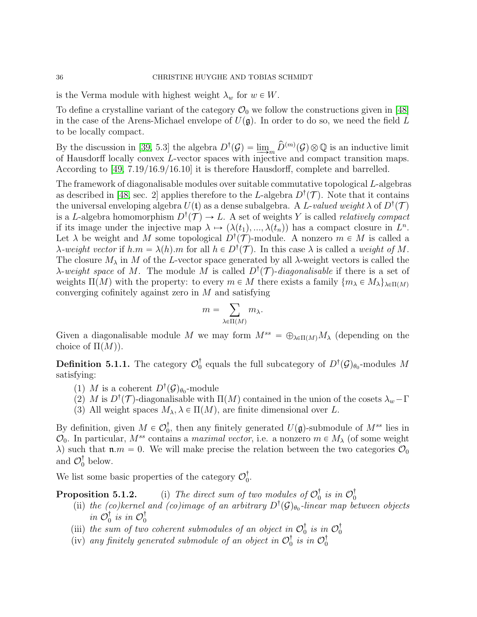is the Verma module with highest weight  $\lambda_w$  for  $w \in W$ .

To define a crystalline variant of the category  $\mathcal{O}_0$  we follow the constructions given in [\[48\]](#page-49-9) in the case of the Arens-Michael envelope of  $U(\mathfrak{g})$ . In order to do so, we need the field L to be locally compact.

By the discussion in [\[39,](#page-48-0) 5.3] the algebra  $D^{\dagger}(\mathcal{G}) = \lim_{m \to \infty} \hat{D}^{(m)}(\mathcal{G}) \otimes \mathbb{Q}$  is an inductive limit of Hausdorff locally convex L-vector spaces with injective and compact transition maps. According to [\[49,](#page-49-10) 7.19/16.9/16.10] it is therefore Hausdorff, complete and barrelled.

The framework of diagonalisable modules over suitable commutative topological L-algebras as described in [\[48,](#page-49-9) sec. 2] applies therefore to the L-algebra  $D^{\dagger}(\mathcal{T})$ . Note that it contains the universal enveloping algebra  $U(\mathfrak{t})$  as a dense subalgebra. A L-valued weight  $\lambda$  of  $D^{\dagger}(\mathcal{T})$ is a L-algebra homomorphism  $D^{\dagger}(\mathcal{T}) \to L$ . A set of weights Y is called *relatively compact* if its image under the injective map  $\lambda \mapsto (\lambda(t_1), ..., \lambda(t_n))$  has a compact closure in  $L^n$ . Let  $\lambda$  be weight and M some topological  $D^{\dagger}(\mathcal{T})$ -module. A nonzero  $m \in M$  is called a  $\lambda$ -weight vector if  $h.m = \lambda(h)$ .m for all  $h \in D^{\dagger}(\mathcal{T})$ . In this case  $\lambda$  is called a weight of M. The closure  $M_{\lambda}$  in M of the L-vector space generated by all  $\lambda$ -weight vectors is called the  $\lambda$ -weight space of M. The module M is called  $D^{\dagger}(\mathcal{T})$ -diagonalisable if there is a set of weights  $\Pi(M)$  with the property: to every  $m \in M$  there exists a family  $\{m_{\lambda} \in M_{\lambda}\}_{\lambda \in \Pi(M)}$ converging cofinitely against zero in  $M$  and satisfying

$$
m=\sum_{\lambda\in\Pi(M)}m_\lambda.
$$

Given a diagonalisable module M we may form  $M^{ss} = \bigoplus_{\lambda \in \Pi(M)} M_{\lambda}$  (depending on the choice of  $\Pi(M)$ ).

**Definition 5.1.1.** The category  $\mathcal{O}_0^{\dagger}$  equals the full subcategory of  $D^{\dagger}(\mathcal{G})_{\theta_0}$ -modules M satisfying:

- (1) M is a coherent  $D^{\dagger}(\mathcal{G})_{\theta_0}$ -module
- (2) M is  $D^{\dagger}(\mathcal{T})$ -diagonalisable with  $\Pi(M)$  contained in the union of the cosets  $\lambda_w \Gamma$
- (3) All weight spaces  $M_{\lambda}$ ,  $\lambda \in \Pi(M)$ , are finite dimensional over L.

By definition, given  $M \in \mathcal{O}_0^{\dagger}$ , then any finitely generated  $U(\mathfrak{g})$ -submodule of  $M^{ss}$  lies in  $\mathcal{O}_0$ . In particular,  $M^{ss}$  contains a *maximal vector*, i.e. a nonzero  $m \in M_\lambda$  (of some weight  $\lambda$ ) such that  $\mathfrak{n} \cdot m = 0$ . We will make precise the relation between the two categories  $\mathcal{O}_0$ and  $\mathcal{O}_0^{\dagger}$  below.

We list some basic properties of the category  $\mathcal{O}_0^{\dagger}$ .

- **Proposition 5.1.2.** (i) The direct sum of two modules of  $\mathcal{O}_0^{\dagger}$  is in  $\mathcal{O}_0^{\dagger}$  (ii) the (co)kernel and (co)image of an arbitrary  $D^{\dagger}(\mathcal{G})_{\theta_0}$ -linear map between objects in  $\mathcal{O}_0^{\dagger}$  is in  $\mathcal{O}_0^{\dagger}$ 
	- (iii) the sum of two coherent submodules of an object in  $\mathcal{O}_0^{\dagger}$  is in  $\mathcal{O}_0^{\dagger}$
	- (iv) any finitely generated submodule of an object in  $\mathcal{O}_0^{\dagger}$  is in  $\mathcal{O}_0^{\dagger}$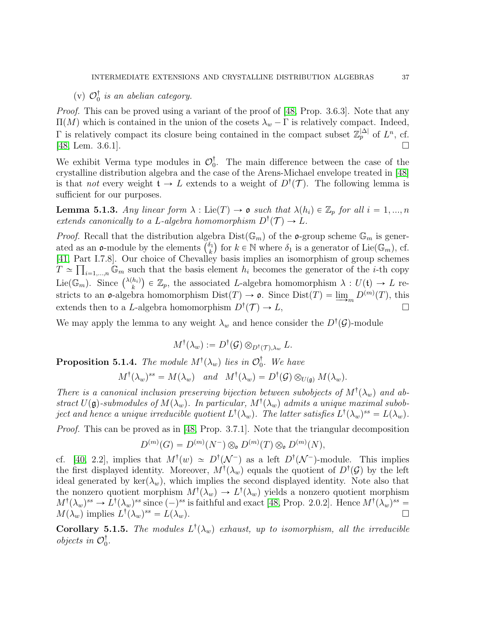# (v)  $\mathcal{O}_0^{\dagger}$  is an abelian category.

Proof. This can be proved using a variant of the proof of [\[48,](#page-49-9) Prop. 3.6.3]. Note that any  $\Pi(M)$  which is contained in the union of the cosets  $\lambda_w - \Gamma$  is relatively compact. Indeed,  $\Gamma$  is relatively compact its closure being contained in the compact subset  $\mathbb{Z}_p^{|\Delta|}$  of  $L^n$ , cf. [\[48,](#page-49-9) Lem. 3.6.1].

We exhibit Verma type modules in  $\mathcal{O}_0^{\dagger}$ . The main difference between the case of the crystalline distribution algebra and the case of the Arens-Michael envelope treated in [\[48\]](#page-49-9) is that *not* every weight  $\mathfrak{t} \to L$  extends to a weight of  $D^{\dagger}(\mathcal{T})$ . The following lemma is sufficient for our purposes.

**Lemma 5.1.3.** Any linear form  $\lambda : \text{Lie}(T) \to \mathfrak{o}$  such that  $\lambda(h_i) \in \mathbb{Z}_p$  for all  $i = 1, ..., n$ extends canonically to a L-algebra homomorphism  $D^{\dagger}(\mathcal{T}) \to L$ .

*Proof.* Recall that the distribution algebra  $Dist(\mathbb{G}_m)$  of the  $o$ -group scheme  $\mathbb{G}_m$  is gener-*Proof.* Recall that the distribution alge<br>ated as an **o**-module by the elements  $\binom{\delta_1}{k}$  $\delta_k$ ) for  $k \in \mathbb{N}$  where  $\delta_1$  is a generator of Lie( $\mathbb{G}_m$ ), cf. [\[41,](#page-48-17) Part I.7.8]. Our choice of Chevalley basis implies an isomorphism of group schemes  $T \simeq \prod_{i=1,\dots,n} \mathbb{G}_m$  such that the basis element  $h_i$  becomes the generator of the *i*-th copy  $L \cong \prod_{i=1,\dots,n} \mathbb{G}_m$  such<br>Lie $(\mathbb{G}_m)$ . Since  $\binom{\lambda(h_i)}{k}$  $\binom{h_i}{k}$   $\in \mathbb{Z}_p$ , the associated L-algebra homomorphism  $\lambda: U(\mathfrak{t}) \to L$  restricts to an  $\mathfrak{o}$ -algebra homomorphism  $Dist(T) \to \mathfrak{o}$ . Since  $Dist(T) = \underline{\lim}_{m} D^{(m)}(T)$ , this extends then to a L-algebra homomorphism  $D^{\dagger}(\mathcal{T}) \to L$ ,

We may apply the lemma to any weight  $\lambda_w$  and hence consider the  $D^{\dagger}(\mathcal{G})$ -module

$$
M^{\dagger}(\lambda_w) := D^{\dagger}(\mathcal{G}) \otimes_{D^{\dagger}(\mathcal{T}), \lambda_w} L.
$$

<span id="page-36-0"></span>**Proposition 5.1.4.** The module  $M^{\dagger}(\lambda_w)$  lies in  $\mathcal{O}_0^{\dagger}$ . We have

$$
M^{\dagger}(\lambda_w)^{ss} = M(\lambda_w)
$$
 and  $M^{\dagger}(\lambda_w) = D^{\dagger}(\mathcal{G}) \otimes_{U(\mathfrak{g})} M(\lambda_w)$ .

There is a canonical inclusion preserving bijection between subobjects of  $M^{\dagger}(\lambda_w)$  and abstract  $U(\mathfrak{g})$ -submodules of  $M(\lambda_w)$ . In particular,  $M^{\dagger}(\lambda_w)$  admits a unique maximal subobject and hence a unique irreducible quotient  $L^{\dagger}(\lambda_w)$ . The latter satisfies  $L^{\dagger}(\lambda_w)^{ss} = L(\lambda_w)$ .

Proof. This can be proved as in [\[48,](#page-49-9) Prop. 3.7.1]. Note that the triangular decomposition

$$
D^{(m)}(G) = D^{(m)}(N^-) \otimes_{\mathfrak{o}} D^{(m)}(T) \otimes_{\mathfrak{o}} D^{(m)}(N),
$$

cf. [\[40,](#page-48-3) 2.2], implies that  $M^{\dagger}(w) \simeq D^{\dagger}(\mathcal{N}^-)$  as a left  $D^{\dagger}(\mathcal{N}^-)$ -module. This implies the first displayed identity. Moreover,  $M^{\dagger}(\lambda_w)$  equals the quotient of  $D^{\dagger}(\mathcal{G})$  by the left ideal generated by ker $(\lambda_w)$ , which implies the second displayed identity. Note also that the nonzero quotient morphism  $M^{\dagger}(\lambda_w) \to L^{\dagger}(\lambda_w)$  yields a nonzero quotient morphism  $M^{\dagger}(\lambda_w)^{ss} \to L^{\dagger}(\lambda_w)^{ss}$  since  $(-)^{ss}$  is faithful and exact [\[48,](#page-49-9) Prop. 2.0.2]. Hence  $M^{\dagger}(\lambda_w)^{ss} =$  $M(\lambda_w)$  implies  $L^{\dagger}(\lambda_w)^{ss} = L(\lambda_w)$ .

**Corollary 5.1.5.** The modules  $L^{\dagger}(\lambda_w)$  exhaust, up to isomorphism, all the irreducible *objects in*  $\mathcal{O}_0^{\dagger}$ .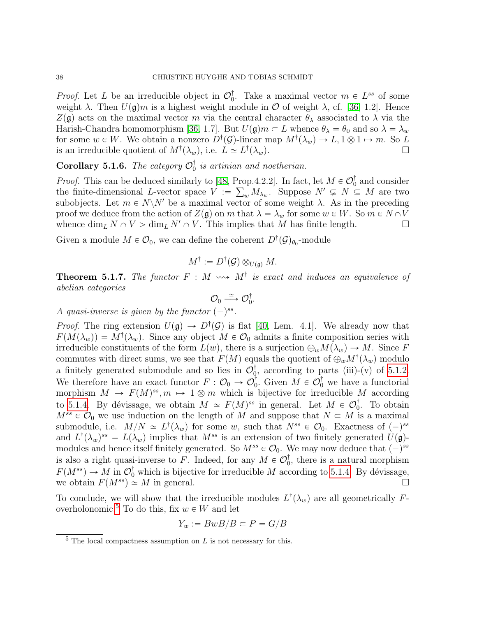*Proof.* Let L be an irreducible object in  $\mathcal{O}_0^{\dagger}$ . Take a maximal vector  $m \in L^{ss}$  of some weight  $\lambda$ . Then  $U(\mathfrak{g})m$  is a highest weight module in  $\mathcal O$  of weight  $\lambda$ , cf. [\[36,](#page-48-16) 1.2]. Hence  $Z(\mathfrak{g})$  acts on the maximal vector m via the central character  $\theta_{\lambda}$  associated to  $\lambda$  via the Harish-Chandra homomorphism [\[36,](#page-48-16) 1.7]. But  $U(\mathfrak{g})m \subset L$  whence  $\theta_{\lambda} = \theta_0$  and so  $\lambda = \lambda_w$ for some  $w \in W$ . We obtain a nonzero  $D^{\dagger}(\mathcal{G})$ -linear map  $M^{\dagger}(\lambda_w) \to L, 1 \otimes 1 \mapsto m$ . So L is an irreducible quotient of  $M^{\dagger}(\lambda_w)$ , i.e.  $L \simeq L^{\dagger}$  $(\lambda_w)$ .

**Corollary 5.1.6.** The category  $\mathcal{O}_0^{\dagger}$  is artinian and noetherian.

*Proof.* This can be deduced similarly to [\[48,](#page-49-9) Prop.4.2.2]. In fact, let  $M \in \mathcal{O}_0^{\dagger}$  and consider the finite-dimensional L-vector space  $V := \sum_{w} M_{\lambda_w}$ . Suppose  $N' \subsetneq N \subseteq M$  are two subobjects. Let  $m \in N \backslash N'$  be a maximal vector of some weight  $\lambda$ . As in the preceding proof we deduce from the action of  $Z(\mathfrak{g})$  on m that  $\lambda = \lambda_w$  for some  $w \in W$ . So  $m \in N \cap V$ whence  $\dim_L N \cap V > \dim_L N' \cap V$ . This implies that M has finite length.

Given a module  $M \in \mathcal{O}_0$ , we can define the coherent  $D^{\dagger}(\mathcal{G})_{\theta_0}$ -module

$$
M^{\dagger} := D^{\dagger}(\mathcal{G}) \otimes_{U(\mathfrak{g})} M.
$$

<span id="page-37-0"></span>**Theorem 5.1.7.** The functor  $F : M \longrightarrow M^{\dagger}$  is exact and induces an equivalence of abelian categories

$$
\mathcal{O}_0 \stackrel{\simeq}{\longrightarrow} \mathcal{O}_0^{\dagger}.
$$

A quasi-inverse is given by the functor  $(-)^{ss}$ .

*Proof.* The ring extension  $U(\mathfrak{g}) \to D^{\dagger}(\mathcal{G})$  is flat [\[40,](#page-48-3) Lem. 4.1]. We already now that  $F(M(\lambda_w)) = M^{\dagger}(\lambda_w)$ . Since any object  $M \in \mathcal{O}_0$  admits a finite composition series with irreducible constituents of the form  $L(w)$ , there is a surjection  $\bigoplus_w M(\lambda_w) \to M$ . Since F commutes with direct sums, we see that  $F(M)$  equals the quotient of  $\bigoplus_w M^{\dagger}(\lambda_w)$  modulo a finitely generated submodule and so lies in  $\mathcal{O}_0^{\dagger}$ , according to parts (iii)-(v) of [5.1.2.](#page-0-0) We therefore have an exact functor  $F: \mathcal{O}_0 \to \mathcal{O}_0^{\dagger}$ . Given  $M \in \mathcal{O}_0^{\dagger}$  we have a functorial morphism  $M \to F(M)^{ss}, m \mapsto 1 \otimes m$  which is bijective for irreducible M according to [5.1.4.](#page-36-0) By dévissage, we obtain  $M \simeq F(M)^{ss}$  in general. Let  $M \in \mathcal{O}_0^{\dagger}$ . To obtain  $M^{ss} \in \mathcal{O}_0$  we use induction on the length of M and suppose that  $N \subset M$  is a maximal submodule, i.e.  $M/N \simeq L^{\dagger}(\lambda_w)$  for some w, such that  $N^{ss} \in \mathcal{O}_0$ . Exactness of  $(-)^{ss}$ and  $L^{\dagger}(\lambda_w)^{ss} = L(\lambda_w)$  implies that  $M^{ss}$  is an extension of two finitely generated  $U(\mathfrak{g})$ modules and hence itself finitely generated. So  $M^{ss} \in \mathcal{O}_0$ . We may now deduce that  $(-)^{ss}$ is also a right quasi-inverse to F. Indeed, for any  $M \in \mathcal{O}_0^{\dagger}$ , there is a natural morphism  $F(M^{ss}) \to M$  in  $\mathcal{O}_0^{\dagger}$  which is bijective for irreducible M according to [5.1.4.](#page-36-0) By dévissage, we obtain  $F(M^{ss}) \simeq M$  in general.

To conclude, we will show that the irreducible modules  $L^{\dagger}(\lambda_w)$  are all geometrically F-overholonomic.<sup>[5](#page-37-1)</sup> To do this, fix  $w \in W$  and let

$$
Y_w := BwB/B \subset P = G/B
$$

<span id="page-37-1"></span> $5$  The local compactness assumption on L is not necessary for this.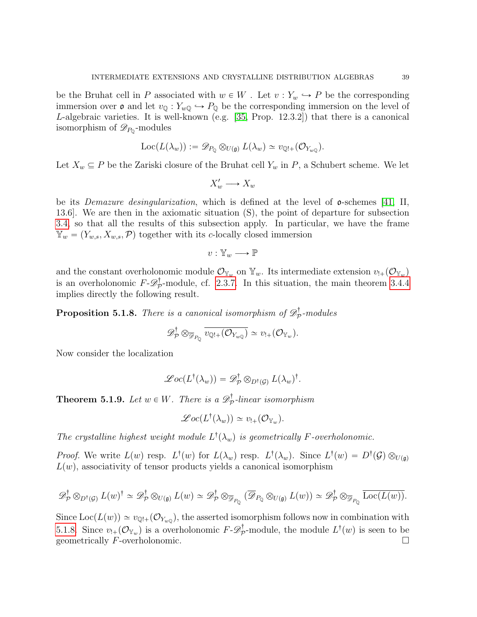be the Bruhat cell in P associated with  $w \in W$ . Let  $v : Y_w \hookrightarrow P$  be the corresponding immersion over  $\mathfrak o$  and let  $v_{\mathbb Q}: Y_{w\mathbb Q} \hookrightarrow P_{\mathbb Q}$  be the corresponding immersion on the level of L-algebraic varieties. It is well-known (e.g. [\[35,](#page-48-2) Prop. 12.3.2]) that there is a canonical isomorphism of  $\mathscr{D}_{P_{\mathbb{Q}}}$ -modules

$$
\mathrm{Loc}(L(\lambda_w)) := \mathscr{D}_{P_{\mathbb{Q}}} \otimes_{U(\mathfrak{g})} L(\lambda_w) \simeq v_{\mathbb{Q}!+}(\mathcal{O}_{Y_{w\mathbb{Q}}}).
$$

Let  $X_w \subseteq P$  be the Zariski closure of the Bruhat cell  $Y_w$  in P, a Schubert scheme. We let

$$
X'_w \longrightarrow X_w
$$

be its *Demazure desingularization*, which is defined at the level of  $\sigma$ -schemes [\[41,](#page-48-17) II, 13.6]. We are then in the axiomatic situation (S), the point of departure for subsection [3.4,](#page-25-0) so that all the results of this subsection apply. In particular, we have the frame  $\mathbb{Y}_{w} = (Y_{w,s}, X_{w,s}, \mathcal{P})$  together with its c-locally closed immersion

$$
v:\mathbb{Y}_w\longrightarrow \mathbb{P}
$$

and the constant overholonomic module  $\mathcal{O}_{\mathbb{Y}_w}$  on  $\mathbb{Y}_w$ . Its intermediate extension  $v_{!+}(\mathcal{O}_{\mathbb{Y}_w})$ is an overholonomic  $F - \mathscr{D}_{\mathcal{F}}^{\dagger}$  $\mathcal{P}_{\mathcal{P}}^{\mathsf{T}}$ -module, cf. [2.3.7.](#page-14-3) In this situation, the main theorem [3.4.4](#page-28-1) implies directly the following result.

<span id="page-38-1"></span>**Proposition 5.1.8.** There is a canonical isomorphism of  $\mathscr{D}^{\dagger}_{\mathcal{F}}$  $\mathbb{P}_{\mathcal{P}}^{\mathsf{T}}$ -modules

$$
\mathscr{D}_{\mathcal{P}}^{\dagger} \otimes_{\overline{\mathscr{D}}_{P_{\mathbb{Q}}}} \overline{v_{\mathbb{Q}!+}(\mathcal{O}_{Y_{w\mathbb{Q}}})} \simeq v_{!+}(\mathcal{O}_{Y_w}).
$$

Now consider the localization

$$
\mathscr{L}oc(L^{\dagger}(\lambda_w))=\mathscr{D}_{\mathcal{P}}^{\dagger}\otimes_{D^{\dagger}(\mathcal{G})}L(\lambda_w)^{\dagger}.
$$

<span id="page-38-0"></span>**Theorem 5.1.9.** Let  $w \in W$ . There is a  $\mathscr{D}^{\dagger}_{\mathcal{F}}$  $\mathbb{P}_{\mathcal{P}}^{\mathbb{T}}$ -linear isomorphism

$$
\mathscr{Loc}(L^{\dagger}(\lambda_w)) \simeq v_{!+}(\mathcal{O}_{\mathbb{Y}_w}).
$$

The crystalline highest weight module  $L^{\dagger}(\lambda_w)$  is geometrically F-overholonomic.

*Proof.* We write  $L(w)$  resp.  $L^{\dagger}(w)$  for  $L(\lambda_w)$  resp.  $L^{\dagger}(\lambda_w)$ . Since  $L^{\dagger}(w) = D^{\dagger}(\mathcal{G}) \otimes_{U(\mathfrak{g})} I(w)$  $L(w)$ , associativity of tensor products yields a canonical isomorphism

$$
\mathscr{D}_{\mathcal{P}}^{\dagger} \otimes_{D^{\dagger}(\mathcal{G})} L(w)^{\dagger} \simeq \mathscr{D}_{\mathcal{P}}^{\dagger} \otimes_{U(\mathfrak{g})} L(w) \simeq \mathscr{D}_{\mathcal{P}}^{\dagger} \otimes_{\overline{\mathcal{P}}_{P_{\mathbb{Q}}}} (\overline{\mathscr{D}}_{P_{\mathbb{Q}}} \otimes_{U(\mathfrak{g})} L(w)) \simeq \mathscr{D}_{\mathcal{P}}^{\dagger} \otimes_{\overline{\mathcal{P}}_{P_{\mathbb{Q}}}} \overline{\mathrm{Loc}(L(w))}.
$$

Since  $Loc(L(w)) \simeq v_{\mathbb{Q}!+}(\mathcal{O}_{Y_{w\mathbb{Q}}})$ , the asserted isomorphism follows now in combination with [5.1.8.](#page-38-1) Since  $v_{!+}(\mathcal{O}_{\mathbb{Y}_w})$  is a overholonomic  $F \text{-} \mathscr{D}^{\dagger}_{\mathcal{P}}$  $\bar{p}$ -module, the module  $L^{\dagger}(w)$  is seen to be geometrically  $F$ -overholonomic.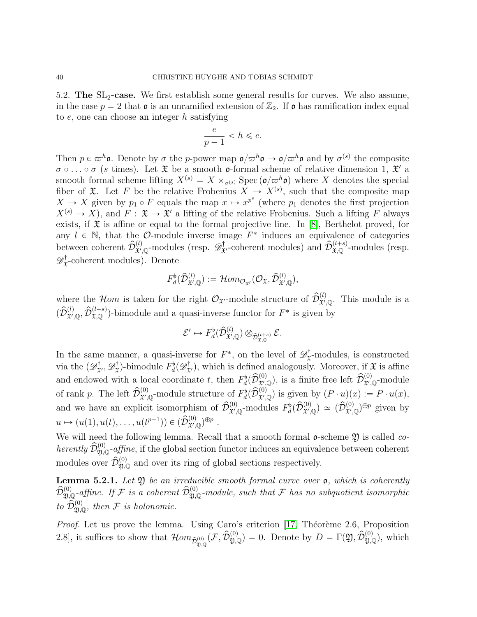<span id="page-39-0"></span>5.2. The  $SL_2$ -case. We first establish some general results for curves. We also assume, in the case  $p = 2$  that  $\mathfrak o$  is an unramified extension of  $\mathbb{Z}_2$ . If  $\mathfrak o$  has ramification index equal to  $e$ , one can choose an integer  $h$  satisfying

$$
\frac{e}{p-1} < h \leqslant e.
$$

Then  $p \in \varpi^h$ **o**. Denote by  $\sigma$  the p-power map  $\mathfrak{o}/\varpi^h \mathfrak{o} \to \mathfrak{o}/\varpi^h \mathfrak{o}$  and by  $\sigma^{(s)}$  the composite  $\sigma \circ \ldots \circ \sigma$  (s times). Let  $\mathfrak X$  be a smooth **o**-formal scheme of relative dimension 1,  $\mathfrak X'$  a smooth formal scheme lifting  $X^{(s)} = X \times_{\sigma^{(s)}} \text{Spec} (\mathfrak{d}/\varpi^h \mathfrak{d})$  where X denotes the special fiber of  $\mathfrak{X}$ . Let F be the relative Frobenius  $X \to X^{(s)}$ , such that the composite map  $X \to X$  given by  $p_1 \circ F$  equals the map  $x \mapsto x^{p^s}$  (where  $p_1$  denotes the first projection  $X^{(s)} \to X$ , and  $F : \mathfrak{X} \to \mathfrak{X}'$  a lifting of the relative Frobenius. Such a lifting F always exists, if  $\mathfrak X$  is affine or equal to the formal projective line. In [\[8\]](#page-47-16), Berthelot proved, for any  $l \in \mathbb{N}$ , that the O-module inverse image  $F^*$  induces an equivalence of categories between coherent  $\hat{\mathcal{D}}_{\mathbf{x}',\mathbb{Q}}^{(l)}$ -modules (resp.  $\mathscr{D}^{\dagger}_{\mathbf{x}'}$ -coherent modules) and  $\hat{\mathcal{D}}_{\mathbf{x},\mathbb{Q}}^{(l+s)}$ -modules (resp.  $\mathscr{D}^{\dagger}_{\mathfrak{X}}$  $\mathfrak{X}^{\dagger}$ -coherent modules). Denote

$$
F_d^{\flat}(\widehat{\mathcal{D}}_{\mathfrak{X}', \mathbb{Q}}^{(l)}) := \mathcal{H}om_{\mathcal{O}_{\mathfrak{X}'}}(\mathcal{O}_{\mathfrak{X}}, \widehat{\mathcal{D}}_{\mathfrak{X}', \mathbb{Q}}^{(l)}),
$$

where the *Hom* is taken for the right  $\mathcal{O}_{\mathfrak{X}'}$ -module structure of  $\widehat{\mathcal{D}}_{\mathfrak{X}',\mathbb{Q}}^{(l)}$ . This module is a  $(\hat{\mathcal{D}}_{\mathfrak{X}',\mathbb{Q}}^{(l)},\hat{\mathcal{D}}_{\mathfrak{X},\mathbb{Q}}^{(l+s)})$ -bimodule and a quasi-inverse functor for  $F^*$  is given by

$$
\mathcal{E}' \mapsto F_d^{\flat}(\widehat{\mathcal{D}}^{(l)}_{\mathfrak{X}',\mathbb{Q}}) \otimes_{\widehat{\mathcal{D}}^{(l+s)}_{\mathfrak{X},\mathbb{Q}}} \mathcal{E}.
$$

In the same manner, a quasi-inverse for  $F^*$ , on the level of  $\mathscr{D}^{\dagger}_{\mathfrak{X}}$  $\mathbf{x}^{\mathsf{T}}$ -modules, is constructed via the  $(\mathscr{D}^{\dagger}_{\mathfrak{X}'}, \mathscr{D}^{\dagger}_{\mathfrak{X}})$  $\mathcal{F}_{\mathcal{X}}^{\dagger}$ -bimodule  $F_d^{\dagger}(\mathscr{D}_{\mathfrak{X}}^{\dagger})$ , which is defined analogously. Moreover, if  $\mathfrak{X}$  is affine and endowed with a local coordinate t, then  $F_d^{\flat}(\hat{\mathcal{D}}_{\mathfrak{X}',\mathbb{Q}}^{(0)})$ , is a finite free left  $\hat{\mathcal{D}}_{\mathfrak{X}',\mathbb{Q}}^{(0)}$ -module of rank p. The left  $\widehat{\mathcal{D}}_{\mathfrak{X}',\mathbb{Q}}^{(0)}$ -module structure of  $F_d^{\flat}(\widehat{\mathcal{D}}_{\mathfrak{X}',\mathbb{Q}}^{(0)})$  is given by  $(P \cdot u)(x) := P \cdot u(x)$ , and we have an explicit isomorphism of  $\widehat{\mathcal{D}}_{\mathfrak{X}',\mathbb{Q}}^{(0)}$ -modules  $F_d^{\flat}(\widehat{\mathcal{D}}_{\mathfrak{X}',\mathbb{Q}}^{(0)}) \simeq (\widehat{\mathcal{D}}_{\mathfrak{X}',\mathbb{Q}}^{(0)})^{\oplus p}$  given by  $u \mapsto (u(1), u(t), \dots, u(t^{p-1})) \in (\widehat{\mathcal{D}}_{\mathfrak{X}',\mathbb{Q}}^{(0)})^{\oplus p}$ .

We will need the following lemma. Recall that a smooth formal  $\mathfrak{o}$ -scheme  $\mathfrak{Y}$  is called *co*herently  $\hat{\mathcal{D}}_{\mathfrak{Y},\mathbb{Q}}^{(0)}$ -affine, if the global section functor induces an equivalence between coherent modules over  $\hat{\mathcal{D}}_{\mathfrak{Y},\mathbb{Q}}^{(0)}$  and over its ring of global sections respectively.

**Lemma 5.2.1.** Let  $\mathfrak{Y}$  be an irreducible smooth formal curve over  $\mathfrak{o}$ , which is coherently  $\hat{\mathcal{D}}^{(0)}_{\mathfrak{Y},\mathbb{Q}}$ -affine. If F is a coherent  $\hat{\mathcal{D}}^{(0)}_{\mathfrak{Y},\mathbb{Q}}$ -module, such that F has no subquotient isomorphic to  $\widehat{\mathcal{D}}_{\mathfrak{Y},\mathbb{Q}}^{(0)}$ , then F is holonomic.

*Proof.* Let us prove the lemma. Using Caro's criterion  $[17,$  Théorème 2.6, Proposition 2.8, it suffices to show that  $\mathcal{H}om_{\hat{\mathcal{D}}_{\mathfrak{Y},\mathbb{Q}}^{(0)}}(\mathcal{F},\hat{\mathcal{D}}_{\mathfrak{Y},\mathbb{Q}}^{(0)})=0$ . Denote by  $D=\Gamma(\mathfrak{Y},\hat{\mathcal{D}}_{\mathfrak{Y},\mathbb{Q}}^{(0)})$ , which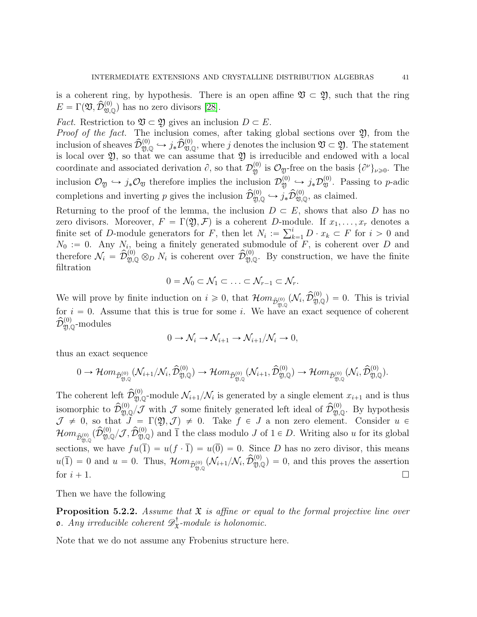is a coherent ring, by hypothesis. There is an open affine  $\mathfrak{V} \subset \mathfrak{Y}$ , such that the ring  $E = \Gamma(\mathfrak{V}, \widehat{\mathcal{D}}_{\mathfrak{V},\mathbb{Q}}^{(0)})$  has no zero divisors [\[28\]](#page-48-18).

*Fact.* Restriction to  $\mathfrak{V} \subset \mathfrak{Y}$  gives an inclusion  $D \subset E$ .

*Proof of the fact.* The inclusion comes, after taking global sections over  $\mathfrak{Y}$ , from the inclusion of sheaves  $\widehat{\mathcal{D}}_{\mathfrak{Y},\mathbb{Q}}^{(0)} \hookrightarrow j_*\widehat{\mathcal{D}}_{\mathfrak{Y},\mathbb{Q}}^{(0)}$ , where j denotes the inclusion  $\mathfrak{Y} \subset \mathfrak{Y}$ . The statement is local over  $\mathfrak{Y}$ , so that we can assume that  $\mathfrak{Y}$  is irreducible and endowed with a local coordinate and associated derivation  $\partial$ , so that  $\mathcal{D}_{\mathfrak{Y}}^{(0)}$  is  $\mathcal{O}_{\mathfrak{Y}}$ -free on the basis  $\{\partial^{\nu}\}_{\nu\geqslant0}$ . The inclusion  $\mathcal{O}_{\mathfrak{Y}} \hookrightarrow j_*\mathcal{O}_{\mathfrak{Y}}$  therefore implies the inclusion  $\mathcal{D}_{\mathfrak{Y}}^{(0)} \hookrightarrow j_*\mathcal{D}_{\mathfrak{Y}}^{(0)}$ . Passing to p-adic completions and inverting p gives the inclusion  $\widehat{\mathcal{D}}_{\mathfrak{Y},\mathbb{Q}}^{(0)} \hookrightarrow j_* \widehat{\mathcal{D}}_{\mathfrak{Y},\mathbb{Q}}^{(0)}$ , as claimed.

Returning to the proof of the lemma, the inclusion  $D \subset E$ , shows that also D has no zero divisors. Moreover,  $F = \Gamma(\mathfrak{Y}, \mathcal{F})$  is a coherent D-module. If  $x_1, \ldots, x_r$  denotes a zero divisors. Moreover,  $F = \Gamma(2), \mathcal{F}$  is a coherent D-mo<br>finite set of D-module generators for F, then let  $N_i := \sum_k^i$  $\sum_{k=1}^{i} D \cdot x_k \subset F$  for  $i > 0$  and  $N_0 := 0$ . Any  $N_i$ , being a finitely generated submodule of F, is coherent over D and therefore  $\mathcal{N}_i = \hat{\mathcal{D}}_{\mathfrak{Y},\mathbb{Q}}^{(0)} \otimes_{D} N_i$  is coherent over  $\hat{\mathcal{D}}_{\mathfrak{Y},\mathbb{Q}}^{(0)}$ . By construction, we have the finite filtration

$$
0=\mathcal{N}_0\subset \mathcal{N}_1\subset \ldots \subset \mathcal{N}_{r-1}\subset \mathcal{N}_r.
$$

We will prove by finite induction on  $i \geq 0$ , that  $\mathcal{H}om_{\hat{\mathcal{D}}_{\mathfrak{Y},\mathbb{Q}}^{(0)}}(\mathcal{N}_i,\hat{\mathcal{D}}_{\mathfrak{Y},\mathbb{Q}}^{(0)})=0$ . This is trivial for  $i = 0$ . Assume that this is true for some i. We have an exact sequence of coherent  $\widehat{\mathcal{D}}^{(0)}_{\mathfrak{Y}, \mathbb{Q}}$ -modules

$$
0 \to \mathcal{N}_i \to \mathcal{N}_{i+1} \to \mathcal{N}_{i+1}/\mathcal{N}_i \to 0,
$$

thus an exact sequence

$$
0 \to \mathcal{H}om_{\widehat{\mathcal{D}}_{\mathfrak{Y},\mathbb{Q}}^{(0)}}(\mathcal{N}_{i+1}/\mathcal{N}_{i}, \widehat{\mathcal{D}}_{\mathfrak{Y},\mathbb{Q}}^{(0)}) \to \mathcal{H}om_{\widehat{\mathcal{D}}_{\mathfrak{Y},\mathbb{Q}}^{(0)}}(\mathcal{N}_{i+1}, \widehat{\mathcal{D}}_{\mathfrak{Y},\mathbb{Q}}^{(0)}) \to \mathcal{H}om_{\widehat{\mathcal{D}}_{\mathfrak{Y},\mathbb{Q}}^{(0)}}(\mathcal{N}_{i}, \widehat{\mathcal{D}}_{\mathfrak{Y},\mathbb{Q}}^{(0)}).
$$

The coherent left  $\hat{\mathcal{D}}_{\mathfrak{Y},\mathbb{Q}}^{(0)}$ -module  $\mathcal{N}_{i+1}/\mathcal{N}_i$  is generated by a single element  $x_{i+1}$  and is thus isomorphic to  $\widehat{\mathcal{D}}_{\mathfrak{Y},\mathbb{Q}}^{(0)}$  with  $\mathcal J$  some finitely generated left ideal of  $\widehat{\mathcal{D}}_{\mathfrak{Y},\mathbb{Q}}^{(0)}$ . By hypothesis  $\mathcal{J} \neq 0$ , so that  $J = \Gamma(\mathfrak{Y},\mathcal{J}) \neq 0$ . Take  $f \in J$  a non zero element. Consider  $u \in$  $Hom_{\hat{\mathcal{D}}_{\mathfrak{Y},\mathbb{Q}}^{(0)} }(\hat{\mathcal{D}}_{\mathfrak{Y},\mathbb{Q}}^{(0)}/\mathcal{J},\hat{\mathcal{D}}_{\mathfrak{Y},\mathbb{Q}}^{(0)})$  and  $\overline{1}$  the class modulo J of  $1 \in D$ . Writing also u for its global sections, we have  $fu(\overline{1}) = u(f \cdot \overline{1}) = u(\overline{0}) = 0$ . Since D has no zero divisor, this means  $u(\overline{1}) = 0$  and  $u = 0$ . Thus,  $\mathcal{H}om_{\hat{\mathcal{D}}_{2,Q}^{(0)}}(\mathcal{N}_{i+1}/\mathcal{N}_i, \hat{\mathcal{D}}_{2,Q}^{(0)}) = 0$ , and this proves the assertion for  $i + 1$ .

Then we have the following

<span id="page-40-0"></span>**Proposition 5.2.2.** Assume that  $\mathfrak{X}$  is affine or equal to the formal projective line over **o**. Any irreducible coherent  $\mathscr{D}_{\mathfrak{X}}^{\dagger}$  $\mathcal{L}^{\dagger}_{\mathfrak{X}}$ -module is holonomic.

Note that we do not assume any Frobenius structure here.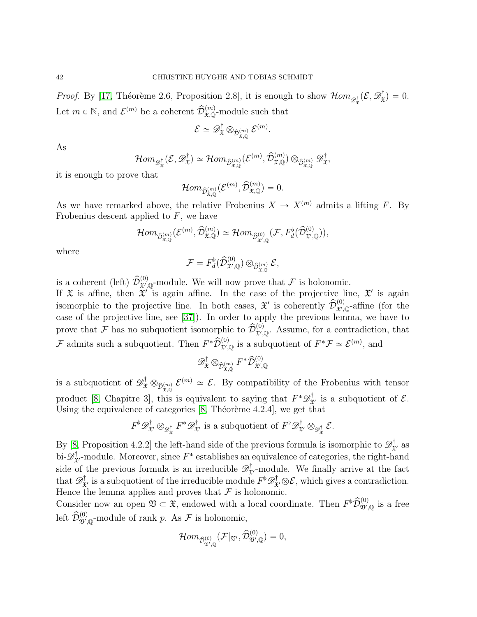*Proof.* By [\[17,](#page-47-13) Théorème 2.6, Proposition 2.8], it is enough to show  $\mathcal{H}om_{\mathscr{D}^{\dagger}_{\mathfrak{X}}}(\mathcal{E}, \mathscr{D}^{\dagger}_{\mathfrak{X}})$  $f_{\mathfrak{X}}^{\dagger}$  = 0. Let  $m \in \mathbb{N}$ , and  $\mathcal{E}^{(m)}$  be a coherent  $\widehat{\mathcal{D}}_{\mathfrak{X},\mathbb{Q}}^{(m)}$ -module such that

$$
\mathcal{E} \simeq \mathscr{D}^{\dagger}_{\mathfrak{X}} \otimes_{\widehat{\mathcal{D}}^{(m)}_{\mathfrak{X}, \mathbb{Q}}} \mathcal{E}^{(m)}.
$$

As

$$
\mathcal{H}om_{\mathscr{D}^{\dagger}_{\mathfrak{X}}}(\mathcal{E}, \mathscr{D}^{\dagger}_{\mathfrak{X}})\simeq \mathcal{H}om_{\widehat{\mathcal{D}}^{(m)}_{\mathfrak{X}, \mathbb{Q}}}(\mathcal{E}^{(m)}, \widehat{\mathcal{D}}^{(m)}_{\mathfrak{X}, \mathbb{Q}})\otimes_{\widehat{\mathcal{D}}^{(m)}_{\mathfrak{X}, \mathbb{Q}}}\mathscr{D}^{\dagger}_{\mathfrak{X}},
$$

it is enough to prove that

$$
\mathcal{H}om_{\widehat{\mathcal{D}}^{(m)}_{\mathfrak{X}, \mathbb{Q}}}(\mathcal{E}^{(m)}, \widehat{\mathcal{D}}^{(m)}_{\mathfrak{X}, \mathbb{Q}})=0.
$$

As we have remarked above, the relative Frobenius  $X \to X^{(m)}$  admits a lifting F. By Frobenius descent applied to  $F$ , we have

$$
\mathcal{H}om_{\widehat{\mathcal{D}}^{(m)}_{\mathfrak{X}, \mathbb{Q}}}(\mathcal{E}^{(m)}, \widehat{\mathcal{D}}^{(m)}_{\mathfrak{X}, \mathbb{Q}}) \simeq \mathcal{H}om_{\widehat{\mathcal{D}}^{(0)}_{\mathfrak{X}', \mathbb{Q}}}(\mathcal{F}, F_d^{\flat}(\widehat{\mathcal{D}}^{(0)}_{\mathfrak{X}', \mathbb{Q}})),
$$

where

$$
\mathcal{F} = F_d^{\flat}(\widehat{\mathcal{D}}^{(0)}_{\mathfrak{X}', \mathbb{Q}}) \otimes_{\widehat{\mathcal{D}}^{(m)}_{\mathfrak{X}, \mathbb{Q}}} \mathcal{E},
$$

is a coherent (left)  $\hat{\mathcal{D}}_{\mathfrak{X}',\mathbb{Q}}^{(0)}$ -module. We will now prove that  $\mathcal F$  is holonomic.

If  $\mathfrak X$  is affine, then  $\mathfrak X'$  is again affine. In the case of the projective line,  $\mathfrak X'$  is again isomorphic to the projective line. In both cases,  $\mathfrak{X}'$  is coherently  $\hat{\mathcal{D}}_{\mathfrak{X}',\mathbb{Q}}^{(0)}$ -affine (for the case of the projective line, see [\[37\]](#page-48-19)). In order to apply the previous lemma, we have to prove that F has no subquotient isomorphic to  $\hat{\mathcal{D}}_{\mathfrak{X}',\mathbb{Q}}^{(0)}$ . Assume, for a contradiction, that F admits such a subquotient. Then  $F^*\hat{\mathcal{D}}_{\mathfrak{X}',\mathbb{Q}}^{(0)}$  is a subquotient of  $F^*\mathcal{F} \simeq \mathcal{E}^{(m)}$ , and

$$
\mathscr{D}^{\dagger}_{\mathfrak{X}} \otimes_{\widehat{\mathcal{D}}^{(m)}_{\mathfrak{X}, \mathbb{Q}}} F^* \widehat{\mathcal{D}}^{(0)}_{\mathfrak{X}', \mathbb{Q}}
$$

is a subquotient of  $\mathscr{D}^{\dagger}_{\mathfrak{X}} \otimes_{\hat{\mathcal{D}}_{\mathfrak{X},\mathbb{Q}}} \mathcal{E}^{(m)} \simeq \mathcal{E}$ . By compatibility of the Frobenius with tensor product [\[8,](#page-47-16) Chapitre 3], this is equivalent to saying that  $F^*\mathscr{D}^{\dagger}_{\mathfrak{X}'}$  is a subquotient of  $\mathcal{E}$ . Using the equivalence of categories  $[8,$  Théorème 4.2.4], we get that

$$
F^{\flat} \mathscr{D}^{\dagger}_{\mathfrak{X}'} \otimes_{\mathscr{D}^{\dagger}_{\mathfrak{X}}} F^* \mathscr{D}^{\dagger}_{\mathfrak{X}'} \text{ is a subquotient of } F^{\flat} \mathscr{D}^{\dagger}_{\mathfrak{X}'} \otimes_{\mathscr{D}^{\dagger}_{\mathfrak{X}}} \mathcal{E}.
$$

By [\[8,](#page-47-16) Proposition 4.2.2] the left-hand side of the previous formula is isomorphic to  $\mathscr{D}^{\dagger}_{\mathfrak{X}'}$  as bi- $\mathscr{D}^{\dagger}_{\mathfrak{X}'}$ -module. Moreover, since  $F^*$  establishes an equivalence of categories, the right-hand side of the previous formula is an irreducible  $\mathscr{D}^{\dagger}_{\mathfrak{X}'}$ -module. We finally arrive at the fact that  $\mathscr{D}^{\dagger}_{\mathfrak{X}'}$  is a subquotient of the irreducible module  $F^{\flat} \mathscr{D}^{\dagger}_{\mathfrak{X}'} \otimes \mathcal{E}$ , which gives a contradiction. Hence the lemma applies and proves that  $\mathcal F$  is holonomic.

Consider now an open  $\mathfrak{V} \subset \mathfrak{X}$ , endowed with a local coordinate. Then  $F^{\flat} \widehat{\mathcal{D}}_{\mathfrak{V}',\mathbb{Q}}^{(0)}$  is a free left  $\widehat{\mathcal{D}}_{\mathfrak{V}',\mathbb{Q}}^{(0)}$ -module of rank p. As  $\mathcal F$  is holonomic,

$$
\mathcal{H}om_{\widehat{\mathcal{D}}^{(0)}_{\mathfrak{V}',\mathbb{Q}}}(\mathcal{F}|_{\mathfrak{V}'},\widehat{\mathcal{D}}^{(0)}_{\mathfrak{V}',\mathbb{Q}})=0,
$$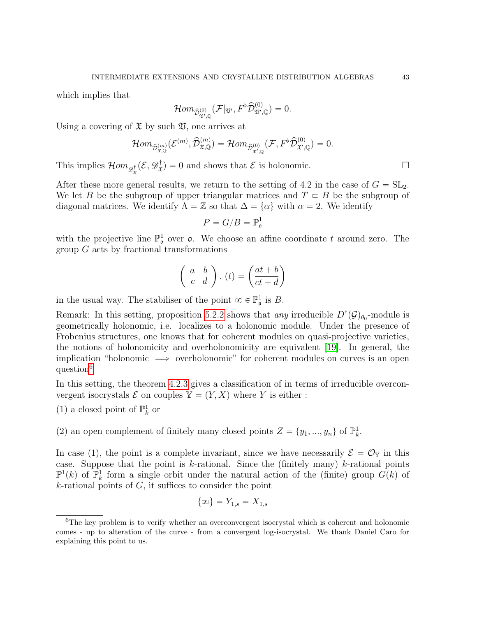which implies that

$$
\mathcal{H}om_{\hat{\mathcal{D}}^{(0)}_{\mathfrak{V}',\mathbb{Q}}}(\mathcal{F}|_{\mathfrak{V}'},F^{\flat}\hat{\mathcal{D}}^{(0)}_{\mathfrak{V}',\mathbb{Q}})=0.
$$

Using a covering of  $\mathfrak X$  by such  $\mathfrak V$ , one arrives at

$$
\mathcal{H}om_{\widehat{\mathcal{D}}^{(m)}_{\mathfrak{X},\mathbb{Q}}}(\mathcal{E}^{(m)},\widehat{\mathcal{D}}^{(m)}_{\mathfrak{X},\mathbb{Q}})=\mathcal{H}om_{\widehat{\mathcal{D}}^{(0)}_{\mathfrak{X}',\mathbb{Q}}}(\mathcal{F},F^{\flat}\widehat{\mathcal{D}}^{(0)}_{\mathfrak{X}',\mathbb{Q}})=0.
$$

This implies  $\mathcal{H}om_{\mathscr{D}^{\dagger}_{\mathfrak{X}}}(\mathcal{E}, \mathscr{D}^{\dagger}_{\mathfrak{X}})$  $\mathcal{L}(\mathbf{x}) = 0$  and shows that  $\mathcal{E}$  is holonomic.

After these more general results, we return to the setting of 4.2 in the case of  $G = SL_2$ . We let B be the subgroup of upper triangular matrices and  $T \subset B$  be the subgroup of diagonal matrices. We identify  $\Lambda = \mathbb{Z}$  so that  $\Delta = {\alpha}$  with  $\alpha = 2$ . We identify

$$
P = G/B = \mathbb{P}^1_{\mathfrak{o}}
$$

with the projective line  $\mathbb{P}^1_{\mathfrak{o}}$  over  $\mathfrak{o}$ . We choose an affine coordinate t around zero. The group G acts by fractional transformations

$$
\left(\begin{array}{cc} a & b \\ c & d \end{array}\right) . (t) = \left(\begin{array}{c} at+b \\ ct+d \end{array}\right)
$$

in the usual way. The stabiliser of the point  $\infty \in \mathbb{P}^1_{\mathfrak{o}}$  is B.

Remark: In this setting, proposition [5.2.2](#page-40-0) shows that *any* irreducible  $D^{\dagger}(\mathcal{G})_{\theta_0}$ -module is geometrically holonomic, i.e. localizes to a holonomic module. Under the presence of Frobenius structures, one knows that for coherent modules on quasi-projective varieties, the notions of holonomicity and overholonomicity are equivalent [\[19\]](#page-47-20). In general, the implication "holonomic  $\implies$  overholonomic" for coherent modules on curves is an open question<sup>[6](#page-42-0)</sup>.

In this setting, the theorem [4.2.3](#page-31-0) gives a classification of in terms of irreducible overconvergent isocrystals  $\mathcal E$  on couples  $\mathbb Y = (Y, X)$  where Y is either :

- (1) a closed point of  $\mathbb{P}^1_k$  or
- (2) an open complement of finitely many closed points  $Z = \{y_1, ..., y_n\}$  of  $\mathbb{P}_k^1$ .

In case (1), the point is a complete invariant, since we have necessarily  $\mathcal{E} = \mathcal{O}_{\mathbb{Y}}$  in this case. Suppose that the point is  $k$ -rational. Since the (finitely many)  $k$ -rational points  $\mathbb{P}^1(k)$  of  $\mathbb{P}^1_k$  form a single orbit under the natural action of the (finite) group  $G(k)$  of  $k$ -rational points of  $G$ , it suffices to consider the point

$$
\{\infty\} = Y_{1,s} = X_{1,s}
$$

<span id="page-42-0"></span><sup>&</sup>lt;sup>6</sup>The key problem is to verify whether an overconvergent isocrystal which is coherent and holonomic comes - up to alteration of the curve - from a convergent log-isocrystal. We thank Daniel Caro for explaining this point to us.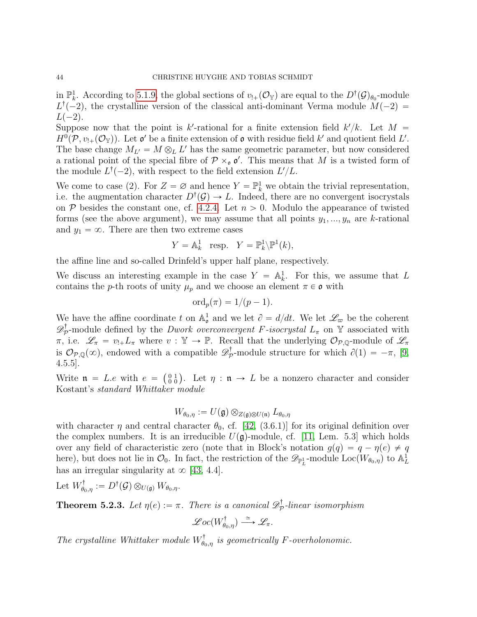in  $\mathbb{P}_k^1$ . According to [5.1.9,](#page-38-0) the global sections of  $v_{!+}(\mathcal{O}_\mathbb{Y})$  are equal to the  $D^{\dagger}(\mathcal{G})_{\theta_0}$ -module  $L^{\dagger}(-2)$ , the crystalline version of the classical anti-dominant Verma module  $M(-2)$  $L(-2)$ .

Suppose now that the point is k'-rational for a finite extension field  $k'/k$ . Let  $M =$  $H^0(\mathcal{P}, v_{!+}(\mathcal{O}_{\mathbb{Y}}))$ . Let  $\mathfrak{o}'$  be a finite extension of  $\mathfrak{o}$  with residue field k' and quotient field L'. The base change  $M_{L'} = M \otimes_L L'$  has the same geometric parameter, but now considered a rational point of the special fibre of  $P \times_{\mathfrak{o}} \mathfrak{o}'$ . This means that M is a twisted form of the module  $L^{\dagger}(-2)$ , with respect to the field extension  $L'/L$ .

We come to case (2). For  $Z = \emptyset$  and hence  $Y = \mathbb{P}^1_k$  we obtain the trivial representation, i.e. the augmentation character  $D^{\dagger}(\mathcal{G}) \to L$ . Indeed, there are no convergent isocrystals on  $P$  besides the constant one, cf. [4.2.4.](#page-31-2) Let  $n > 0$ . Modulo the appearance of twisted forms (see the above argument), we may assume that all points  $y_1, ..., y_n$  are k-rational and  $y_1 = \infty$ . There are then two extreme cases

$$
Y = \mathbb{A}^1_k \text{ resp. } Y = \mathbb{P}^1_k \backslash \mathbb{P}^1(k),
$$

the affine line and so-called Drinfeld's upper half plane, respectively.

We discuss an interesting example in the case  $Y = \mathbb{A}^1_k$ . For this, we assume that L contains the p-th roots of unity  $\mu_p$  and we choose an element  $\pi \in \mathfrak{o}$  with

$$
\mathrm{ord}_p(\pi)=1/(p-1).
$$

We have the affine coordinate t on  $\mathbb{A}^1_\sigma$  and we let  $\partial = d/dt$ . We let  $\mathscr{L}_\varpi$  be the coherent  $\mathscr{D}^{\dagger}_{\mathcal{F}}$  $p^{\dagger}_{\mathcal{P}}$ -module defined by the *Dwork overconvergent F-isocrystal*  $L_{\pi}$  on Y associated with  $\pi$ , i.e.  $\mathscr{L}_{\pi} = v_{!+}L_{\pi}$  where  $v : \mathbb{Y} \to \mathbb{P}$ . Recall that the underlying  $\mathcal{O}_{\mathcal{P},\mathbb{Q}}$ -module of  $\mathscr{L}_{\pi}$ is  $\mathcal{O}_{\mathcal{P},\mathbb{Q}}(\infty)$ , endowed with a compatible  $\mathscr{D}^{\dagger}_{\mathcal{P}}$  $\partial_{\mathcal{P}}^{\dagger}$ -module structure for which  $\partial(1) = -\pi$ , [\[9,](#page-47-12) 4.5.5].

Example 1.0.0.<br>Write  $\mathfrak{n} = L \cdot e$  with  $e = \begin{pmatrix} 0 & 1 \\ 0 & 0 \end{pmatrix}$ . Let  $\eta : \mathfrak{n} \to L$  be a nonzero character and consider Kostant's standard Whittaker module

$$
W_{\theta_0,\eta}:=U(\mathfrak{g})\otimes_{Z(\mathfrak{g})\otimes U(\mathfrak{n})}L_{\theta_0,\eta}
$$

with character  $\eta$  and central character  $\theta_0$ , cf. [\[42,](#page-48-4) (3.6.1)] for its original definition over the complex numbers. It is an irreducible  $U(\mathfrak{g})$ -module, cf. [\[11,](#page-47-5) Lem. 5.3] which holds over any field of characteristic zero (note that in Block's notation  $g(q) = q - \eta(e) \neq q$ here), but does not lie in  $\mathcal{O}_0$ . In fact, the restriction of the  $\mathscr{D}_{\mathbb{P}^1_L}$ -module  $Loc(\widetilde{W}_{\theta_0,\eta})$  to  $\mathbb{A}^1_L$ has an irregular singularity at  $\infty$  [\[43,](#page-48-20) 4.4].

Let  $W^{\dagger}_{\theta_0,\eta} := D^{\dagger}(\mathcal{G}) \otimes_{U(\mathfrak{g})} W_{\theta_0,\eta}.$ 

<span id="page-43-0"></span>**Theorem 5.2.3.** Let  $\eta(e) := \pi$ . There is a canonical  $\mathscr{D}_{\mathcal{F}}^{\dagger}$  $\mathbb{P}_{\mathcal{P}}$ -linear isomorphism

$$
\mathscr{Loc}(W^{\dagger}_{\theta_0,\eta}) \stackrel{\simeq}{\longrightarrow} \mathscr{L}_{\pi}.
$$

The crystalline Whittaker module  $W_{\theta_0,\eta}^{\dagger}$  is geometrically F-overholonomic.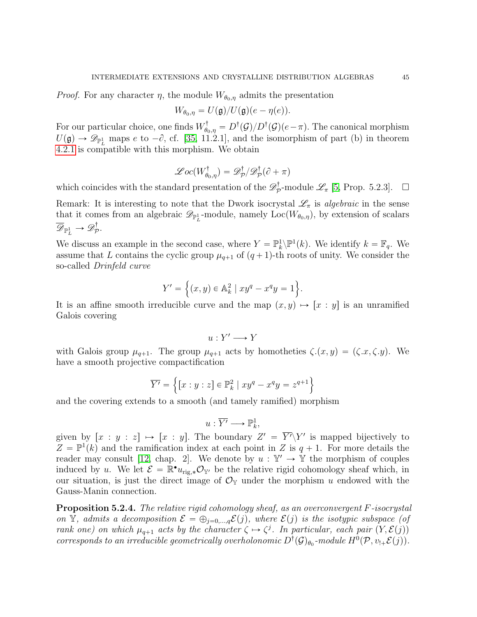*Proof.* For any character  $\eta$ , the module  $W_{\theta_0, \eta}$  admits the presentation

$$
W_{\theta_0,\eta}=U(\mathfrak{g})/U(\mathfrak{g})(e-\eta(e)).
$$

For our particular choice, one finds  $W_{\theta_0,\eta}^{\dagger} = D^{\dagger}(\mathcal{G})/D^{\dagger}(\mathcal{G})(e-\pi)$ . The canonical morphism  $U(\mathfrak{g}) \to \mathscr{D}_{\mathbb{P}^1_L}$  maps e to  $-\partial$ , cf. [\[35,](#page-48-2) 11.2.1], and the isomorphism of part (b) in theorem [4.2.1](#page-30-1) is compatible with this morphism. We obtain

$$
\mathscr{Loc}(W^{\dagger}_{\theta_0,\eta})=\mathscr{D}^{\dagger}_{\mathcal{P}}/\mathscr{D}^{\dagger}_{\mathcal{P}}(\partial+\pi)
$$

which coincides with the standard presentation of the  $\mathscr{D}^{\dagger}_{\mathcal{F}}$  $_{\mathcal{P}}^{\dagger}$ -module  $\mathscr{L}_{\pi}$  [\[5,](#page-47-15) Prop. 5.2.3].  $\Box$ 

Remark: It is interesting to note that the Dwork isocrystal  $\mathscr{L}_{\pi}$  is *algebraic* in the sense that it comes from an algebraic  $\mathscr{D}_{\mathbb{P}^1_L}$ -module, namely  $Loc(W_{\theta_0,\eta})$ , by extension of scalars  $\overline{\mathscr{D}}_{\mathbb{P}^1_L} \rightarrow \mathscr{D}^{\dagger}_{\mathcal{F}}$  $\bar{\mathcal{P}}$  .

We discuss an example in the second case, where  $Y = \mathbb{P}_k^1 \backslash \mathbb{P}^1(k)$ . We identify  $k = \mathbb{F}_q$ . We assume that L contains the cyclic group  $\mu_{q+1}$  of  $(q+1)$ -th roots of unity. We consider the so-called Drinfeld curve

$$
Y' = \left\{ (x, y) \in \mathbb{A}_k^2 \mid xy^q - x^q y = 1 \right\}.
$$

It is an affine smooth irreducible curve and the map  $(x, y) \mapsto [x : y]$  is an unramified Galois covering

$$
u:Y'\longrightarrow Y
$$

with Galois group  $\mu_{q+1}$ . The group  $\mu_{q+1}$  acts by homotheties  $\zeta(x, y) = (\zeta_x, \zeta_y)$ . We have a smooth projective compactification

$$
\overline{Y'} = \left\{ \left[ x : y : z \right] \in \mathbb{P}^2_k \mid xy^q - x^q y = z^{q+1} \right\}
$$

and the covering extends to a smooth (and tamely ramified) morphism

$$
u:\overline{Y'}\longrightarrow \mathbb{P}^1_k,
$$

given by  $[x : y : z] \mapsto [x : y]$ . The boundary  $Z' = \overline{Y'} \setminus Y'$  is mapped bijectively to  $Z = \mathbb{P}^1(k)$  and the ramification index at each point in Z is  $q + 1$ . For more details the reader may consult [\[12,](#page-47-21) chap. 2]. We denote by  $u : \mathbb{Y}' \to \mathbb{Y}$  the morphism of couples induced by u. We let  $\mathcal{E} = \mathbb{R}^{\bullet} u_{\text{rig},*} \mathcal{O}_{\mathbb{Y}'}$  be the relative rigid cohomology sheaf which, in our situation, is just the direct image of  $\mathcal{O}_{Y}$  under the morphism u endowed with the Gauss-Manin connection.

**Proposition 5.2.4.** The relative rigid cohomology sheaf, as an overconvergent  $F$ -isocrystal on Y, admits a decomposition  $\mathcal{E} = \bigoplus_{j=0,\ldots,q} \mathcal{E}(j)$ , where  $\mathcal{E}(j)$  is the isotypic subspace (of rank one) on which  $\mu_{q+1}$  acts by the character  $\zeta \mapsto \zeta^j$ . In particular, each pair  $(Y, \mathcal{E}(j))$ corresponds to an irreducible geometrically overholonomic  $D^{\dagger}(\mathcal{G})_{\theta_0}$ -module  $H^0(\mathcal{P}, v_{!+}\mathcal{E}(j)).$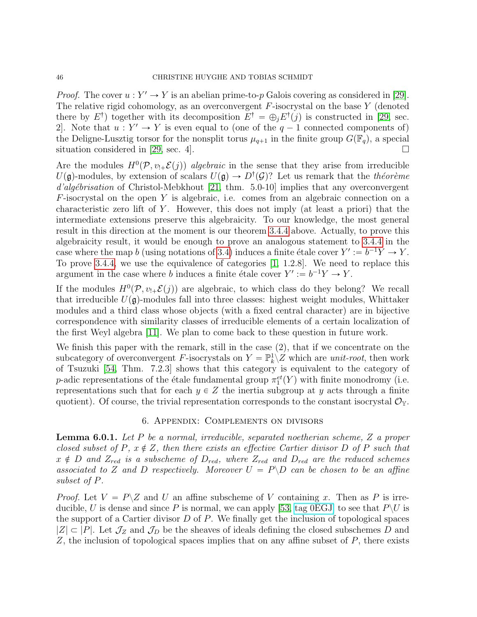*Proof.* The cover  $u: Y' \to Y$  is an abelian prime-to-p Galois covering as considered in [\[29\]](#page-48-5). The relative rigid cohomology, as an overconvergent  $F$ -isocrystal on the base  $Y$  (denoted there by  $E^{\dagger}$ ) together with its decomposition  $E^{\dagger} = \bigoplus_j E^{\dagger}(j)$  is constructed in [\[29,](#page-48-5) sec. 2. Note that  $u: Y' \to Y$  is even equal to (one of the  $q-1$  connected components of) the Deligne-Lusztig torsor for the nonsplit torus  $\mu_{q+1}$  in the finite group  $G(\mathbb{F}_q)$ , a special situation considered in [\[29,](#page-48-5) sec. 4].

Are the modules  $H^0(\mathcal{P}, v_{!+}\mathcal{E}(j))$  algebraic in the sense that they arise from irreducible  $U(\mathfrak{g})$ -modules, by extension of scalars  $U(\mathfrak{g}) \to D^{\dagger}(\mathcal{G})$ ? Let us remark that the théorème  $d'algébrisation$  of Christol-Mebkhout [\[21,](#page-47-22) thm. 5.0-10] implies that any overconvergent  $F$ -isocrystal on the open Y is algebraic, i.e. comes from an algebraic connection on a characteristic zero lift of Y. However, this does not imply (at least a priori) that the intermediate extensions preserve this algebraicity. To our knowledge, the most general result in this direction at the moment is our theorem [3.4.4](#page-28-1) above. Actually, to prove this algebraicity result, it would be enough to prove an analogous statement to [3.4.4](#page-28-1) in the case where the map b (using notations of [3.4\)](#page-25-0) induces a finite étale cover  $Y' := b^{-1}Y \to Y$ . To prove [3.4.4,](#page-28-1) we use the equivalence of categories [\[1,](#page-47-4) 1.2.8]. We need to replace this argument in the case where b induces a finite étale cover  $Y' := b^{-1}Y \to Y$ .

If the modules  $H^0(\mathcal{P}, v_{!+}\mathcal{E}(j))$  are algebraic, to which class do they belong? We recall that irreducible  $U(\mathfrak{g})$ -modules fall into three classes: highest weight modules, Whittaker modules and a third class whose objects (with a fixed central character) are in bijective correspondence with similarity classes of irreducible elements of a certain localization of the first Weyl algebra [\[11\]](#page-47-5). We plan to come back to these question in future work.

We finish this paper with the remark, still in the case (2), that if we concentrate on the subcategory of overconvergent F-isocrystals on  $Y = \mathbb{P}_k^1 \times Z$  which are unit-root, then work of Tsuzuki [\[54,](#page-49-11) Thm. 7.2.3] shows that this category is equivalent to the category of *p*-adic representations of the étale fundamental group  $\pi_1^{et}(Y)$  with finite monodromy (i.e. representations such that for each  $y \in Z$  the inertia subgroup at y acts through a finite quotient). Of course, the trivial representation corresponds to the constant isocrystal  $\mathcal{O}_{Y}$ .

#### 6. Appendix: Complements on divisors

<span id="page-45-1"></span><span id="page-45-0"></span>Lemma 6.0.1. Let P be a normal, irreducible, separated noetherian scheme, Z a proper closed subset of P,  $x \notin Z$ , then there exists an effective Cartier divisor D of P such that  $x \notin D$  and  $Z_{red}$  is a subscheme of  $D_{red}$ , where  $Z_{red}$  and  $D_{red}$  are the reduced schemes associated to Z and D respectively. Moreover  $U = P \ D$  can be chosen to be an affine subset of P.

*Proof.* Let  $V = P\Z$  and U an affine subscheme of V containing x. Then as P is irre-ducible, U is dense and since P is normal, we can apply [\[53,](#page-49-2) [tag 0EGJ\]](https://stacks.math.columbia.edu/tag/0EGJ) to see that  $P\setminus U$  is the support of a Cartier divisor  $D$  of  $P$ . We finally get the inclusion of topological spaces  $|Z| \subset |P|$ . Let  $\mathcal{J}_Z$  and  $\mathcal{J}_D$  be the sheaves of ideals defining the closed subschemes D and  $Z$ , the inclusion of topological spaces implies that on any affine subset of  $P$ , there exists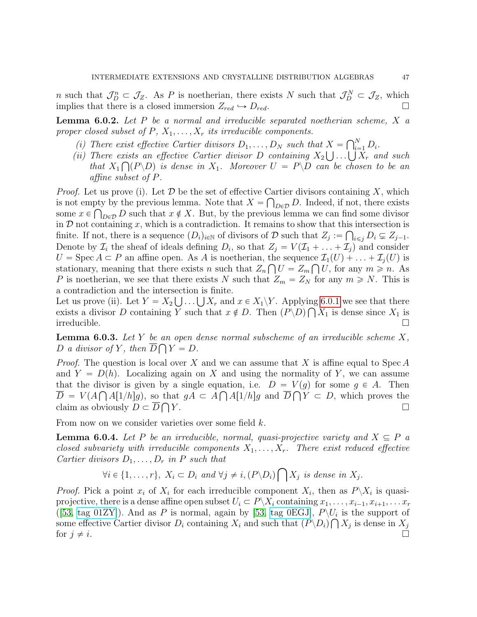*n* such that  $\mathcal{J}_D^n \subset \mathcal{J}_Z$ . As *P* is noetherian, there exists *N* such that  $\mathcal{J}_D^N \subset \mathcal{J}_Z$ , which implies that there is a closed immersion  $Z_{red} \hookrightarrow D_{red}$ .

<span id="page-46-0"></span>**Lemma 6.0.2.** Let P be a normal and irreducible separated noetherian scheme,  $X$  a proper closed subset of  $P, X_1, \ldots, X_r$  its irreducible components.

- (i) There exist effective Cartier divisors  $D_1, \ldots, D_N$  such that  $X = \bigcap_{i=1}^N X_i$  $X = \bigcap_{i=1}^{N} D_i.$
- (i) There exist effective Cartier divisors  $D_1, \ldots, D_N$  such that  $X = \bigcap_{i=1}^N D_i$ .<br>
(ii) There exists an effective Cartier divisor D containing  $X_2 \bigcup \ldots \bigcup X_r$  and such that  $X_1 \bigcap (P \backslash D)$  is dense in  $X_1$ . Moreover  $U = P \backslash D$  can be chosen to be an affine subset of P.

*Proof.* Let us prove (i). Let  $D$  be the set of effective Cartier divisors containing X, which is not empty by the previous lemma. Note that  $X = \bigcap_{D \in \mathcal{D}} D$ . Indeed, if not, there exists some  $x \in \bigcap_{D \in \mathcal{D}} D$  such that  $x \notin X$ . But, by the previous lemma we can find some divisor in  $D$  not containing x, which is a contradiction. It remains to show that this intersection is finite. If not, there is a sequence  $(D_i)_{i\in\mathbb{N}}$  of divisors of D such that  $Z_j := \bigcap_{i\leq j} D_i \subsetneq Z_{j-1}$ . Denote by  $\mathcal{I}_i$  the sheaf of ideals defining  $D_i$ , so that  $Z_j = V(\mathcal{I}_1 + \ldots + \mathcal{I}_j)$  and consider  $U = \text{Spec } A \subset P$  an affine open. As A is noetherian, the sequence  $\mathcal{I}_1(U) + \ldots + \mathcal{I}_j(U)$  is stationary, meaning that there exists n such that  $Z_n \bigcap U = Z_m \bigcap U$ , for any  $m \geq n$ . As P is noetherian, we see that there exists N such that  $Z_m = Z_N$  for any  $m \ge N$ . This is a contradiction and the intersection is finite.

a contradiction and the intersection is finite.<br>Let us prove (ii). Let  $Y = X_2 \bigcup ... \bigcup X_r$  and  $x \in X_1 \backslash Y$ . Applying [6.0.1](#page-45-1) we see that there exists a divisor D containing Y such that  $x \notin D$ . Then  $(P \backslash D) \bigcap X_1$  is dense since  $X_1$  is irreducible. □

<span id="page-46-1"></span>**Lemma 6.0.3.** Let  $Y$  be an open dense normal subscheme of an irreducible scheme  $X$ , D a divisor of Y, then  $D \bigcap Y = D$ .

*Proof.* The question is local over X and we can assume that X is affine equal to Spec A and  $Y = D(h)$ . Localizing again on X and using the normality of Y, we can assume that the divisor is given by a single equation, i.e.  $D = V(g)$  for some  $g \in A$ . Then  $D = V(A \cap A[1/h]g)$ , so that  $gA \subset A \cap A[1/h]g$  and  $D \cap Y \subset D$ , which proves the claim as obviously  $D \subset \overline{D} \bigcap Y$ .  $Y.$ 

From now on we consider varieties over some field k.

**Lemma 6.0.4.** Let P be an irreducible, normal, quasi-projective variety and  $X \subseteq P$  a closed subvariety with irreducible components  $X_1, \ldots, X_r$ . There exist reduced effective Cartier divisors  $D_1, \ldots, D_r$  in P such that č

$$
\forall i \in \{1, \ldots, r\}, \ X_i \subset D_i \ and \ \forall j \neq i, (P \backslash D_i) \bigcap X_j \ is \ dense \ in \ X_j.
$$

*Proof.* Pick a point  $x_i$  of  $X_i$  for each irreducible component  $X_i$ , then as  $P \backslash X_i$  is quasiprojective, there is a dense affine open subset  $U_i \subset P \backslash X_i$  containing  $x_1, \ldots, x_{i-1}, x_{i+1}, \ldots, x_r$ ([\[53,](#page-49-2) [tag 01ZY\]](https://stacks.math.columbia.edu/tag/01ZY)). And as P is normal, again by [\[53,](#page-49-2) [tag 0EGJ\]](https://stacks.math.columbia.edu/tag/0EGJ),  $P\setminus U_i$  is the support of some effective Cartier divisor  $D_i$  containing  $X_i$  and such that  $(P \backslash D_i) \bigcap X_j$  is dense in  $X_j$ for  $j \neq i$ .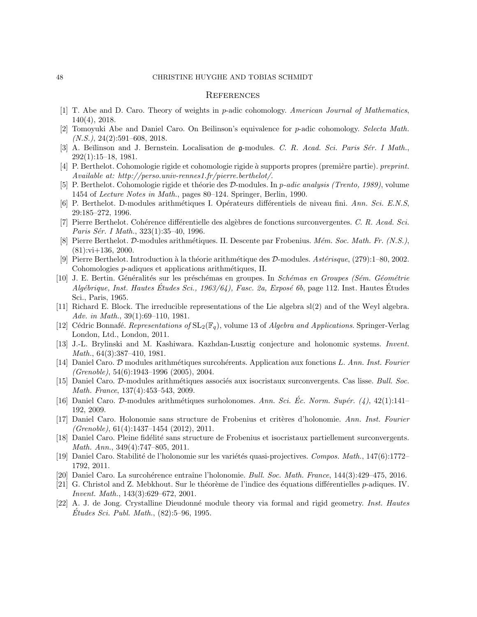#### <span id="page-47-0"></span>**REFERENCES**

- <span id="page-47-4"></span>[1] T. Abe and D. Caro. Theory of weights in p-adic cohomology. American Journal of Mathematics, 140(4), 2018.
- <span id="page-47-7"></span>[2] Tomoyuki Abe and Daniel Caro. On Beilinson's equivalence for p-adic cohomology. Selecta Math.  $(N.S.), 24(2):591-608, 2018.$
- <span id="page-47-2"></span>[3] A. Beĭlinson and J. Bernstein. Localisation de  $\mathfrak{g}\text{-modules}$ . C. R. Acad. Sci. Paris Sér. I Math., 292(1):15–18, 1981.
- <span id="page-47-17"></span>[4] P. Berthelot. Cohomologie rigide et cohomologie rigide à supports propres (première partie). preprint. Available at: http://perso.univ-rennes1.fr/pierre.berthelot/.
- <span id="page-47-15"></span>[5] P. Berthelot. Cohomologie rigide et théorie des D-modules. In p-adic analysis (Trento, 1989), volume 1454 of Lecture Notes in Math., pages 80–124. Springer, Berlin, 1990.
- <span id="page-47-1"></span>[6] P. Berthelot. D-modules arithmétiques I. Opérateurs différentiels de niveau fini. Ann. Sci. E.N.S, 29:185–272, 1996.
- <span id="page-47-14"></span>[7] Pierre Berthelot. Cohérence différentielle des algèbres de fonctions surconvergentes. C. R. Acad. Sci. Paris Sér. I Math., 323(1):35–40, 1996.
- <span id="page-47-16"></span>[8] Pierre Berthelot. D-modules arithmétiques. II. Descente par Frobenius. Mém. Soc. Math. Fr. (N.S.),  $(81):$ vi $+136, 2000$ .
- <span id="page-47-12"></span>[9] Pierre Berthelot. Introduction à la théorie arithmétique des  $\mathcal{D}\text{-modules.}$  Astérisque, (279):1–80, 2002. Cohomologies *p*-adiques et applications arithmétiques, II.
- <span id="page-47-19"></span>[10] J. E. Bertin. Généralités sur les préschémas en groupes. In Schémas en Groupes (Sém. Géométrie  $A$ lgébrique, Inst. Hautes Études Sci., 1963/64), Fasc. 2a, Exposé 6b, page 112. Inst. Hautes Études Sci., Paris, 1965.
- <span id="page-47-5"></span>[11] Richard E. Block. The irreducible representations of the Lie algebra  $sl(2)$  and of the Weyl algebra. Adv. in Math., 39(1):69–110, 1981.
- <span id="page-47-21"></span>[12] Cédric Bonnafé. Representations of  $SL_2(\mathbb{F}_q)$ , volume 13 of Algebra and Applications. Springer-Verlag London, Ltd., London, 2011.
- <span id="page-47-3"></span>[13] J.-L. Brylinski and M. Kashiwara. Kazhdan-Lusztig conjecture and holonomic systems. Invent. Math., 64(3):387–410, 1981.
- <span id="page-47-9"></span>[14] Daniel Caro. D modules arithmétiques surcohérents. Application aux fonctions L. Ann. Inst. Fourier  $(Grenoble)$ , 54 $(6)$ :1943–1996 (2005), 2004.
- <span id="page-47-11"></span>[15] Daniel Caro. D-modules arithmétiques associés aux isocristaux surconvergents. Cas lisse. Bull. Soc. Math. France, 137(4):453–543, 2009.
- <span id="page-47-8"></span>[16] Daniel Caro. D-modules arithmétiques surholonomes. Ann. Sci. Éc. Norm. Supér. (4),  $42(1):141-$ 192, 2009.
- <span id="page-47-13"></span>[17] Daniel Caro. Holonomie sans structure de Frobenius et critères d'holonomie. Ann. Inst. Fourier (Grenoble), 61(4):1437–1454 (2012), 2011.
- <span id="page-47-10"></span>[18] Daniel Caro. Pleine fidélité sans structure de Frobenius et isocristaux partiellement surconvergents. Math. Ann., 349(4):747–805, 2011.
- <span id="page-47-20"></span>[19] Daniel Caro. Stabilité de l'holonomie sur les variétés quasi-projectives. Compos. Math., 147(6):1772– 1792, 2011.
- <span id="page-47-6"></span>[20] Daniel Caro. La surcoh´erence entraˆıne l'holonomie. Bull. Soc. Math. France, 144(3):429–475, 2016.
- <span id="page-47-22"></span>[21] G. Christol and Z. Mebkhout. Sur le théorème de l'indice des équations différentielles  $p$ -adiques. IV. Invent. Math., 143(3):629–672, 2001.
- <span id="page-47-18"></span>[22] A. J. de Jong. Crystalline Dieudonné module theory via formal and rigid geometry. Inst. Hautes  $\acute{E}tudes\, Sci. \ Publ. Math., (82): 5–96, 1995.$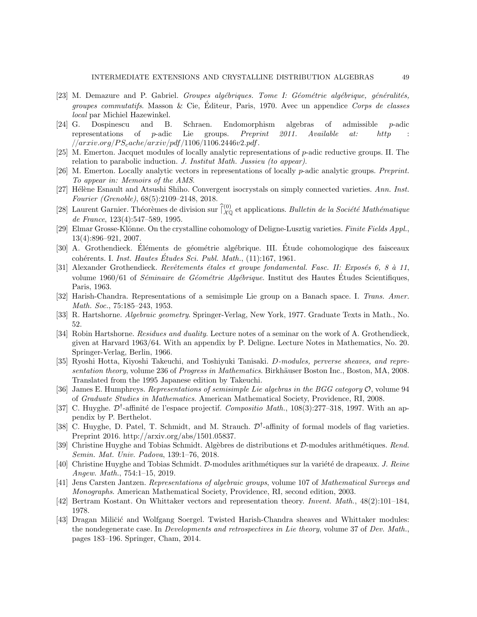- <span id="page-48-9"></span>[23] M. Demazure and P. Gabriel. Groupes algébriques. Tome I: Géométrie algébrique, généralités, *groupes commutatifs.* Masson & Cie, Éditeur, Paris, 1970. Avec un appendice Corps de classes local par Michiel Hazewinkel.
- <span id="page-48-13"></span>[24] G. Dospinescu and B. Schraen. Endomorphism algebras of admissible p-adic representations of p-adic Lie groups. Preprint  $2011$ . Available at: http  ${{\rm (}arxiv.org/PS_cache/arxiv/pdf/1106/1106.2446v2.pdf}.$
- <span id="page-48-14"></span>[25] M. Emerton. Jacquet modules of locally analytic representations of p-adic reductive groups. II. The relation to parabolic induction. J. Institut Math. Jussieu (to appear).
- <span id="page-48-1"></span>[26] M. Emerton. Locally analytic vectors in representations of locally p-adic analytic groups. Preprint. To appear in: Memoirs of the AMS.
- <span id="page-48-10"></span>[27] Hélène Esnault and Atsushi Shiho. Convergent isocrystals on simply connected varieties. Ann. Inst. Fourier (Grenoble), 68(5):2109–2148, 2018.
- <span id="page-48-18"></span>[28] Laurent Garnier. Théorèmes de division sur  $\hat{L}_{\chi\phi}^{(0)}$  et applications. Bulletin de la Société Mathématique de France, 123(4):547–589, 1995.
- <span id="page-48-5"></span>[29] Elmar Grosse-Klönne. On the crystalline cohomology of Deligne-Lusztig varieties. Finite Fields Appl., 13(4):896–921, 2007.
- <span id="page-48-7"></span>[30] A. Grothendieck. Éléments de géométrie algébrique. III. Étude cohomologique des faisceaux cohérents. I. Inst. Hautes Études Sci. Publ. Math.,  $(11):167$ , 1961.
- <span id="page-48-11"></span>[31] Alexander Grothendieck. Revêtements étales et groupe fondamental. Fasc. II: Exposés 6, 8 à 11, volume  $1960/61$  of *Séminaire de Géométrie Algébrique*. Institut des Hautes Études Scientifiques, Paris, 1963.
- <span id="page-48-12"></span>[32] Harish-Chandra. Representations of a semisimple Lie group on a Banach space. I. Trans. Amer. Math. Soc., 75:185–243, 1953.
- <span id="page-48-8"></span>[33] R. Hartshorne. Algebraic geometry. Springer-Verlag, New York, 1977. Graduate Texts in Math., No. 52.
- <span id="page-48-6"></span>[34] Robin Hartshorne. Residues and duality. Lecture notes of a seminar on the work of A. Grothendieck, given at Harvard 1963/64. With an appendix by P. Deligne. Lecture Notes in Mathematics, No. 20. Springer-Verlag, Berlin, 1966.
- <span id="page-48-2"></span>[35] Ryoshi Hotta, Kiyoshi Takeuchi, and Toshiyuki Tanisaki. D-modules, perverse sheaves, and representation theory, volume 236 of Progress in Mathematics. Birkhäuser Boston Inc., Boston, MA, 2008. Translated from the 1995 Japanese edition by Takeuchi.
- <span id="page-48-16"></span>[36] James E. Humphreys. Representations of semisimple Lie algebras in the BGG category O, volume 94 of Graduate Studies in Mathematics. American Mathematical Society, Providence, RI, 2008.
- <span id="page-48-19"></span>[37] C. Huyghe.  $\mathcal{D}^{\dagger}$ -affinité de l'espace projectif. Compositio Math., 108(3):277–318, 1997. With an appendix by P. Berthelot.
- <span id="page-48-15"></span>[38] C. Huyghe, D. Patel, T. Schmidt, and M. Strauch.  $\mathcal{D}^{\dagger}$ -affinity of formal models of flag varieties. Preprint 2016. http://arxiv.org/abs/1501.05837.
- <span id="page-48-0"></span>[39] Christine Huyghe and Tobias Schmidt. Algèbres de distributions et D-modules arithmétiques. Rend. Semin. Mat. Univ. Padova, 139:1–76, 2018.
- <span id="page-48-3"></span>[40] Christine Huyghe and Tobias Schmidt. D-modules arithmétiques sur la variété de drapeaux. J. Reine Angew. Math., 754:1–15, 2019.
- <span id="page-48-17"></span>[41] Jens Carsten Jantzen. Representations of algebraic groups, volume 107 of Mathematical Surveys and Monographs. American Mathematical Society, Providence, RI, second edition, 2003.
- <span id="page-48-4"></span>[42] Bertram Kostant. On Whittaker vectors and representation theory. Invent. Math., 48(2):101–184, 1978.
- <span id="page-48-20"></span>[43] Dragan Miličić and Wolfgang Soergel. Twisted Harish-Chandra sheaves and Whittaker modules: the nondegenerate case. In Developments and retrospectives in Lie theory, volume 37 of Dev. Math., pages 183–196. Springer, Cham, 2014.